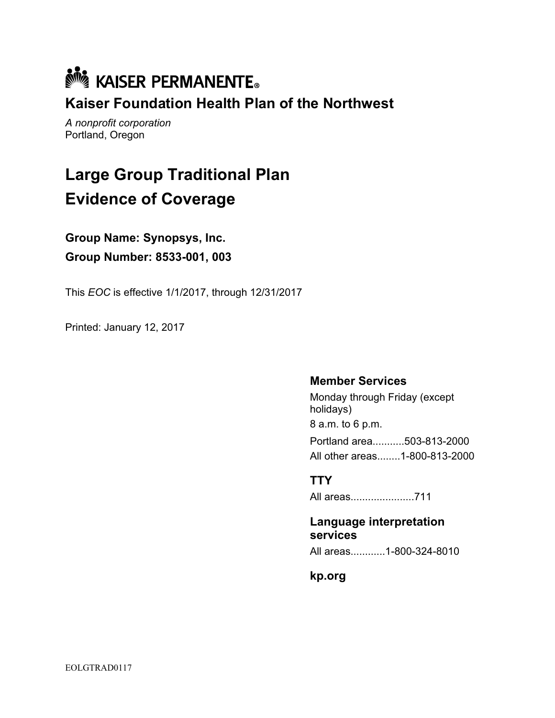

Kaiser Foundation Health Plan of the Northwest

A nonprofit corporation Portland, Oregon

# Large Group Traditional Plan Evidence of Coverage

Group Name: Synopsys, Inc. Group Number: 8533-001, 003

This EOC is effective 1/1/2017, through 12/31/2017

Printed: January 12, 2017

#### Member Services

Monday through Friday (except holidays) 8 a.m. to 6 p.m. Portland area...........503-813-2000 All other areas........1-800-813-2000

#### **TTY**

All areas......................711

Language interpretation services

All areas............1-800-324-8010

kp.org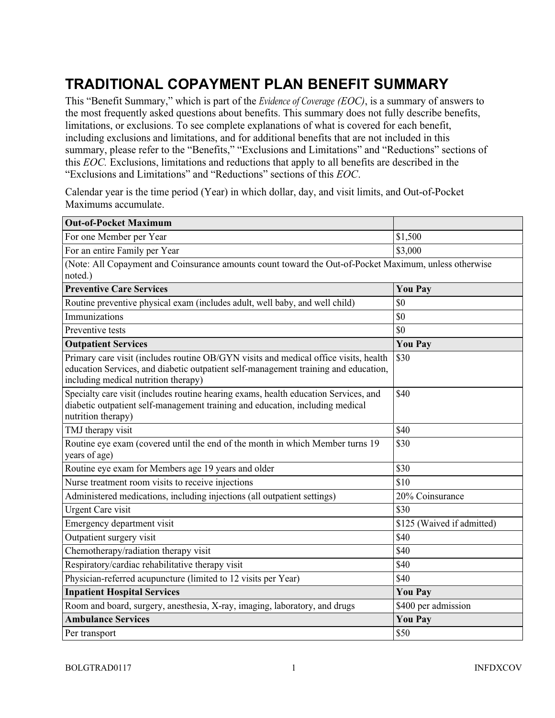## TRADITIONAL COPAYMENT PLAN BENEFIT SUMMARY

This "Benefit Summary," which is part of the *Evidence of Coverage (EOC)*, is a summary of answers to the most frequently asked questions about benefits. This summary does not fully describe benefits, limitations, or exclusions. To see complete explanations of what is covered for each benefit, including exclusions and limitations, and for additional benefits that are not included in this summary, please refer to the "Benefits," "Exclusions and Limitations" and "Reductions" sections of this EOC. Exclusions, limitations and reductions that apply to all benefits are described in the "Exclusions and Limitations" and "Reductions" sections of this EOC.

Calendar year is the time period (Year) in which dollar, day, and visit limits, and Out-of-Pocket Maximums accumulate.

| <b>Out-of-Pocket Maximum</b>                                                                                                                                                                                        |                            |  |
|---------------------------------------------------------------------------------------------------------------------------------------------------------------------------------------------------------------------|----------------------------|--|
| For one Member per Year                                                                                                                                                                                             | \$1,500                    |  |
| For an entire Family per Year                                                                                                                                                                                       | \$3,000                    |  |
| (Note: All Copayment and Coinsurance amounts count toward the Out-of-Pocket Maximum, unless otherwise<br>noted.)                                                                                                    |                            |  |
| <b>Preventive Care Services</b>                                                                                                                                                                                     | <b>You Pay</b>             |  |
| Routine preventive physical exam (includes adult, well baby, and well child)                                                                                                                                        | \$0                        |  |
| Immunizations                                                                                                                                                                                                       | \$0                        |  |
| Preventive tests                                                                                                                                                                                                    | \$0                        |  |
| <b>Outpatient Services</b>                                                                                                                                                                                          | <b>You Pay</b>             |  |
| Primary care visit (includes routine OB/GYN visits and medical office visits, health<br>education Services, and diabetic outpatient self-management training and education,<br>including medical nutrition therapy) | \$30                       |  |
| Specialty care visit (includes routine hearing exams, health education Services, and<br>diabetic outpatient self-management training and education, including medical<br>nutrition therapy)                         | \$40                       |  |
| TMJ therapy visit                                                                                                                                                                                                   | \$40                       |  |
| Routine eye exam (covered until the end of the month in which Member turns 19<br>years of age)                                                                                                                      | \$30                       |  |
| Routine eye exam for Members age 19 years and older                                                                                                                                                                 | \$30                       |  |
| Nurse treatment room visits to receive injections                                                                                                                                                                   | \$10                       |  |
| Administered medications, including injections (all outpatient settings)                                                                                                                                            | 20% Coinsurance            |  |
| <b>Urgent Care visit</b>                                                                                                                                                                                            | \$30                       |  |
| Emergency department visit                                                                                                                                                                                          | \$125 (Waived if admitted) |  |
| Outpatient surgery visit                                                                                                                                                                                            | \$40                       |  |
| Chemotherapy/radiation therapy visit                                                                                                                                                                                | \$40                       |  |
| Respiratory/cardiac rehabilitative therapy visit                                                                                                                                                                    | \$40                       |  |
| Physician-referred acupuncture (limited to 12 visits per Year)                                                                                                                                                      | \$40                       |  |
| <b>Inpatient Hospital Services</b>                                                                                                                                                                                  | <b>You Pay</b>             |  |
| Room and board, surgery, anesthesia, X-ray, imaging, laboratory, and drugs                                                                                                                                          | \$400 per admission        |  |
| <b>Ambulance Services</b>                                                                                                                                                                                           | <b>You Pay</b>             |  |
| Per transport                                                                                                                                                                                                       | \$50                       |  |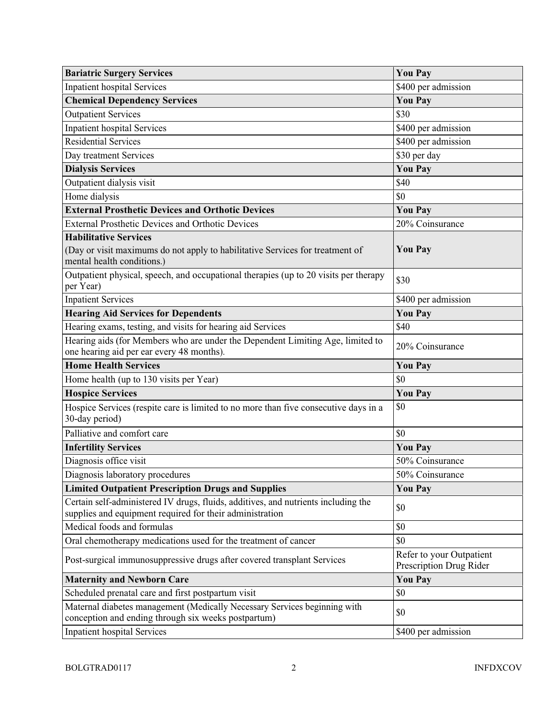| <b>Bariatric Surgery Services</b>                                                                                                              | <b>You Pay</b>                                      |
|------------------------------------------------------------------------------------------------------------------------------------------------|-----------------------------------------------------|
| <b>Inpatient hospital Services</b>                                                                                                             | \$400 per admission                                 |
| <b>Chemical Dependency Services</b>                                                                                                            | <b>You Pay</b>                                      |
| <b>Outpatient Services</b>                                                                                                                     | \$30                                                |
| <b>Inpatient hospital Services</b>                                                                                                             | \$400 per admission                                 |
| <b>Residential Services</b>                                                                                                                    | \$400 per admission                                 |
| Day treatment Services                                                                                                                         | \$30 per day                                        |
| <b>Dialysis Services</b>                                                                                                                       | <b>You Pay</b>                                      |
| Outpatient dialysis visit                                                                                                                      | \$40                                                |
| Home dialysis                                                                                                                                  | \$0                                                 |
| <b>External Prosthetic Devices and Orthotic Devices</b>                                                                                        | <b>You Pay</b>                                      |
| <b>External Prosthetic Devices and Orthotic Devices</b>                                                                                        | 20% Coinsurance                                     |
| <b>Habilitative Services</b>                                                                                                                   |                                                     |
| (Day or visit maximums do not apply to habilitative Services for treatment of<br>mental health conditions.)                                    | <b>You Pay</b>                                      |
| Outpatient physical, speech, and occupational therapies (up to 20 visits per therapy<br>per Year)                                              | \$30                                                |
| <b>Inpatient Services</b>                                                                                                                      | \$400 per admission                                 |
| <b>Hearing Aid Services for Dependents</b>                                                                                                     | <b>You Pay</b>                                      |
| Hearing exams, testing, and visits for hearing aid Services                                                                                    | \$40                                                |
| Hearing aids (for Members who are under the Dependent Limiting Age, limited to<br>one hearing aid per ear every 48 months).                    | 20% Coinsurance                                     |
| <b>Home Health Services</b>                                                                                                                    | <b>You Pay</b>                                      |
| Home health (up to 130 visits per Year)                                                                                                        | \$0                                                 |
| <b>Hospice Services</b>                                                                                                                        | <b>You Pay</b>                                      |
| Hospice Services (respite care is limited to no more than five consecutive days in a<br>30-day period)                                         | \$0                                                 |
| Palliative and comfort care                                                                                                                    | \$0                                                 |
| <b>Infertility Services</b>                                                                                                                    | <b>You Pay</b>                                      |
| Diagnosis office visit                                                                                                                         | 50% Coinsurance                                     |
| Diagnosis laboratory procedures                                                                                                                | 50% Coinsurance                                     |
| <b>Limited Outpatient Prescription Drugs and Supplies</b>                                                                                      | <b>You Pay</b>                                      |
| Certain self-administered IV drugs, fluids, additives, and nutrients including the<br>supplies and equipment required for their administration | \$0                                                 |
| Medical foods and formulas                                                                                                                     | \$0                                                 |
| Oral chemotherapy medications used for the treatment of cancer                                                                                 | \$0                                                 |
| Post-surgical immunosuppressive drugs after covered transplant Services                                                                        | Refer to your Outpatient<br>Prescription Drug Rider |
| <b>Maternity and Newborn Care</b>                                                                                                              | <b>You Pay</b>                                      |
| Scheduled prenatal care and first postpartum visit                                                                                             | \$0                                                 |
| Maternal diabetes management (Medically Necessary Services beginning with<br>conception and ending through six weeks postpartum)               | \$0                                                 |
| <b>Inpatient hospital Services</b>                                                                                                             | \$400 per admission                                 |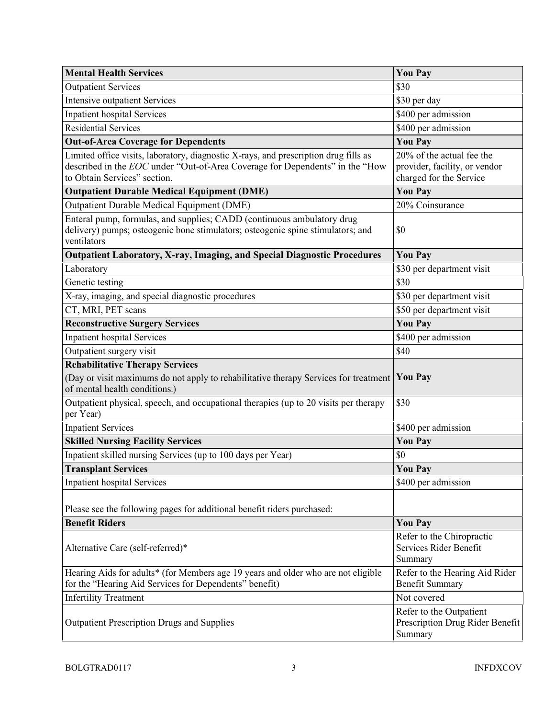| <b>Mental Health Services</b>                                                                                                                                                                        | <b>You Pay</b>                                                                        |
|------------------------------------------------------------------------------------------------------------------------------------------------------------------------------------------------------|---------------------------------------------------------------------------------------|
| <b>Outpatient Services</b>                                                                                                                                                                           | \$30                                                                                  |
| <b>Intensive outpatient Services</b>                                                                                                                                                                 | \$30 per day                                                                          |
| <b>Inpatient hospital Services</b>                                                                                                                                                                   | \$400 per admission                                                                   |
| <b>Residential Services</b>                                                                                                                                                                          | \$400 per admission                                                                   |
| <b>Out-of-Area Coverage for Dependents</b>                                                                                                                                                           | <b>You Pay</b>                                                                        |
| Limited office visits, laboratory, diagnostic X-rays, and prescription drug fills as<br>described in the EOC under "Out-of-Area Coverage for Dependents" in the "How<br>to Obtain Services" section. | 20% of the actual fee the<br>provider, facility, or vendor<br>charged for the Service |
| <b>Outpatient Durable Medical Equipment (DME)</b>                                                                                                                                                    | <b>You Pay</b>                                                                        |
| Outpatient Durable Medical Equipment (DME)                                                                                                                                                           | 20% Coinsurance                                                                       |
| Enteral pump, formulas, and supplies; CADD (continuous ambulatory drug<br>delivery) pumps; osteogenic bone stimulators; osteogenic spine stimulators; and<br>ventilators                             | \$0                                                                                   |
| Outpatient Laboratory, X-ray, Imaging, and Special Diagnostic Procedures                                                                                                                             | <b>You Pay</b>                                                                        |
| Laboratory                                                                                                                                                                                           | \$30 per department visit                                                             |
| Genetic testing                                                                                                                                                                                      | \$30                                                                                  |
| X-ray, imaging, and special diagnostic procedures                                                                                                                                                    | \$30 per department visit                                                             |
| CT, MRI, PET scans                                                                                                                                                                                   | \$50 per department visit                                                             |
| <b>Reconstructive Surgery Services</b>                                                                                                                                                               | <b>You Pay</b>                                                                        |
| <b>Inpatient hospital Services</b>                                                                                                                                                                   | \$400 per admission                                                                   |
| Outpatient surgery visit                                                                                                                                                                             | \$40                                                                                  |
| <b>Rehabilitative Therapy Services</b>                                                                                                                                                               |                                                                                       |
| (Day or visit maximums do not apply to rehabilitative therapy Services for treatment<br>of mental health conditions.)                                                                                | <b>You Pay</b>                                                                        |
| Outpatient physical, speech, and occupational therapies (up to 20 visits per therapy<br>per Year)                                                                                                    | \$30                                                                                  |
| <b>Inpatient Services</b>                                                                                                                                                                            | \$400 per admission                                                                   |
| <b>Skilled Nursing Facility Services</b>                                                                                                                                                             | <b>You Pay</b>                                                                        |
| Inpatient skilled nursing Services (up to 100 days per Year)                                                                                                                                         | \$0                                                                                   |
| <b>Transplant Services</b>                                                                                                                                                                           | <b>You Pay</b>                                                                        |
| <b>Inpatient hospital Services</b>                                                                                                                                                                   | \$400 per admission                                                                   |
| Please see the following pages for additional benefit riders purchased:                                                                                                                              |                                                                                       |
| <b>Benefit Riders</b>                                                                                                                                                                                | <b>You Pay</b>                                                                        |
| Alternative Care (self-referred)*                                                                                                                                                                    | Refer to the Chiropractic<br>Services Rider Benefit<br>Summary                        |
| Hearing Aids for adults* (for Members age 19 years and older who are not eligible<br>for the "Hearing Aid Services for Dependents" benefit)                                                          | Refer to the Hearing Aid Rider<br><b>Benefit Summary</b>                              |
| <b>Infertility Treatment</b>                                                                                                                                                                         | Not covered                                                                           |
| <b>Outpatient Prescription Drugs and Supplies</b>                                                                                                                                                    | Refer to the Outpatient<br>Prescription Drug Rider Benefit<br>Summary                 |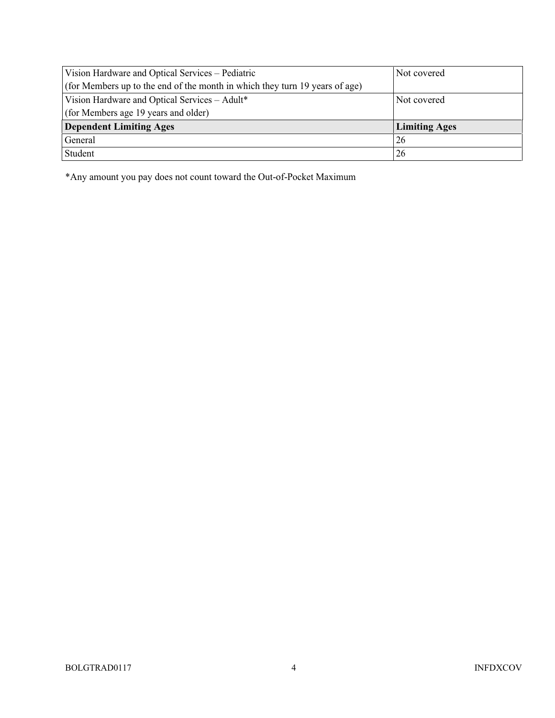| Vision Hardware and Optical Services - Pediatric                            | Not covered          |
|-----------------------------------------------------------------------------|----------------------|
| (for Members up to the end of the month in which they turn 19 years of age) |                      |
| Vision Hardware and Optical Services - Adult*                               | Not covered          |
| (for Members age 19 years and older)                                        |                      |
| <b>Dependent Limiting Ages</b>                                              | <b>Limiting Ages</b> |
| General                                                                     | 26                   |
| Student                                                                     | 26                   |

\*Any amount you pay does not count toward the Out-of-Pocket Maximum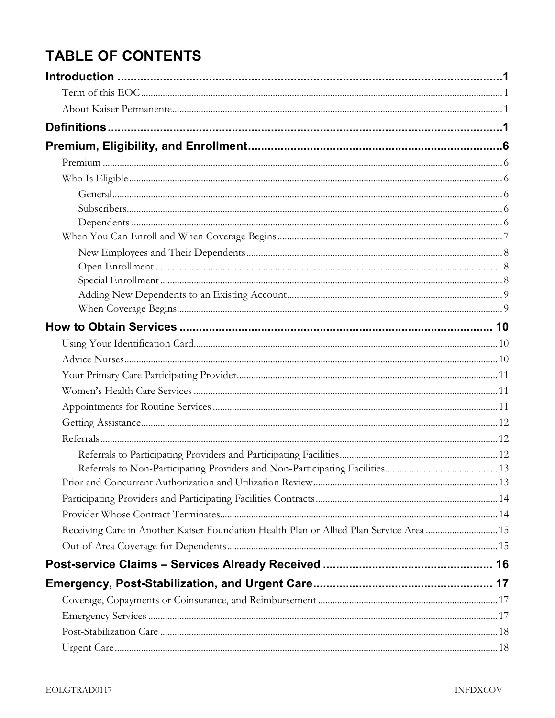## **TABLE OF CONTENTS**

| Receiving Care in Another Kaiser Foundation Health Plan or Allied Plan Service Area  15 |  |
|-----------------------------------------------------------------------------------------|--|
|                                                                                         |  |
|                                                                                         |  |
|                                                                                         |  |
|                                                                                         |  |
|                                                                                         |  |
|                                                                                         |  |
|                                                                                         |  |
|                                                                                         |  |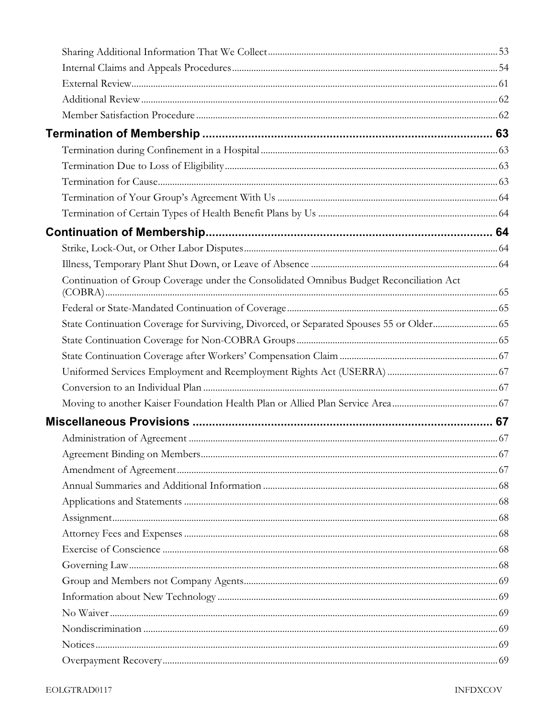| Continuation of Group Coverage under the Consolidated Omnibus Budget Reconciliation Act  |  |
|------------------------------------------------------------------------------------------|--|
|                                                                                          |  |
| State Continuation Coverage for Surviving, Divorced, or Separated Spouses 55 or Older 65 |  |
|                                                                                          |  |
|                                                                                          |  |
|                                                                                          |  |
|                                                                                          |  |
|                                                                                          |  |
|                                                                                          |  |
|                                                                                          |  |
|                                                                                          |  |
|                                                                                          |  |
|                                                                                          |  |
|                                                                                          |  |
|                                                                                          |  |
|                                                                                          |  |
|                                                                                          |  |
|                                                                                          |  |
|                                                                                          |  |
|                                                                                          |  |
|                                                                                          |  |
|                                                                                          |  |
|                                                                                          |  |
|                                                                                          |  |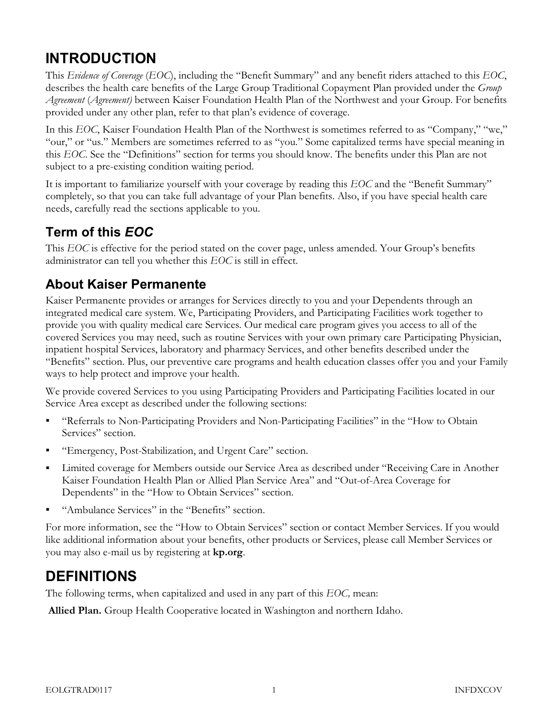## INTRODUCTION

This Evidence of Coverage (EOC), including the "Benefit Summary" and any benefit riders attached to this EOC, describes the health care benefits of the Large Group Traditional Copayment Plan provided under the Group Agreement (Agreement) between Kaiser Foundation Health Plan of the Northwest and your Group. For benefits provided under any other plan, refer to that plan's evidence of coverage.

In this EOC, Kaiser Foundation Health Plan of the Northwest is sometimes referred to as "Company," "we," "our," or "us." Members are sometimes referred to as "you." Some capitalized terms have special meaning in this EOC. See the "Definitions" section for terms you should know. The benefits under this Plan are not subject to a pre-existing condition waiting period.

It is important to familiarize yourself with your coverage by reading this EOC and the "Benefit Summary" completely, so that you can take full advantage of your Plan benefits. Also, if you have special health care needs, carefully read the sections applicable to you.

### Term of this EOC

This EOC is effective for the period stated on the cover page, unless amended. Your Group's benefits administrator can tell you whether this EOC is still in effect.

#### About Kaiser Permanente

Kaiser Permanente provides or arranges for Services directly to you and your Dependents through an integrated medical care system. We, Participating Providers, and Participating Facilities work together to provide you with quality medical care Services. Our medical care program gives you access to all of the covered Services you may need, such as routine Services with your own primary care Participating Physician, inpatient hospital Services, laboratory and pharmacy Services, and other benefits described under the "Benefits" section. Plus, our preventive care programs and health education classes offer you and your Family ways to help protect and improve your health.

We provide covered Services to you using Participating Providers and Participating Facilities located in our Service Area except as described under the following sections:

- "Referrals to Non-Participating Providers and Non-Participating Facilities" in the "How to Obtain Services" section.
- "Emergency, Post-Stabilization, and Urgent Care" section.
- Limited coverage for Members outside our Service Area as described under "Receiving Care in Another Kaiser Foundation Health Plan or Allied Plan Service Area" and "Out-of-Area Coverage for Dependents" in the "How to Obtain Services" section.
- "Ambulance Services" in the "Benefits" section.

For more information, see the "How to Obtain Services" section or contact Member Services. If you would like additional information about your benefits, other products or Services, please call Member Services or you may also e-mail us by registering at kp.org.

### DEFINITIONS

The following terms, when capitalized and used in any part of this EOC, mean:

Allied Plan. Group Health Cooperative located in Washington and northern Idaho.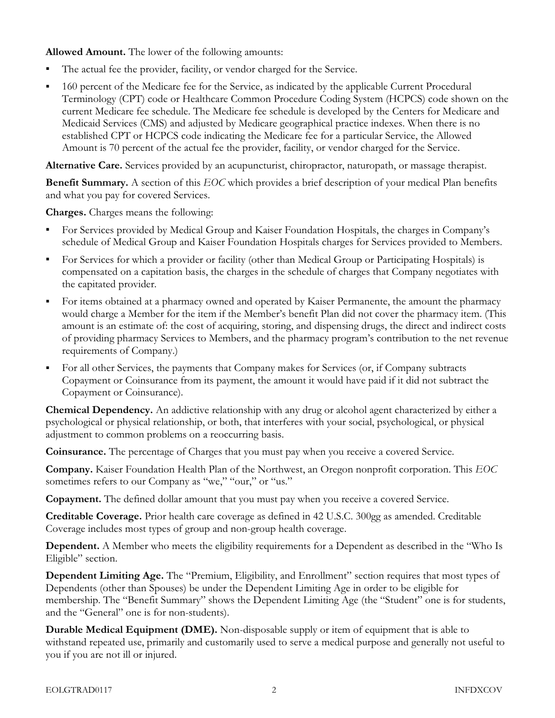Allowed Amount. The lower of the following amounts:

- The actual fee the provider, facility, or vendor charged for the Service.
- 160 percent of the Medicare fee for the Service, as indicated by the applicable Current Procedural Terminology (CPT) code or Healthcare Common Procedure Coding System (HCPCS) code shown on the current Medicare fee schedule. The Medicare fee schedule is developed by the Centers for Medicare and Medicaid Services (CMS) and adjusted by Medicare geographical practice indexes. When there is no established CPT or HCPCS code indicating the Medicare fee for a particular Service, the Allowed Amount is 70 percent of the actual fee the provider, facility, or vendor charged for the Service.

Alternative Care. Services provided by an acupuncturist, chiropractor, naturopath, or massage therapist.

Benefit Summary. A section of this EOC which provides a brief description of your medical Plan benefits and what you pay for covered Services.

Charges. Charges means the following:

- For Services provided by Medical Group and Kaiser Foundation Hospitals, the charges in Company's schedule of Medical Group and Kaiser Foundation Hospitals charges for Services provided to Members.
- For Services for which a provider or facility (other than Medical Group or Participating Hospitals) is compensated on a capitation basis, the charges in the schedule of charges that Company negotiates with the capitated provider.
- For items obtained at a pharmacy owned and operated by Kaiser Permanente, the amount the pharmacy would charge a Member for the item if the Member's benefit Plan did not cover the pharmacy item. (This amount is an estimate of: the cost of acquiring, storing, and dispensing drugs, the direct and indirect costs of providing pharmacy Services to Members, and the pharmacy program's contribution to the net revenue requirements of Company.)
- For all other Services, the payments that Company makes for Services (or, if Company subtracts Copayment or Coinsurance from its payment, the amount it would have paid if it did not subtract the Copayment or Coinsurance).

Chemical Dependency. An addictive relationship with any drug or alcohol agent characterized by either a psychological or physical relationship, or both, that interferes with your social, psychological, or physical adjustment to common problems on a reoccurring basis.

Coinsurance. The percentage of Charges that you must pay when you receive a covered Service.

Company. Kaiser Foundation Health Plan of the Northwest, an Oregon nonprofit corporation. This EOC sometimes refers to our Company as "we," "our," or "us."

Copayment. The defined dollar amount that you must pay when you receive a covered Service.

Creditable Coverage. Prior health care coverage as defined in 42 U.S.C. 300gg as amended. Creditable Coverage includes most types of group and non-group health coverage.

Dependent. A Member who meets the eligibility requirements for a Dependent as described in the "Who Is Eligible" section.

Dependent Limiting Age. The "Premium, Eligibility, and Enrollment" section requires that most types of Dependents (other than Spouses) be under the Dependent Limiting Age in order to be eligible for membership. The "Benefit Summary" shows the Dependent Limiting Age (the "Student" one is for students, and the "General" one is for non-students).

Durable Medical Equipment (DME). Non-disposable supply or item of equipment that is able to withstand repeated use, primarily and customarily used to serve a medical purpose and generally not useful to you if you are not ill or injured.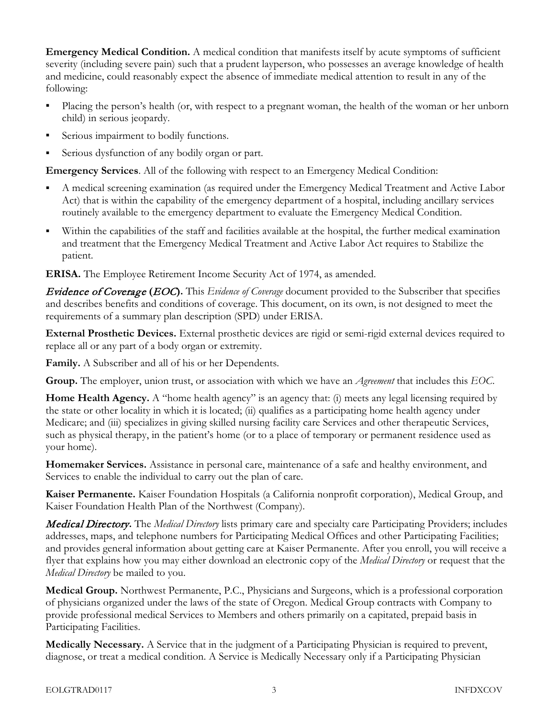Emergency Medical Condition. A medical condition that manifests itself by acute symptoms of sufficient severity (including severe pain) such that a prudent layperson, who possesses an average knowledge of health and medicine, could reasonably expect the absence of immediate medical attention to result in any of the following:

- Placing the person's health (or, with respect to a pregnant woman, the health of the woman or her unborn child) in serious jeopardy.
- Serious impairment to bodily functions.
- Serious dysfunction of any bodily organ or part.

Emergency Services. All of the following with respect to an Emergency Medical Condition:

- A medical screening examination (as required under the Emergency Medical Treatment and Active Labor Act) that is within the capability of the emergency department of a hospital, including ancillary services routinely available to the emergency department to evaluate the Emergency Medical Condition.
- Within the capabilities of the staff and facilities available at the hospital, the further medical examination and treatment that the Emergency Medical Treatment and Active Labor Act requires to Stabilize the patient.

ERISA. The Employee Retirement Income Security Act of 1974, as amended.

**Evidence of Coverage (EOC).** This Evidence of Coverage document provided to the Subscriber that specifies and describes benefits and conditions of coverage. This document, on its own, is not designed to meet the requirements of a summary plan description (SPD) under ERISA.

External Prosthetic Devices. External prosthetic devices are rigid or semi-rigid external devices required to replace all or any part of a body organ or extremity.

Family. A Subscriber and all of his or her Dependents.

Group. The employer, union trust, or association with which we have an *Agreement* that includes this EOC.

Home Health Agency. A "home health agency" is an agency that: (i) meets any legal licensing required by the state or other locality in which it is located; (ii) qualifies as a participating home health agency under Medicare; and (iii) specializes in giving skilled nursing facility care Services and other therapeutic Services, such as physical therapy, in the patient's home (or to a place of temporary or permanent residence used as your home).

Homemaker Services. Assistance in personal care, maintenance of a safe and healthy environment, and Services to enable the individual to carry out the plan of care.

Kaiser Permanente. Kaiser Foundation Hospitals (a California nonprofit corporation), Medical Group, and Kaiser Foundation Health Plan of the Northwest (Company).

**Medical Directory.** The Medical Directory lists primary care and specialty care Participating Providers; includes addresses, maps, and telephone numbers for Participating Medical Offices and other Participating Facilities; and provides general information about getting care at Kaiser Permanente. After you enroll, you will receive a flyer that explains how you may either download an electronic copy of the *Medical Directory* or request that the Medical Directory be mailed to you.

Medical Group. Northwest Permanente, P.C., Physicians and Surgeons, which is a professional corporation of physicians organized under the laws of the state of Oregon. Medical Group contracts with Company to provide professional medical Services to Members and others primarily on a capitated, prepaid basis in Participating Facilities.

Medically Necessary. A Service that in the judgment of a Participating Physician is required to prevent, diagnose, or treat a medical condition. A Service is Medically Necessary only if a Participating Physician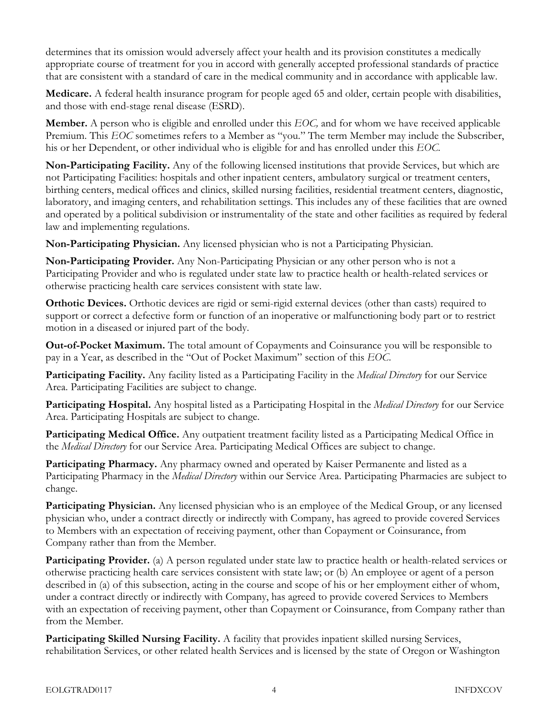determines that its omission would adversely affect your health and its provision constitutes a medically appropriate course of treatment for you in accord with generally accepted professional standards of practice that are consistent with a standard of care in the medical community and in accordance with applicable law.

Medicare. A federal health insurance program for people aged 65 and older, certain people with disabilities, and those with end-stage renal disease (ESRD).

Member. A person who is eligible and enrolled under this EOC, and for whom we have received applicable Premium. This EOC sometimes refers to a Member as "you." The term Member may include the Subscriber, his or her Dependent, or other individual who is eligible for and has enrolled under this EOC.

Non-Participating Facility. Any of the following licensed institutions that provide Services, but which are not Participating Facilities: hospitals and other inpatient centers, ambulatory surgical or treatment centers, birthing centers, medical offices and clinics, skilled nursing facilities, residential treatment centers, diagnostic, laboratory, and imaging centers, and rehabilitation settings. This includes any of these facilities that are owned and operated by a political subdivision or instrumentality of the state and other facilities as required by federal law and implementing regulations.

Non-Participating Physician. Any licensed physician who is not a Participating Physician.

Non-Participating Provider. Any Non-Participating Physician or any other person who is not a Participating Provider and who is regulated under state law to practice health or health-related services or otherwise practicing health care services consistent with state law.

Orthotic Devices. Orthotic devices are rigid or semi-rigid external devices (other than casts) required to support or correct a defective form or function of an inoperative or malfunctioning body part or to restrict motion in a diseased or injured part of the body.

Out-of-Pocket Maximum. The total amount of Copayments and Coinsurance you will be responsible to pay in a Year, as described in the "Out of Pocket Maximum" section of this EOC.

Participating Facility. Any facility listed as a Participating Facility in the *Medical Directory* for our Service Area. Participating Facilities are subject to change.

Participating Hospital. Any hospital listed as a Participating Hospital in the *Medical Directory* for our Service Area. Participating Hospitals are subject to change.

Participating Medical Office. Any outpatient treatment facility listed as a Participating Medical Office in the *Medical Directory* for our Service Area. Participating Medical Offices are subject to change.

Participating Pharmacy. Any pharmacy owned and operated by Kaiser Permanente and listed as a Participating Pharmacy in the *Medical Directory* within our Service Area. Participating Pharmacies are subject to change.

Participating Physician. Any licensed physician who is an employee of the Medical Group, or any licensed physician who, under a contract directly or indirectly with Company, has agreed to provide covered Services to Members with an expectation of receiving payment, other than Copayment or Coinsurance, from Company rather than from the Member.

Participating Provider. (a) A person regulated under state law to practice health or health-related services or otherwise practicing health care services consistent with state law; or (b) An employee or agent of a person described in (a) of this subsection, acting in the course and scope of his or her employment either of whom, under a contract directly or indirectly with Company, has agreed to provide covered Services to Members with an expectation of receiving payment, other than Copayment or Coinsurance, from Company rather than from the Member.

Participating Skilled Nursing Facility. A facility that provides inpatient skilled nursing Services, rehabilitation Services, or other related health Services and is licensed by the state of Oregon or Washington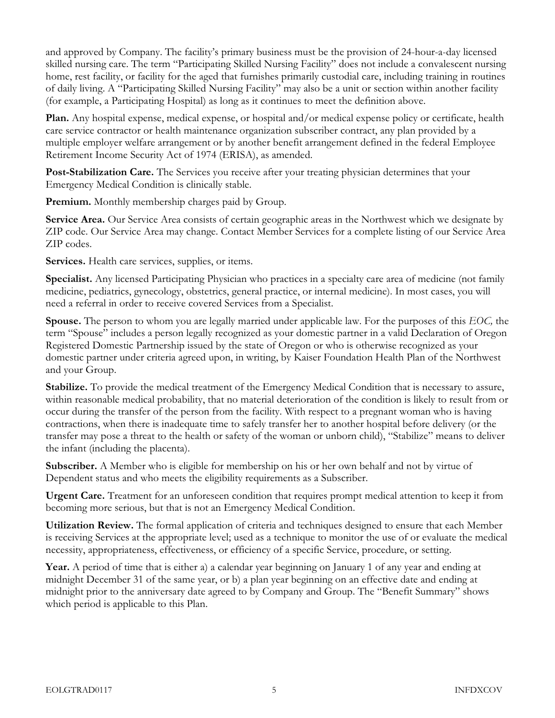and approved by Company. The facility's primary business must be the provision of 24-hour-a-day licensed skilled nursing care. The term "Participating Skilled Nursing Facility" does not include a convalescent nursing home, rest facility, or facility for the aged that furnishes primarily custodial care, including training in routines of daily living. A "Participating Skilled Nursing Facility" may also be a unit or section within another facility (for example, a Participating Hospital) as long as it continues to meet the definition above.

Plan. Any hospital expense, medical expense, or hospital and/or medical expense policy or certificate, health care service contractor or health maintenance organization subscriber contract, any plan provided by a multiple employer welfare arrangement or by another benefit arrangement defined in the federal Employee Retirement Income Security Act of 1974 (ERISA), as amended.

Post-Stabilization Care. The Services you receive after your treating physician determines that your Emergency Medical Condition is clinically stable.

Premium. Monthly membership charges paid by Group.

Service Area. Our Service Area consists of certain geographic areas in the Northwest which we designate by ZIP code. Our Service Area may change. Contact Member Services for a complete listing of our Service Area ZIP codes.

Services. Health care services, supplies, or items.

Specialist. Any licensed Participating Physician who practices in a specialty care area of medicine (not family medicine, pediatrics, gynecology, obstetrics, general practice, or internal medicine). In most cases, you will need a referral in order to receive covered Services from a Specialist.

Spouse. The person to whom you are legally married under applicable law. For the purposes of this EOC, the term "Spouse" includes a person legally recognized as your domestic partner in a valid Declaration of Oregon Registered Domestic Partnership issued by the state of Oregon or who is otherwise recognized as your domestic partner under criteria agreed upon, in writing, by Kaiser Foundation Health Plan of the Northwest and your Group.

Stabilize. To provide the medical treatment of the Emergency Medical Condition that is necessary to assure, within reasonable medical probability, that no material deterioration of the condition is likely to result from or occur during the transfer of the person from the facility. With respect to a pregnant woman who is having contractions, when there is inadequate time to safely transfer her to another hospital before delivery (or the transfer may pose a threat to the health or safety of the woman or unborn child), "Stabilize" means to deliver the infant (including the placenta).

Subscriber. A Member who is eligible for membership on his or her own behalf and not by virtue of Dependent status and who meets the eligibility requirements as a Subscriber.

Urgent Care. Treatment for an unforeseen condition that requires prompt medical attention to keep it from becoming more serious, but that is not an Emergency Medical Condition.

Utilization Review. The formal application of criteria and techniques designed to ensure that each Member is receiving Services at the appropriate level; used as a technique to monitor the use of or evaluate the medical necessity, appropriateness, effectiveness, or efficiency of a specific Service, procedure, or setting.

Year. A period of time that is either a) a calendar year beginning on January 1 of any year and ending at midnight December 31 of the same year, or b) a plan year beginning on an effective date and ending at midnight prior to the anniversary date agreed to by Company and Group. The "Benefit Summary" shows which period is applicable to this Plan.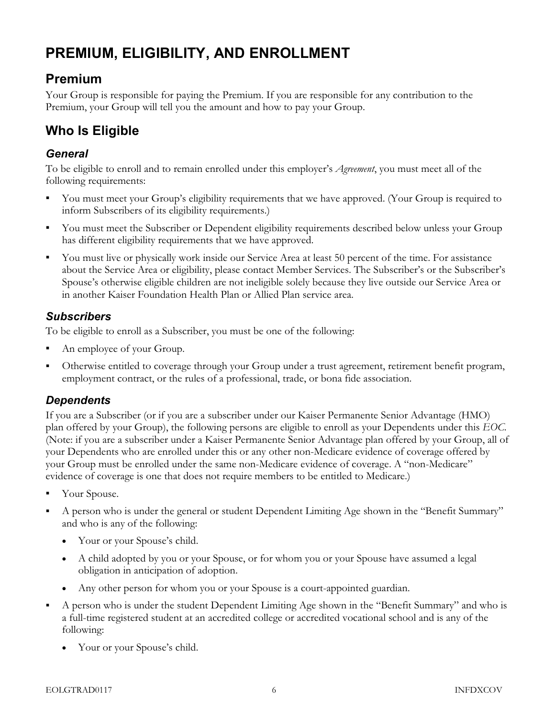## PREMIUM, ELIGIBILITY, AND ENROLLMENT

#### Premium

Your Group is responsible for paying the Premium. If you are responsible for any contribution to the Premium, your Group will tell you the amount and how to pay your Group.

## Who Is Eligible

#### **General**

To be eligible to enroll and to remain enrolled under this employer's Agreement, you must meet all of the following requirements:

- You must meet your Group's eligibility requirements that we have approved. (Your Group is required to inform Subscribers of its eligibility requirements.)
- You must meet the Subscriber or Dependent eligibility requirements described below unless your Group has different eligibility requirements that we have approved.
- You must live or physically work inside our Service Area at least 50 percent of the time. For assistance about the Service Area or eligibility, please contact Member Services. The Subscriber's or the Subscriber's Spouse's otherwise eligible children are not ineligible solely because they live outside our Service Area or in another Kaiser Foundation Health Plan or Allied Plan service area.

#### **Subscribers**

To be eligible to enroll as a Subscriber, you must be one of the following:

- An employee of your Group.
- Otherwise entitled to coverage through your Group under a trust agreement, retirement benefit program, employment contract, or the rules of a professional, trade, or bona fide association.

#### **Dependents**

If you are a Subscriber (or if you are a subscriber under our Kaiser Permanente Senior Advantage (HMO) plan offered by your Group), the following persons are eligible to enroll as your Dependents under this EOC. (Note: if you are a subscriber under a Kaiser Permanente Senior Advantage plan offered by your Group, all of your Dependents who are enrolled under this or any other non-Medicare evidence of coverage offered by your Group must be enrolled under the same non-Medicare evidence of coverage. A "non-Medicare" evidence of coverage is one that does not require members to be entitled to Medicare.)

- Your Spouse.
- A person who is under the general or student Dependent Limiting Age shown in the "Benefit Summary" and who is any of the following:
	- Your or your Spouse's child.
	- A child adopted by you or your Spouse, or for whom you or your Spouse have assumed a legal obligation in anticipation of adoption.
	- Any other person for whom you or your Spouse is a court-appointed guardian.
- A person who is under the student Dependent Limiting Age shown in the "Benefit Summary" and who is a full-time registered student at an accredited college or accredited vocational school and is any of the following:
	- Your or your Spouse's child.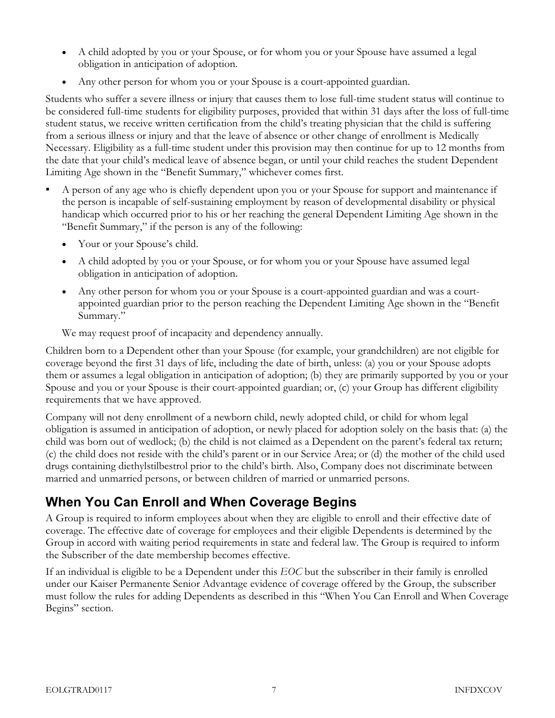- A child adopted by you or your Spouse, or for whom you or your Spouse have assumed a legal obligation in anticipation of adoption.
- Any other person for whom you or your Spouse is a court-appointed guardian.

Students who suffer a severe illness or injury that causes them to lose full-time student status will continue to be considered full-time students for eligibility purposes, provided that within 31 days after the loss of full-time student status, we receive written certification from the child's treating physician that the child is suffering from a serious illness or injury and that the leave of absence or other change of enrollment is Medically Necessary. Eligibility as a full-time student under this provision may then continue for up to 12 months from the date that your child's medical leave of absence began, or until your child reaches the student Dependent Limiting Age shown in the "Benefit Summary," whichever comes first.

- A person of any age who is chiefly dependent upon you or your Spouse for support and maintenance if the person is incapable of self-sustaining employment by reason of developmental disability or physical handicap which occurred prior to his or her reaching the general Dependent Limiting Age shown in the "Benefit Summary," if the person is any of the following:
	- Your or your Spouse's child.
	- A child adopted by you or your Spouse, or for whom you or your Spouse have assumed legal obligation in anticipation of adoption.
	- Any other person for whom you or your Spouse is a court-appointed guardian and was a courtappointed guardian prior to the person reaching the Dependent Limiting Age shown in the "Benefit Summary."

We may request proof of incapacity and dependency annually.

Children born to a Dependent other than your Spouse (for example, your grandchildren) are not eligible for coverage beyond the first 31 days of life, including the date of birth, unless: (a) you or your Spouse adopts them or assumes a legal obligation in anticipation of adoption; (b) they are primarily supported by you or your Spouse and you or your Spouse is their court-appointed guardian; or, (c) your Group has different eligibility requirements that we have approved.

Company will not deny enrollment of a newborn child, newly adopted child, or child for whom legal obligation is assumed in anticipation of adoption, or newly placed for adoption solely on the basis that: (a) the child was born out of wedlock; (b) the child is not claimed as a Dependent on the parent's federal tax return; (c) the child does not reside with the child's parent or in our Service Area; or (d) the mother of the child used drugs containing diethylstilbestrol prior to the child's birth. Also, Company does not discriminate between married and unmarried persons, or between children of married or unmarried persons.

### When You Can Enroll and When Coverage Begins

A Group is required to inform employees about when they are eligible to enroll and their effective date of coverage. The effective date of coverage for employees and their eligible Dependents is determined by the Group in accord with waiting period requirements in state and federal law. The Group is required to inform the Subscriber of the date membership becomes effective.

If an individual is eligible to be a Dependent under this EOC but the subscriber in their family is enrolled under our Kaiser Permanente Senior Advantage evidence of coverage offered by the Group, the subscriber must follow the rules for adding Dependents as described in this "When You Can Enroll and When Coverage Begins" section.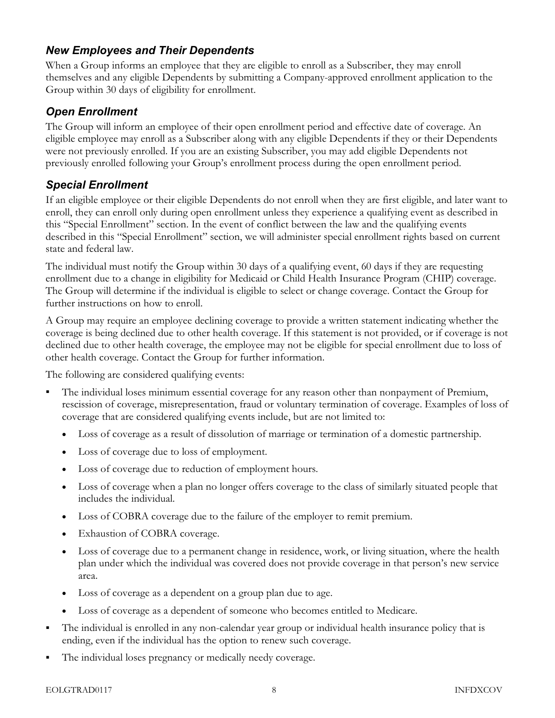#### New Employees and Their Dependents

When a Group informs an employee that they are eligible to enroll as a Subscriber, they may enroll themselves and any eligible Dependents by submitting a Company-approved enrollment application to the Group within 30 days of eligibility for enrollment.

#### Open Enrollment

The Group will inform an employee of their open enrollment period and effective date of coverage. An eligible employee may enroll as a Subscriber along with any eligible Dependents if they or their Dependents were not previously enrolled. If you are an existing Subscriber, you may add eligible Dependents not previously enrolled following your Group's enrollment process during the open enrollment period.

#### Special Enrollment

If an eligible employee or their eligible Dependents do not enroll when they are first eligible, and later want to enroll, they can enroll only during open enrollment unless they experience a qualifying event as described in this "Special Enrollment" section. In the event of conflict between the law and the qualifying events described in this "Special Enrollment" section, we will administer special enrollment rights based on current state and federal law.

The individual must notify the Group within 30 days of a qualifying event, 60 days if they are requesting enrollment due to a change in eligibility for Medicaid or Child Health Insurance Program (CHIP) coverage. The Group will determine if the individual is eligible to select or change coverage. Contact the Group for further instructions on how to enroll.

A Group may require an employee declining coverage to provide a written statement indicating whether the coverage is being declined due to other health coverage. If this statement is not provided, or if coverage is not declined due to other health coverage, the employee may not be eligible for special enrollment due to loss of other health coverage. Contact the Group for further information.

The following are considered qualifying events:

- The individual loses minimum essential coverage for any reason other than nonpayment of Premium, rescission of coverage, misrepresentation, fraud or voluntary termination of coverage. Examples of loss of coverage that are considered qualifying events include, but are not limited to:
	- Loss of coverage as a result of dissolution of marriage or termination of a domestic partnership.
	- Loss of coverage due to loss of employment.
	- Loss of coverage due to reduction of employment hours.
	- Loss of coverage when a plan no longer offers coverage to the class of similarly situated people that includes the individual.
	- Loss of COBRA coverage due to the failure of the employer to remit premium.
	- Exhaustion of COBRA coverage.
	- Loss of coverage due to a permanent change in residence, work, or living situation, where the health plan under which the individual was covered does not provide coverage in that person's new service area.
	- Loss of coverage as a dependent on a group plan due to age.
	- Loss of coverage as a dependent of someone who becomes entitled to Medicare.
- The individual is enrolled in any non-calendar year group or individual health insurance policy that is ending, even if the individual has the option to renew such coverage.
- The individual loses pregnancy or medically needy coverage.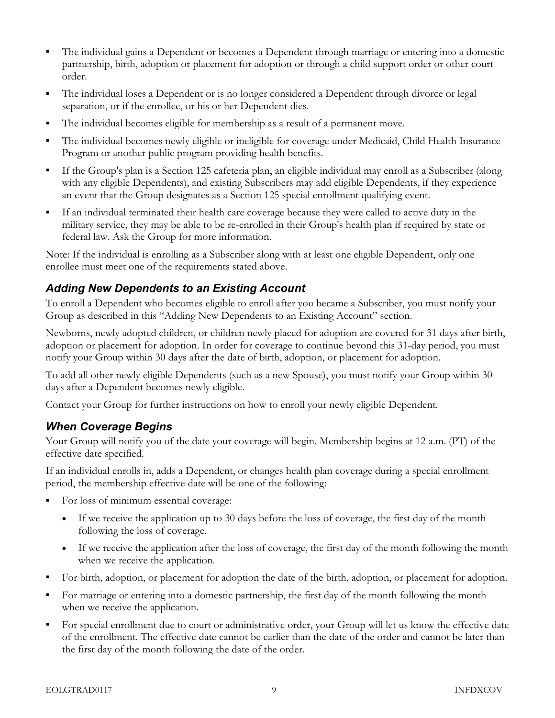- The individual gains a Dependent or becomes a Dependent through marriage or entering into a domestic partnership, birth, adoption or placement for adoption or through a child support order or other court order.
- The individual loses a Dependent or is no longer considered a Dependent through divorce or legal separation, or if the enrollee, or his or her Dependent dies.
- The individual becomes eligible for membership as a result of a permanent move.
- The individual becomes newly eligible or ineligible for coverage under Medicaid, Child Health Insurance Program or another public program providing health benefits.
- If the Group's plan is a Section 125 cafeteria plan, an eligible individual may enroll as a Subscriber (along with any eligible Dependents), and existing Subscribers may add eligible Dependents, if they experience an event that the Group designates as a Section 125 special enrollment qualifying event.
- If an individual terminated their health care coverage because they were called to active duty in the military service, they may be able to be re-enrolled in their Group's health plan if required by state or federal law. Ask the Group for more information.

Note: If the individual is enrolling as a Subscriber along with at least one eligible Dependent, only one enrollee must meet one of the requirements stated above.

#### Adding New Dependents to an Existing Account

To enroll a Dependent who becomes eligible to enroll after you became a Subscriber, you must notify your Group as described in this "Adding New Dependents to an Existing Account" section.

Newborns, newly adopted children, or children newly placed for adoption are covered for 31 days after birth, adoption or placement for adoption. In order for coverage to continue beyond this 31-day period, you must notify your Group within 30 days after the date of birth, adoption, or placement for adoption.

To add all other newly eligible Dependents (such as a new Spouse), you must notify your Group within 30 days after a Dependent becomes newly eligible.

Contact your Group for further instructions on how to enroll your newly eligible Dependent.

#### When Coverage Begins

Your Group will notify you of the date your coverage will begin. Membership begins at 12 a.m. (PT) of the effective date specified.

If an individual enrolls in, adds a Dependent, or changes health plan coverage during a special enrollment period, the membership effective date will be one of the following:

- For loss of minimum essential coverage:
	- If we receive the application up to 30 days before the loss of coverage, the first day of the month following the loss of coverage.
	- If we receive the application after the loss of coverage, the first day of the month following the month when we receive the application.
- For birth, adoption, or placement for adoption the date of the birth, adoption, or placement for adoption.
- For marriage or entering into a domestic partnership, the first day of the month following the month when we receive the application.
- For special enrollment due to court or administrative order, your Group will let us know the effective date of the enrollment. The effective date cannot be earlier than the date of the order and cannot be later than the first day of the month following the date of the order.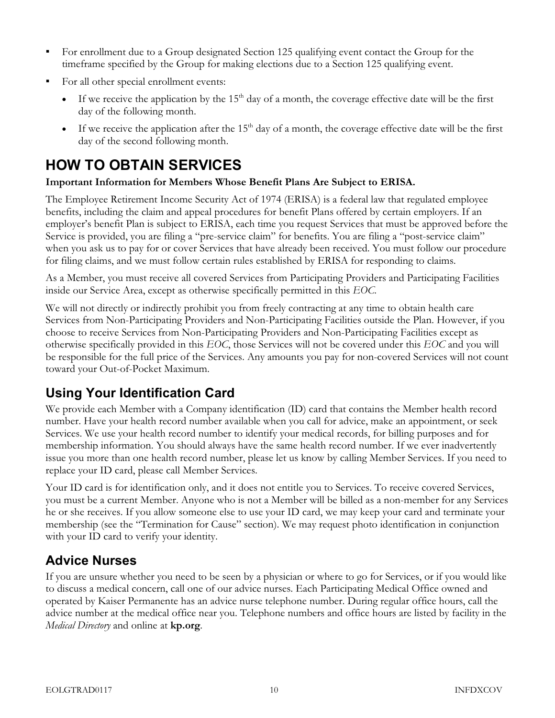- For enrollment due to a Group designated Section 125 qualifying event contact the Group for the timeframe specified by the Group for making elections due to a Section 125 qualifying event.
- For all other special enrollment events:
	- If we receive the application by the 15<sup>th</sup> day of a month, the coverage effective date will be the first day of the following month.
	- If we receive the application after the 15<sup>th</sup> day of a month, the coverage effective date will be the first day of the second following month.

## HOW TO OBTAIN SERVICES

#### Important Information for Members Whose Benefit Plans Are Subject to ERISA.

The Employee Retirement Income Security Act of 1974 (ERISA) is a federal law that regulated employee benefits, including the claim and appeal procedures for benefit Plans offered by certain employers. If an employer's benefit Plan is subject to ERISA, each time you request Services that must be approved before the Service is provided, you are filing a "pre-service claim" for benefits. You are filing a "post-service claim" when you ask us to pay for or cover Services that have already been received. You must follow our procedure for filing claims, and we must follow certain rules established by ERISA for responding to claims.

As a Member, you must receive all covered Services from Participating Providers and Participating Facilities inside our Service Area, except as otherwise specifically permitted in this EOC.

We will not directly or indirectly prohibit you from freely contracting at any time to obtain health care Services from Non-Participating Providers and Non-Participating Facilities outside the Plan. However, if you choose to receive Services from Non-Participating Providers and Non-Participating Facilities except as otherwise specifically provided in this EOC, those Services will not be covered under this EOC and you will be responsible for the full price of the Services. Any amounts you pay for non-covered Services will not count toward your Out-of-Pocket Maximum.

### Using Your Identification Card

We provide each Member with a Company identification (ID) card that contains the Member health record number. Have your health record number available when you call for advice, make an appointment, or seek Services. We use your health record number to identify your medical records, for billing purposes and for membership information. You should always have the same health record number. If we ever inadvertently issue you more than one health record number, please let us know by calling Member Services. If you need to replace your ID card, please call Member Services.

Your ID card is for identification only, and it does not entitle you to Services. To receive covered Services, you must be a current Member. Anyone who is not a Member will be billed as a non-member for any Services he or she receives. If you allow someone else to use your ID card, we may keep your card and terminate your membership (see the "Termination for Cause" section). We may request photo identification in conjunction with your ID card to verify your identity.

#### Advice Nurses

If you are unsure whether you need to be seen by a physician or where to go for Services, or if you would like to discuss a medical concern, call one of our advice nurses. Each Participating Medical Office owned and operated by Kaiser Permanente has an advice nurse telephone number. During regular office hours, call the advice number at the medical office near you. Telephone numbers and office hours are listed by facility in the Medical Directory and online at kp.org.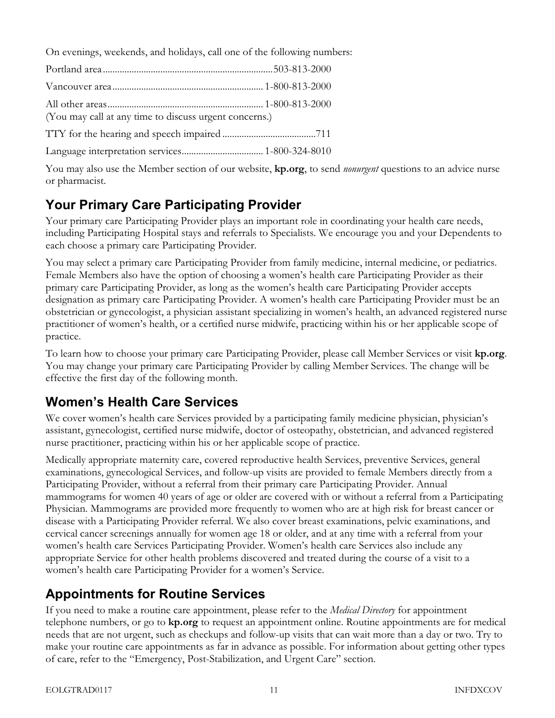On evenings, weekends, and holidays, call one of the following numbers:

| (You may call at any time to discuss urgent concerns.) |  |
|--------------------------------------------------------|--|
|                                                        |  |
|                                                        |  |

You may also use the Member section of our website, kp.org, to send *nonurgent* questions to an advice nurse or pharmacist.

### Your Primary Care Participating Provider

Your primary care Participating Provider plays an important role in coordinating your health care needs, including Participating Hospital stays and referrals to Specialists. We encourage you and your Dependents to each choose a primary care Participating Provider.

You may select a primary care Participating Provider from family medicine, internal medicine, or pediatrics. Female Members also have the option of choosing a women's health care Participating Provider as their primary care Participating Provider, as long as the women's health care Participating Provider accepts designation as primary care Participating Provider. A women's health care Participating Provider must be an obstetrician or gynecologist, a physician assistant specializing in women's health, an advanced registered nurse practitioner of women's health, or a certified nurse midwife, practicing within his or her applicable scope of practice.

To learn how to choose your primary care Participating Provider, please call Member Services or visit kp.org. You may change your primary care Participating Provider by calling Member Services. The change will be effective the first day of the following month.

### Women's Health Care Services

We cover women's health care Services provided by a participating family medicine physician, physician's assistant, gynecologist, certified nurse midwife, doctor of osteopathy, obstetrician, and advanced registered nurse practitioner, practicing within his or her applicable scope of practice.

Medically appropriate maternity care, covered reproductive health Services, preventive Services, general examinations, gynecological Services, and follow-up visits are provided to female Members directly from a Participating Provider, without a referral from their primary care Participating Provider. Annual mammograms for women 40 years of age or older are covered with or without a referral from a Participating Physician. Mammograms are provided more frequently to women who are at high risk for breast cancer or disease with a Participating Provider referral. We also cover breast examinations, pelvic examinations, and cervical cancer screenings annually for women age 18 or older, and at any time with a referral from your women's health care Services Participating Provider. Women's health care Services also include any appropriate Service for other health problems discovered and treated during the course of a visit to a women's health care Participating Provider for a women's Service.

### Appointments for Routine Services

If you need to make a routine care appointment, please refer to the *Medical Directory* for appointment telephone numbers, or go to kp.org to request an appointment online. Routine appointments are for medical needs that are not urgent, such as checkups and follow-up visits that can wait more than a day or two. Try to make your routine care appointments as far in advance as possible. For information about getting other types of care, refer to the "Emergency, Post-Stabilization, and Urgent Care" section.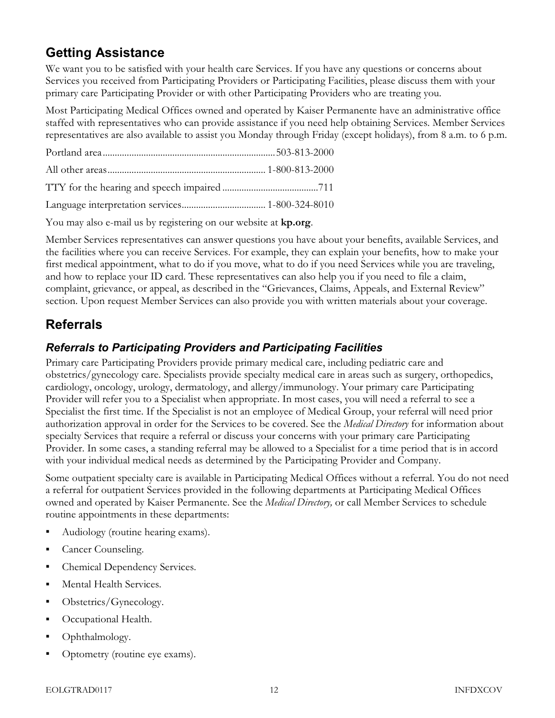#### Getting Assistance

We want you to be satisfied with your health care Services. If you have any questions or concerns about Services you received from Participating Providers or Participating Facilities, please discuss them with your primary care Participating Provider or with other Participating Providers who are treating you.

Most Participating Medical Offices owned and operated by Kaiser Permanente have an administrative office staffed with representatives who can provide assistance if you need help obtaining Services. Member Services representatives are also available to assist you Monday through Friday (except holidays), from 8 a.m. to 6 p.m.

You may also e-mail us by registering on our website at **kp.org**.

Member Services representatives can answer questions you have about your benefits, available Services, and the facilities where you can receive Services. For example, they can explain your benefits, how to make your first medical appointment, what to do if you move, what to do if you need Services while you are traveling, and how to replace your ID card. These representatives can also help you if you need to file a claim, complaint, grievance, or appeal, as described in the "Grievances, Claims, Appeals, and External Review" section. Upon request Member Services can also provide you with written materials about your coverage.

### Referrals

#### Referrals to Participating Providers and Participating Facilities

Primary care Participating Providers provide primary medical care, including pediatric care and obstetrics/gynecology care. Specialists provide specialty medical care in areas such as surgery, orthopedics, cardiology, oncology, urology, dermatology, and allergy/immunology. Your primary care Participating Provider will refer you to a Specialist when appropriate. In most cases, you will need a referral to see a Specialist the first time. If the Specialist is not an employee of Medical Group, your referral will need prior authorization approval in order for the Services to be covered. See the Medical Directory for information about specialty Services that require a referral or discuss your concerns with your primary care Participating Provider. In some cases, a standing referral may be allowed to a Specialist for a time period that is in accord with your individual medical needs as determined by the Participating Provider and Company.

Some outpatient specialty care is available in Participating Medical Offices without a referral. You do not need a referral for outpatient Services provided in the following departments at Participating Medical Offices owned and operated by Kaiser Permanente. See the Medical Directory, or call Member Services to schedule routine appointments in these departments:

- Audiology (routine hearing exams).
- Cancer Counseling.
- Chemical Dependency Services.
- Mental Health Services.
- Obstetrics/Gynecology.
- Occupational Health.
- Ophthalmology.
- Optometry (routine eye exams).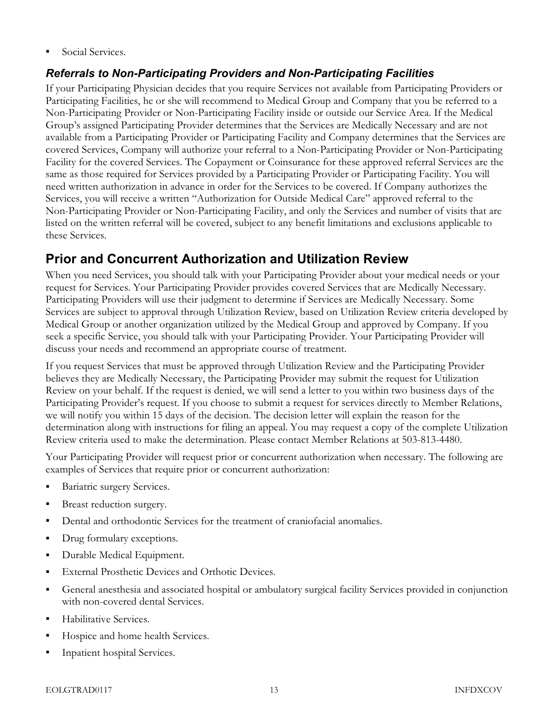**Social Services.** 

#### Referrals to Non-Participating Providers and Non-Participating Facilities

If your Participating Physician decides that you require Services not available from Participating Providers or Participating Facilities, he or she will recommend to Medical Group and Company that you be referred to a Non-Participating Provider or Non-Participating Facility inside or outside our Service Area. If the Medical Group's assigned Participating Provider determines that the Services are Medically Necessary and are not available from a Participating Provider or Participating Facility and Company determines that the Services are covered Services, Company will authorize your referral to a Non-Participating Provider or Non-Participating Facility for the covered Services. The Copayment or Coinsurance for these approved referral Services are the same as those required for Services provided by a Participating Provider or Participating Facility. You will need written authorization in advance in order for the Services to be covered. If Company authorizes the Services, you will receive a written "Authorization for Outside Medical Care" approved referral to the Non-Participating Provider or Non-Participating Facility, and only the Services and number of visits that are listed on the written referral will be covered, subject to any benefit limitations and exclusions applicable to these Services.

#### Prior and Concurrent Authorization and Utilization Review

When you need Services, you should talk with your Participating Provider about your medical needs or your request for Services. Your Participating Provider provides covered Services that are Medically Necessary. Participating Providers will use their judgment to determine if Services are Medically Necessary. Some Services are subject to approval through Utilization Review, based on Utilization Review criteria developed by Medical Group or another organization utilized by the Medical Group and approved by Company. If you seek a specific Service, you should talk with your Participating Provider. Your Participating Provider will discuss your needs and recommend an appropriate course of treatment.

If you request Services that must be approved through Utilization Review and the Participating Provider believes they are Medically Necessary, the Participating Provider may submit the request for Utilization Review on your behalf. If the request is denied, we will send a letter to you within two business days of the Participating Provider's request. If you choose to submit a request for services directly to Member Relations, we will notify you within 15 days of the decision. The decision letter will explain the reason for the determination along with instructions for filing an appeal. You may request a copy of the complete Utilization Review criteria used to make the determination. Please contact Member Relations at 503-813-4480.

Your Participating Provider will request prior or concurrent authorization when necessary. The following are examples of Services that require prior or concurrent authorization:

- Bariatric surgery Services.
- Breast reduction surgery.
- Dental and orthodontic Services for the treatment of craniofacial anomalies.
- Drug formulary exceptions.
- Durable Medical Equipment.
- **External Prosthetic Devices and Orthotic Devices.**
- General anesthesia and associated hospital or ambulatory surgical facility Services provided in conjunction with non-covered dental Services.
- Habilitative Services.
- Hospice and home health Services.
- Inpatient hospital Services.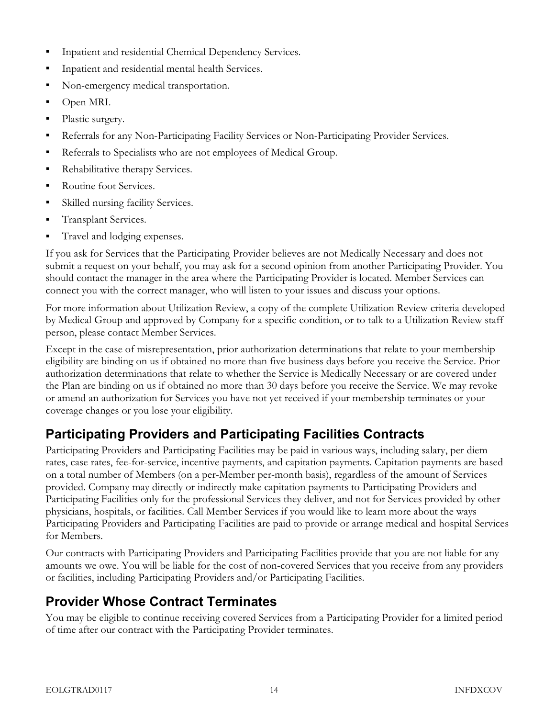- Inpatient and residential Chemical Dependency Services.
- Inpatient and residential mental health Services.
- Non-emergency medical transportation.
- Open MRI.
- Plastic surgery.
- Referrals for any Non-Participating Facility Services or Non-Participating Provider Services.
- Referrals to Specialists who are not employees of Medical Group.
- Rehabilitative therapy Services.
- Routine foot Services.
- Skilled nursing facility Services.
- **Transplant Services.**
- **Travel and lodging expenses.**

If you ask for Services that the Participating Provider believes are not Medically Necessary and does not submit a request on your behalf, you may ask for a second opinion from another Participating Provider. You should contact the manager in the area where the Participating Provider is located. Member Services can connect you with the correct manager, who will listen to your issues and discuss your options.

For more information about Utilization Review, a copy of the complete Utilization Review criteria developed by Medical Group and approved by Company for a specific condition, or to talk to a Utilization Review staff person, please contact Member Services.

Except in the case of misrepresentation, prior authorization determinations that relate to your membership eligibility are binding on us if obtained no more than five business days before you receive the Service. Prior authorization determinations that relate to whether the Service is Medically Necessary or are covered under the Plan are binding on us if obtained no more than 30 days before you receive the Service. We may revoke or amend an authorization for Services you have not yet received if your membership terminates or your coverage changes or you lose your eligibility.

### Participating Providers and Participating Facilities Contracts

Participating Providers and Participating Facilities may be paid in various ways, including salary, per diem rates, case rates, fee-for-service, incentive payments, and capitation payments. Capitation payments are based on a total number of Members (on a per-Member per-month basis), regardless of the amount of Services provided. Company may directly or indirectly make capitation payments to Participating Providers and Participating Facilities only for the professional Services they deliver, and not for Services provided by other physicians, hospitals, or facilities. Call Member Services if you would like to learn more about the ways Participating Providers and Participating Facilities are paid to provide or arrange medical and hospital Services for Members.

Our contracts with Participating Providers and Participating Facilities provide that you are not liable for any amounts we owe. You will be liable for the cost of non-covered Services that you receive from any providers or facilities, including Participating Providers and/or Participating Facilities.

### Provider Whose Contract Terminates

You may be eligible to continue receiving covered Services from a Participating Provider for a limited period of time after our contract with the Participating Provider terminates.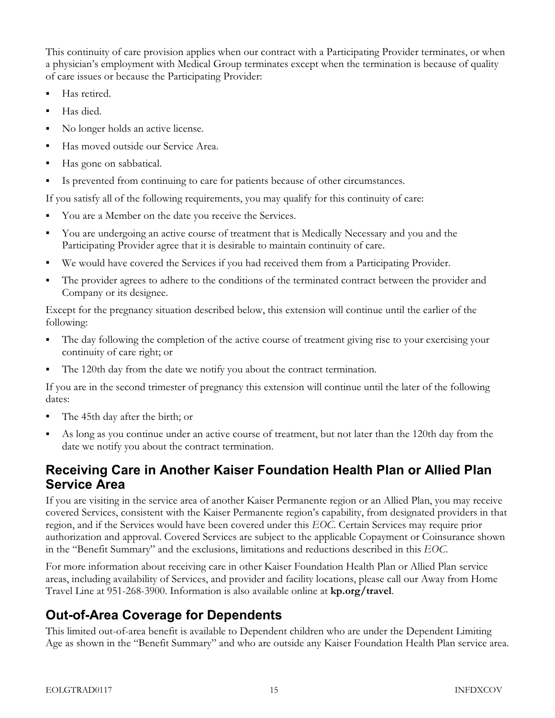This continuity of care provision applies when our contract with a Participating Provider terminates, or when a physician's employment with Medical Group terminates except when the termination is because of quality of care issues or because the Participating Provider:

- Has retired.
- Has died.
- No longer holds an active license.
- Has moved outside our Service Area.
- Has gone on sabbatical.
- Is prevented from continuing to care for patients because of other circumstances.

If you satisfy all of the following requirements, you may qualify for this continuity of care:

- You are a Member on the date you receive the Services.
- You are undergoing an active course of treatment that is Medically Necessary and you and the Participating Provider agree that it is desirable to maintain continuity of care.
- We would have covered the Services if you had received them from a Participating Provider.
- The provider agrees to adhere to the conditions of the terminated contract between the provider and Company or its designee.

Except for the pregnancy situation described below, this extension will continue until the earlier of the following:

- The day following the completion of the active course of treatment giving rise to your exercising your continuity of care right; or
- The 120th day from the date we notify you about the contract termination.

If you are in the second trimester of pregnancy this extension will continue until the later of the following dates:

- The 45th day after the birth; or
- As long as you continue under an active course of treatment, but not later than the 120th day from the date we notify you about the contract termination.

### Receiving Care in Another Kaiser Foundation Health Plan or Allied Plan Service Area

If you are visiting in the service area of another Kaiser Permanente region or an Allied Plan, you may receive covered Services, consistent with the Kaiser Permanente region's capability, from designated providers in that region, and if the Services would have been covered under this EOC. Certain Services may require prior authorization and approval. Covered Services are subject to the applicable Copayment or Coinsurance shown in the "Benefit Summary" and the exclusions, limitations and reductions described in this EOC.

For more information about receiving care in other Kaiser Foundation Health Plan or Allied Plan service areas, including availability of Services, and provider and facility locations, please call our Away from Home Travel Line at 951-268-3900. Information is also available online at kp.org/travel.

### Out-of-Area Coverage for Dependents

This limited out-of-area benefit is available to Dependent children who are under the Dependent Limiting Age as shown in the "Benefit Summary" and who are outside any Kaiser Foundation Health Plan service area.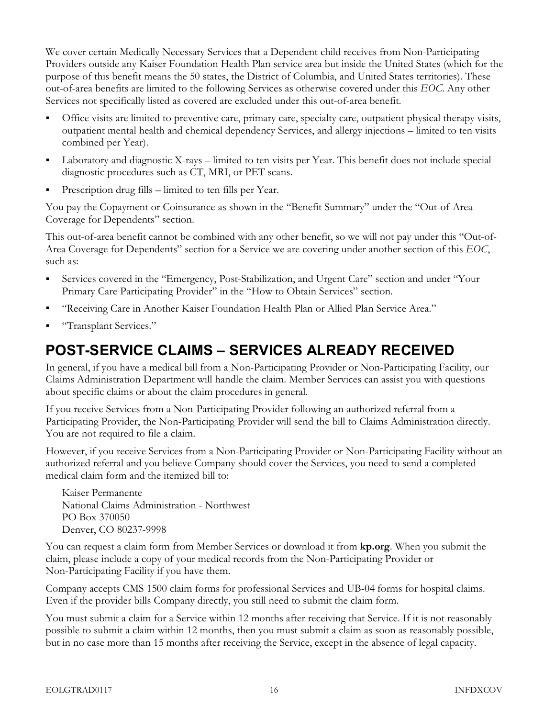We cover certain Medically Necessary Services that a Dependent child receives from Non-Participating Providers outside any Kaiser Foundation Health Plan service area but inside the United States (which for the purpose of this benefit means the 50 states, the District of Columbia, and United States territories). These out-of-area benefits are limited to the following Services as otherwise covered under this EOC. Any other Services not specifically listed as covered are excluded under this out-of-area benefit.

- Office visits are limited to preventive care, primary care, specialty care, outpatient physical therapy visits, outpatient mental health and chemical dependency Services, and allergy injections – limited to ten visits combined per Year).
- Laboratory and diagnostic X-rays limited to ten visits per Year. This benefit does not include special diagnostic procedures such as CT, MRI, or PET scans.
- Prescription drug fills limited to ten fills per Year.

You pay the Copayment or Coinsurance as shown in the "Benefit Summary" under the "Out-of-Area Coverage for Dependents" section.

This out-of-area benefit cannot be combined with any other benefit, so we will not pay under this "Out-of-Area Coverage for Dependents" section for a Service we are covering under another section of this EOC, such as:

- Services covered in the "Emergency, Post-Stabilization, and Urgent Care" section and under "Your Primary Care Participating Provider" in the "How to Obtain Services" section.
- "Receiving Care in Another Kaiser Foundation Health Plan or Allied Plan Service Area."
- "Transplant Services."

### POST-SERVICE CLAIMS – SERVICES ALREADY RECEIVED

In general, if you have a medical bill from a Non-Participating Provider or Non-Participating Facility, our Claims Administration Department will handle the claim. Member Services can assist you with questions about specific claims or about the claim procedures in general.

If you receive Services from a Non-Participating Provider following an authorized referral from a Participating Provider, the Non-Participating Provider will send the bill to Claims Administration directly. You are not required to file a claim.

However, if you receive Services from a Non-Participating Provider or Non-Participating Facility without an authorized referral and you believe Company should cover the Services, you need to send a completed medical claim form and the itemized bill to:

Kaiser Permanente National Claims Administration - Northwest PO Box 370050 Denver, CO 80237-9998

You can request a claim form from Member Services or download it from **kp.org**. When you submit the claim, please include a copy of your medical records from the Non-Participating Provider or Non-Participating Facility if you have them.

Company accepts CMS 1500 claim forms for professional Services and UB-04 forms for hospital claims. Even if the provider bills Company directly, you still need to submit the claim form.

You must submit a claim for a Service within 12 months after receiving that Service. If it is not reasonably possible to submit a claim within 12 months, then you must submit a claim as soon as reasonably possible, but in no case more than 15 months after receiving the Service, except in the absence of legal capacity.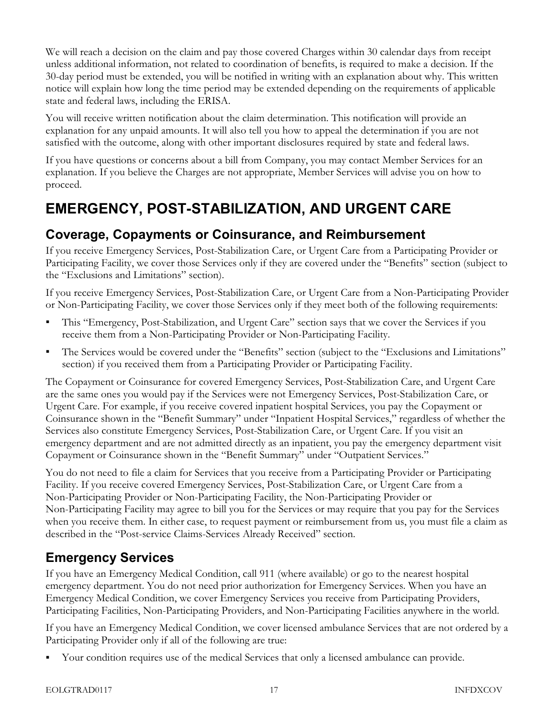We will reach a decision on the claim and pay those covered Charges within 30 calendar days from receipt unless additional information, not related to coordination of benefits, is required to make a decision. If the 30-day period must be extended, you will be notified in writing with an explanation about why. This written notice will explain how long the time period may be extended depending on the requirements of applicable state and federal laws, including the ERISA.

You will receive written notification about the claim determination. This notification will provide an explanation for any unpaid amounts. It will also tell you how to appeal the determination if you are not satisfied with the outcome, along with other important disclosures required by state and federal laws.

If you have questions or concerns about a bill from Company, you may contact Member Services for an explanation. If you believe the Charges are not appropriate, Member Services will advise you on how to proceed.

## EMERGENCY, POST-STABILIZATION, AND URGENT CARE

#### Coverage, Copayments or Coinsurance, and Reimbursement

If you receive Emergency Services, Post-Stabilization Care, or Urgent Care from a Participating Provider or Participating Facility, we cover those Services only if they are covered under the "Benefits" section (subject to the "Exclusions and Limitations" section).

If you receive Emergency Services, Post-Stabilization Care, or Urgent Care from a Non-Participating Provider or Non-Participating Facility, we cover those Services only if they meet both of the following requirements:

- This "Emergency, Post-Stabilization, and Urgent Care" section says that we cover the Services if you receive them from a Non-Participating Provider or Non-Participating Facility.
- The Services would be covered under the "Benefits" section (subject to the "Exclusions and Limitations" section) if you received them from a Participating Provider or Participating Facility.

The Copayment or Coinsurance for covered Emergency Services, Post-Stabilization Care, and Urgent Care are the same ones you would pay if the Services were not Emergency Services, Post-Stabilization Care, or Urgent Care. For example, if you receive covered inpatient hospital Services, you pay the Copayment or Coinsurance shown in the "Benefit Summary" under "Inpatient Hospital Services," regardless of whether the Services also constitute Emergency Services, Post-Stabilization Care, or Urgent Care. If you visit an emergency department and are not admitted directly as an inpatient, you pay the emergency department visit Copayment or Coinsurance shown in the "Benefit Summary" under "Outpatient Services."

You do not need to file a claim for Services that you receive from a Participating Provider or Participating Facility. If you receive covered Emergency Services, Post-Stabilization Care, or Urgent Care from a Non-Participating Provider or Non-Participating Facility, the Non-Participating Provider or Non-Participating Facility may agree to bill you for the Services or may require that you pay for the Services when you receive them. In either case, to request payment or reimbursement from us, you must file a claim as described in the "Post-service Claims-Services Already Received" section.

### Emergency Services

If you have an Emergency Medical Condition, call 911 (where available) or go to the nearest hospital emergency department. You do not need prior authorization for Emergency Services. When you have an Emergency Medical Condition, we cover Emergency Services you receive from Participating Providers, Participating Facilities, Non-Participating Providers, and Non-Participating Facilities anywhere in the world.

If you have an Emergency Medical Condition, we cover licensed ambulance Services that are not ordered by a Participating Provider only if all of the following are true:

Your condition requires use of the medical Services that only a licensed ambulance can provide.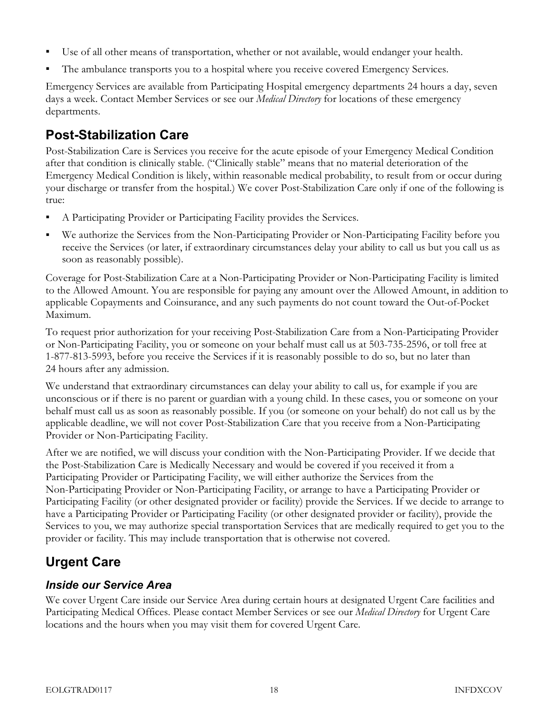- Use of all other means of transportation, whether or not available, would endanger your health.
- The ambulance transports you to a hospital where you receive covered Emergency Services.

Emergency Services are available from Participating Hospital emergency departments 24 hours a day, seven days a week. Contact Member Services or see our *Medical Directory* for locations of these emergency departments.

#### Post-Stabilization Care

Post-Stabilization Care is Services you receive for the acute episode of your Emergency Medical Condition after that condition is clinically stable. ("Clinically stable" means that no material deterioration of the Emergency Medical Condition is likely, within reasonable medical probability, to result from or occur during your discharge or transfer from the hospital.) We cover Post-Stabilization Care only if one of the following is true:

- A Participating Provider or Participating Facility provides the Services.
- We authorize the Services from the Non-Participating Provider or Non-Participating Facility before you receive the Services (or later, if extraordinary circumstances delay your ability to call us but you call us as soon as reasonably possible).

Coverage for Post-Stabilization Care at a Non-Participating Provider or Non-Participating Facility is limited to the Allowed Amount. You are responsible for paying any amount over the Allowed Amount, in addition to applicable Copayments and Coinsurance, and any such payments do not count toward the Out-of-Pocket Maximum.

To request prior authorization for your receiving Post-Stabilization Care from a Non-Participating Provider or Non-Participating Facility, you or someone on your behalf must call us at 503-735-2596, or toll free at 1-877-813-5993, before you receive the Services if it is reasonably possible to do so, but no later than 24 hours after any admission.

We understand that extraordinary circumstances can delay your ability to call us, for example if you are unconscious or if there is no parent or guardian with a young child. In these cases, you or someone on your behalf must call us as soon as reasonably possible. If you (or someone on your behalf) do not call us by the applicable deadline, we will not cover Post-Stabilization Care that you receive from a Non-Participating Provider or Non-Participating Facility.

After we are notified, we will discuss your condition with the Non-Participating Provider. If we decide that the Post-Stabilization Care is Medically Necessary and would be covered if you received it from a Participating Provider or Participating Facility, we will either authorize the Services from the Non-Participating Provider or Non-Participating Facility, or arrange to have a Participating Provider or Participating Facility (or other designated provider or facility) provide the Services. If we decide to arrange to have a Participating Provider or Participating Facility (or other designated provider or facility), provide the Services to you, we may authorize special transportation Services that are medically required to get you to the provider or facility. This may include transportation that is otherwise not covered.

### Urgent Care

#### Inside our Service Area

We cover Urgent Care inside our Service Area during certain hours at designated Urgent Care facilities and Participating Medical Offices. Please contact Member Services or see our *Medical Directory* for Urgent Care locations and the hours when you may visit them for covered Urgent Care.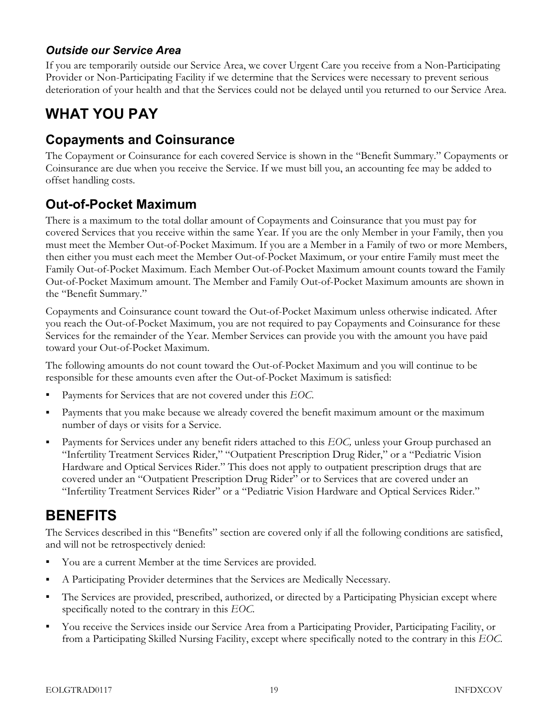#### Outside our Service Area

If you are temporarily outside our Service Area, we cover Urgent Care you receive from a Non-Participating Provider or Non-Participating Facility if we determine that the Services were necessary to prevent serious deterioration of your health and that the Services could not be delayed until you returned to our Service Area.

## WHAT YOU PAY

#### Copayments and Coinsurance

The Copayment or Coinsurance for each covered Service is shown in the "Benefit Summary." Copayments or Coinsurance are due when you receive the Service. If we must bill you, an accounting fee may be added to offset handling costs.

### Out-of-Pocket Maximum

There is a maximum to the total dollar amount of Copayments and Coinsurance that you must pay for covered Services that you receive within the same Year. If you are the only Member in your Family, then you must meet the Member Out-of-Pocket Maximum. If you are a Member in a Family of two or more Members, then either you must each meet the Member Out-of-Pocket Maximum, or your entire Family must meet the Family Out-of-Pocket Maximum. Each Member Out-of-Pocket Maximum amount counts toward the Family Out-of-Pocket Maximum amount. The Member and Family Out-of-Pocket Maximum amounts are shown in the "Benefit Summary."

Copayments and Coinsurance count toward the Out-of-Pocket Maximum unless otherwise indicated. After you reach the Out-of-Pocket Maximum, you are not required to pay Copayments and Coinsurance for these Services for the remainder of the Year. Member Services can provide you with the amount you have paid toward your Out-of-Pocket Maximum.

The following amounts do not count toward the Out-of-Pocket Maximum and you will continue to be responsible for these amounts even after the Out-of-Pocket Maximum is satisfied:

- Payments for Services that are not covered under this EOC.
- Payments that you make because we already covered the benefit maximum amount or the maximum number of days or visits for a Service.
- **Payments for Services under any benefit riders attached to this EOC, unless your Group purchased an** "Infertility Treatment Services Rider," "Outpatient Prescription Drug Rider," or a "Pediatric Vision Hardware and Optical Services Rider." This does not apply to outpatient prescription drugs that are covered under an "Outpatient Prescription Drug Rider" or to Services that are covered under an "Infertility Treatment Services Rider" or a "Pediatric Vision Hardware and Optical Services Rider."

### BENEFITS

The Services described in this "Benefits" section are covered only if all the following conditions are satisfied, and will not be retrospectively denied:

- You are a current Member at the time Services are provided.
- A Participating Provider determines that the Services are Medically Necessary.
- The Services are provided, prescribed, authorized, or directed by a Participating Physician except where specifically noted to the contrary in this EOC.
- You receive the Services inside our Service Area from a Participating Provider, Participating Facility, or from a Participating Skilled Nursing Facility, except where specifically noted to the contrary in this EOC.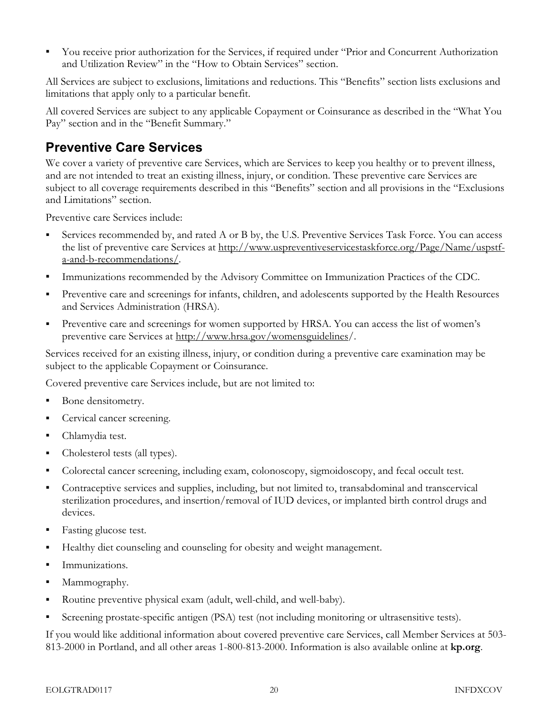You receive prior authorization for the Services, if required under "Prior and Concurrent Authorization and Utilization Review" in the "How to Obtain Services" section.

All Services are subject to exclusions, limitations and reductions. This "Benefits" section lists exclusions and limitations that apply only to a particular benefit.

All covered Services are subject to any applicable Copayment or Coinsurance as described in the "What You Pay" section and in the "Benefit Summary."

#### Preventive Care Services

We cover a variety of preventive care Services, which are Services to keep you healthy or to prevent illness, and are not intended to treat an existing illness, injury, or condition. These preventive care Services are subject to all coverage requirements described in this "Benefits" section and all provisions in the "Exclusions and Limitations" section.

Preventive care Services include:

- Services recommended by, and rated A or B by, the U.S. Preventive Services Task Force. You can access the list of preventive care Services at [http://www.uspreventiveservicestaskforce.org/Page/Name/uspstf](http://www.uspreventiveservicestaskforce.org/Page/Name/uspstf-a-and-b-recommendations/)[a-and-b-recommendations/.](http://www.uspreventiveservicestaskforce.org/Page/Name/uspstf-a-and-b-recommendations/)
- Immunizations recommended by the Advisory Committee on Immunization Practices of the CDC.
- Preventive care and screenings for infants, children, and adolescents supported by the Health Resources and Services Administration (HRSA).
- Preventive care and screenings for women supported by HRSA. You can access the list of women's preventive care Services at [http://www.hrsa.gov/womensguidelines/](http://www.hrsa.gov/womensguidelines).

Services received for an existing illness, injury, or condition during a preventive care examination may be subject to the applicable Copayment or Coinsurance.

Covered preventive care Services include, but are not limited to:

- Bone densitometry.
- **Cervical cancer screening.**
- Chlamydia test.
- Cholesterol tests (all types).
- Colorectal cancer screening, including exam, colonoscopy, sigmoidoscopy, and fecal occult test.
- Contraceptive services and supplies, including, but not limited to, transabdominal and transcervical sterilization procedures, and insertion/removal of IUD devices, or implanted birth control drugs and devices.
- Fasting glucose test.
- Healthy diet counseling and counseling for obesity and weight management.
- **Immunizations.**
- Mammography.
- Routine preventive physical exam (adult, well-child, and well-baby).
- Screening prostate-specific antigen (PSA) test (not including monitoring or ultrasensitive tests).

If you would like additional information about covered preventive care Services, call Member Services at 503- 813-2000 in Portland, and all other areas 1-800-813-2000. Information is also available online at kp.org.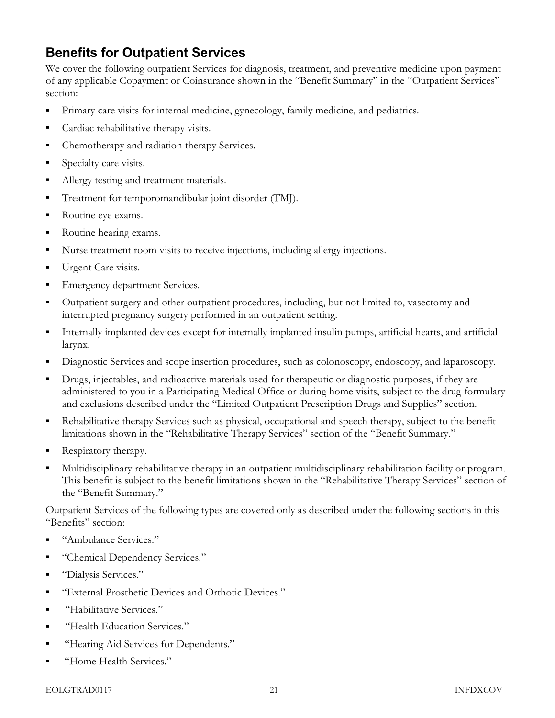### Benefits for Outpatient Services

We cover the following outpatient Services for diagnosis, treatment, and preventive medicine upon payment of any applicable Copayment or Coinsurance shown in the "Benefit Summary" in the "Outpatient Services" section:

- Primary care visits for internal medicine, gynecology, family medicine, and pediatrics.
- Cardiac rehabilitative therapy visits.
- Chemotherapy and radiation therapy Services.
- Specialty care visits.
- Allergy testing and treatment materials.
- Treatment for temporomandibular joint disorder (TMJ).
- Routine eye exams.
- Routine hearing exams.
- Nurse treatment room visits to receive injections, including allergy injections.
- Urgent Care visits.
- **Emergency department Services.**
- Outpatient surgery and other outpatient procedures, including, but not limited to, vasectomy and interrupted pregnancy surgery performed in an outpatient setting.
- Internally implanted devices except for internally implanted insulin pumps, artificial hearts, and artificial larynx.
- Diagnostic Services and scope insertion procedures, such as colonoscopy, endoscopy, and laparoscopy.
- Drugs, injectables, and radioactive materials used for therapeutic or diagnostic purposes, if they are administered to you in a Participating Medical Office or during home visits, subject to the drug formulary and exclusions described under the "Limited Outpatient Prescription Drugs and Supplies" section.
- Rehabilitative therapy Services such as physical, occupational and speech therapy, subject to the benefit limitations shown in the "Rehabilitative Therapy Services" section of the "Benefit Summary."
- Respiratory therapy.
- Multidisciplinary rehabilitative therapy in an outpatient multidisciplinary rehabilitation facility or program. This benefit is subject to the benefit limitations shown in the "Rehabilitative Therapy Services" section of the "Benefit Summary."

Outpatient Services of the following types are covered only as described under the following sections in this "Benefits" section:

- "Ambulance Services."
- "Chemical Dependency Services."
- "Dialysis Services."
- "External Prosthetic Devices and Orthotic Devices."
- "Habilitative Services."
- "Health Education Services."
- "Hearing Aid Services for Dependents."
- "Home Health Services."

#### EOLGTRAD0117 21 INFDXCOV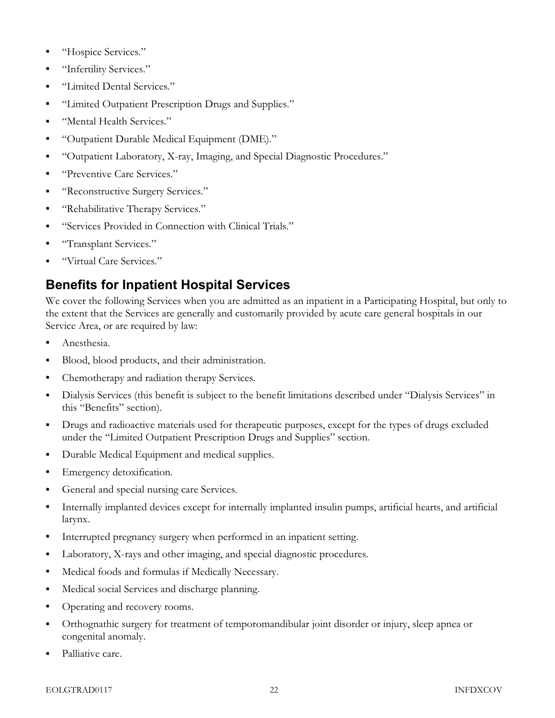- "Hospice Services."
- "Infertility Services."
- "Limited Dental Services."
- "Limited Outpatient Prescription Drugs and Supplies."
- "Mental Health Services."
- "Outpatient Durable Medical Equipment (DME)."
- "Outpatient Laboratory, X-ray, Imaging, and Special Diagnostic Procedures."
- "Preventive Care Services."
- "Reconstructive Surgery Services."
- "Rehabilitative Therapy Services."
- "Services Provided in Connection with Clinical Trials."
- "Transplant Services."
- "Virtual Care Services."

### Benefits for Inpatient Hospital Services

We cover the following Services when you are admitted as an inpatient in a Participating Hospital, but only to the extent that the Services are generally and customarily provided by acute care general hospitals in our Service Area, or are required by law:

- Anesthesia.
- Blood, blood products, and their administration.
- Chemotherapy and radiation therapy Services.
- Dialysis Services (this benefit is subject to the benefit limitations described under "Dialysis Services" in this "Benefits" section).
- Drugs and radioactive materials used for therapeutic purposes, except for the types of drugs excluded under the "Limited Outpatient Prescription Drugs and Supplies" section.
- Durable Medical Equipment and medical supplies.
- Emergency detoxification.
- General and special nursing care Services.
- Internally implanted devices except for internally implanted insulin pumps, artificial hearts, and artificial larynx.
- Interrupted pregnancy surgery when performed in an inpatient setting.
- Laboratory, X-rays and other imaging, and special diagnostic procedures.
- Medical foods and formulas if Medically Necessary.
- Medical social Services and discharge planning.
- Operating and recovery rooms.
- Orthognathic surgery for treatment of temporomandibular joint disorder or injury, sleep apnea or congenital anomaly.
- Palliative care.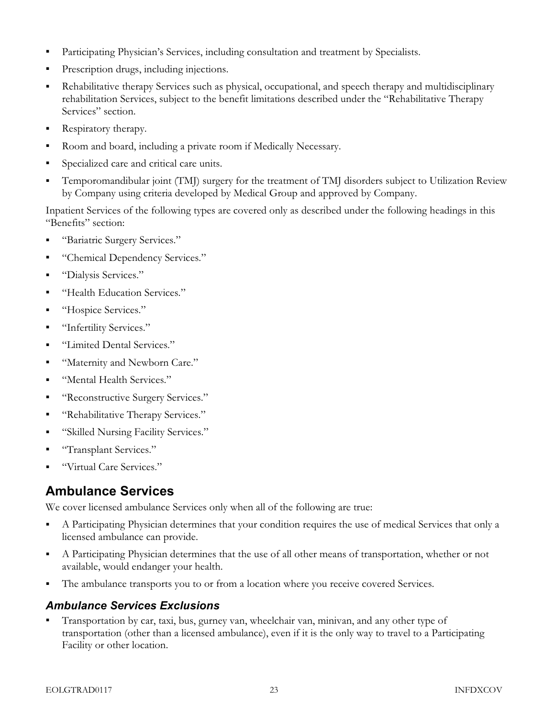- Participating Physician's Services, including consultation and treatment by Specialists.
- Prescription drugs, including injections.
- Rehabilitative therapy Services such as physical, occupational, and speech therapy and multidisciplinary rehabilitation Services, subject to the benefit limitations described under the "Rehabilitative Therapy Services" section.
- Respiratory therapy.
- Room and board, including a private room if Medically Necessary.
- Specialized care and critical care units.
- Temporomandibular joint (TMJ) surgery for the treatment of TMJ disorders subject to Utilization Review by Company using criteria developed by Medical Group and approved by Company.

Inpatient Services of the following types are covered only as described under the following headings in this "Benefits" section:

- "Bariatric Surgery Services."
- "Chemical Dependency Services."
- "Dialysis Services."
- "Health Education Services."
- "Hospice Services."
- "Infertility Services."
- "Limited Dental Services."
- "Maternity and Newborn Care."
- "Mental Health Services."
- "Reconstructive Surgery Services."
- "Rehabilitative Therapy Services."
- "Skilled Nursing Facility Services."
- "Transplant Services."
- "Virtual Care Services."

#### Ambulance Services

We cover licensed ambulance Services only when all of the following are true:

- A Participating Physician determines that your condition requires the use of medical Services that only a licensed ambulance can provide.
- A Participating Physician determines that the use of all other means of transportation, whether or not available, would endanger your health.
- The ambulance transports you to or from a location where you receive covered Services.

#### Ambulance Services Exclusions

 Transportation by car, taxi, bus, gurney van, wheelchair van, minivan, and any other type of transportation (other than a licensed ambulance), even if it is the only way to travel to a Participating Facility or other location.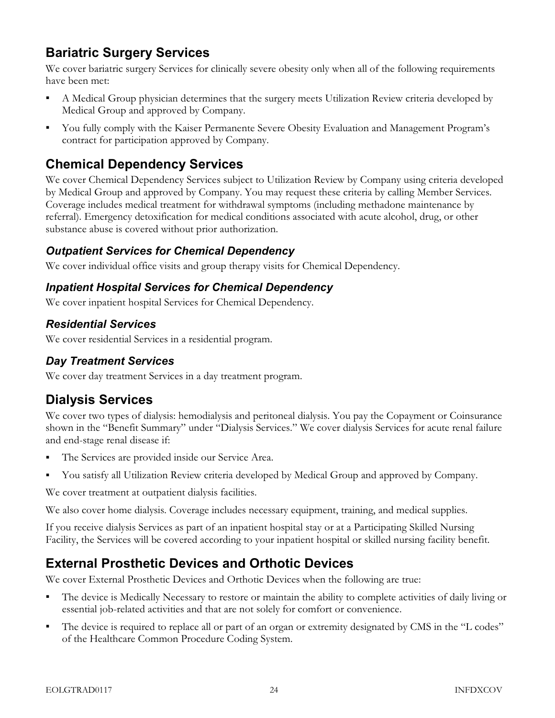### Bariatric Surgery Services

We cover bariatric surgery Services for clinically severe obesity only when all of the following requirements have been met:

- A Medical Group physician determines that the surgery meets Utilization Review criteria developed by Medical Group and approved by Company.
- You fully comply with the Kaiser Permanente Severe Obesity Evaluation and Management Program's contract for participation approved by Company.

#### Chemical Dependency Services

We cover Chemical Dependency Services subject to Utilization Review by Company using criteria developed by Medical Group and approved by Company. You may request these criteria by calling Member Services. Coverage includes medical treatment for withdrawal symptoms (including methadone maintenance by referral). Emergency detoxification for medical conditions associated with acute alcohol, drug, or other substance abuse is covered without prior authorization.

#### Outpatient Services for Chemical Dependency

We cover individual office visits and group therapy visits for Chemical Dependency.

#### Inpatient Hospital Services for Chemical Dependency

We cover inpatient hospital Services for Chemical Dependency.

#### Residential Services

We cover residential Services in a residential program.

#### Day Treatment Services

We cover day treatment Services in a day treatment program.

### Dialysis Services

We cover two types of dialysis: hemodialysis and peritoneal dialysis. You pay the Copayment or Coinsurance shown in the "Benefit Summary" under "Dialysis Services." We cover dialysis Services for acute renal failure and end-stage renal disease if:

- The Services are provided inside our Service Area.
- You satisfy all Utilization Review criteria developed by Medical Group and approved by Company.

We cover treatment at outpatient dialysis facilities.

We also cover home dialysis. Coverage includes necessary equipment, training, and medical supplies.

If you receive dialysis Services as part of an inpatient hospital stay or at a Participating Skilled Nursing Facility, the Services will be covered according to your inpatient hospital or skilled nursing facility benefit.

### External Prosthetic Devices and Orthotic Devices

We cover External Prosthetic Devices and Orthotic Devices when the following are true:

- The device is Medically Necessary to restore or maintain the ability to complete activities of daily living or essential job-related activities and that are not solely for comfort or convenience.
- The device is required to replace all or part of an organ or extremity designated by CMS in the "L codes" of the Healthcare Common Procedure Coding System.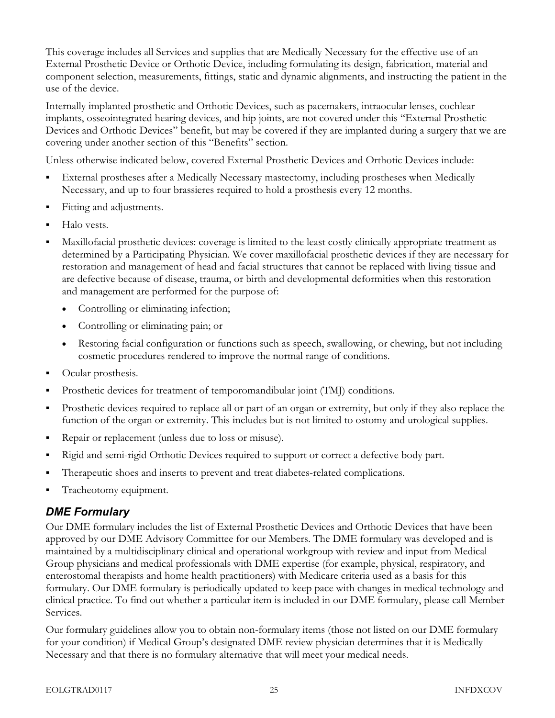This coverage includes all Services and supplies that are Medically Necessary for the effective use of an External Prosthetic Device or Orthotic Device, including formulating its design, fabrication, material and component selection, measurements, fittings, static and dynamic alignments, and instructing the patient in the use of the device.

Internally implanted prosthetic and Orthotic Devices, such as pacemakers, intraocular lenses, cochlear implants, osseointegrated hearing devices, and hip joints, are not covered under this "External Prosthetic Devices and Orthotic Devices" benefit, but may be covered if they are implanted during a surgery that we are covering under another section of this "Benefits" section.

Unless otherwise indicated below, covered External Prosthetic Devices and Orthotic Devices include:

- External prostheses after a Medically Necessary mastectomy, including prostheses when Medically Necessary, and up to four brassieres required to hold a prosthesis every 12 months.
- Fitting and adjustments.
- Halo vests.
- Maxillofacial prosthetic devices: coverage is limited to the least costly clinically appropriate treatment as determined by a Participating Physician. We cover maxillofacial prosthetic devices if they are necessary for restoration and management of head and facial structures that cannot be replaced with living tissue and are defective because of disease, trauma, or birth and developmental deformities when this restoration and management are performed for the purpose of:
	- Controlling or eliminating infection;
	- Controlling or eliminating pain; or
	- Restoring facial configuration or functions such as speech, swallowing, or chewing, but not including cosmetic procedures rendered to improve the normal range of conditions.
- Ocular prosthesis.
- Prosthetic devices for treatment of temporomandibular joint (TMJ) conditions.
- Prosthetic devices required to replace all or part of an organ or extremity, but only if they also replace the function of the organ or extremity. This includes but is not limited to ostomy and urological supplies.
- Repair or replacement (unless due to loss or misuse).
- Rigid and semi-rigid Orthotic Devices required to support or correct a defective body part.
- Therapeutic shoes and inserts to prevent and treat diabetes-related complications.
- Tracheotomy equipment.

#### DME Formulary

Our DME formulary includes the list of External Prosthetic Devices and Orthotic Devices that have been approved by our DME Advisory Committee for our Members. The DME formulary was developed and is maintained by a multidisciplinary clinical and operational workgroup with review and input from Medical Group physicians and medical professionals with DME expertise (for example, physical, respiratory, and enterostomal therapists and home health practitioners) with Medicare criteria used as a basis for this formulary. Our DME formulary is periodically updated to keep pace with changes in medical technology and clinical practice. To find out whether a particular item is included in our DME formulary, please call Member Services.

Our formulary guidelines allow you to obtain non-formulary items (those not listed on our DME formulary for your condition) if Medical Group's designated DME review physician determines that it is Medically Necessary and that there is no formulary alternative that will meet your medical needs.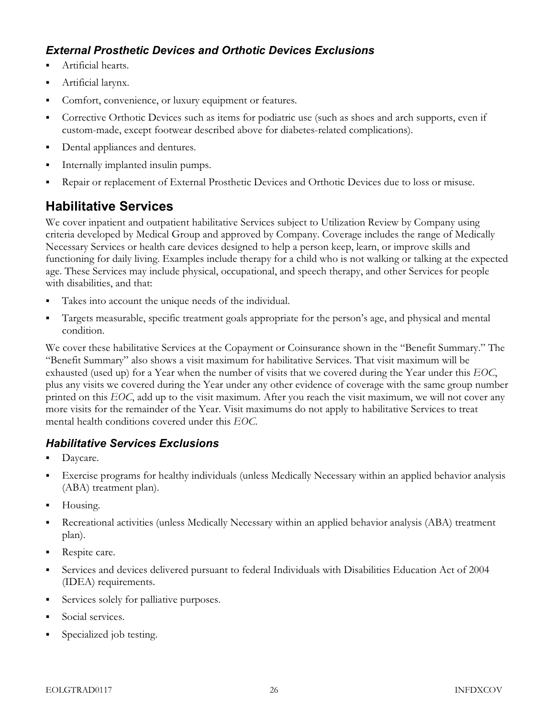## External Prosthetic Devices and Orthotic Devices Exclusions

- Artificial hearts.
- Artificial larynx.
- Comfort, convenience, or luxury equipment or features.
- Corrective Orthotic Devices such as items for podiatric use (such as shoes and arch supports, even if custom-made, except footwear described above for diabetes-related complications).
- Dental appliances and dentures.
- Internally implanted insulin pumps.
- Repair or replacement of External Prosthetic Devices and Orthotic Devices due to loss or misuse.

# Habilitative Services

We cover inpatient and outpatient habilitative Services subject to Utilization Review by Company using criteria developed by Medical Group and approved by Company. Coverage includes the range of Medically Necessary Services or health care devices designed to help a person keep, learn, or improve skills and functioning for daily living. Examples include therapy for a child who is not walking or talking at the expected age. These Services may include physical, occupational, and speech therapy, and other Services for people with disabilities, and that:

- Takes into account the unique needs of the individual.
- Targets measurable, specific treatment goals appropriate for the person's age, and physical and mental condition.

We cover these habilitative Services at the Copayment or Coinsurance shown in the "Benefit Summary." The "Benefit Summary" also shows a visit maximum for habilitative Services. That visit maximum will be exhausted (used up) for a Year when the number of visits that we covered during the Year under this EOC, plus any visits we covered during the Year under any other evidence of coverage with the same group number printed on this EOC, add up to the visit maximum. After you reach the visit maximum, we will not cover any more visits for the remainder of the Year. Visit maximums do not apply to habilitative Services to treat mental health conditions covered under this EOC.

## Habilitative Services Exclusions

- Daycare.
- Exercise programs for healthy individuals (unless Medically Necessary within an applied behavior analysis (ABA) treatment plan).
- Housing.
- Recreational activities (unless Medically Necessary within an applied behavior analysis (ABA) treatment plan).
- Respite care.
- Services and devices delivered pursuant to federal Individuals with Disabilities Education Act of 2004 (IDEA) requirements.
- **Services solely for palliative purposes.**
- Social services.
- Specialized job testing.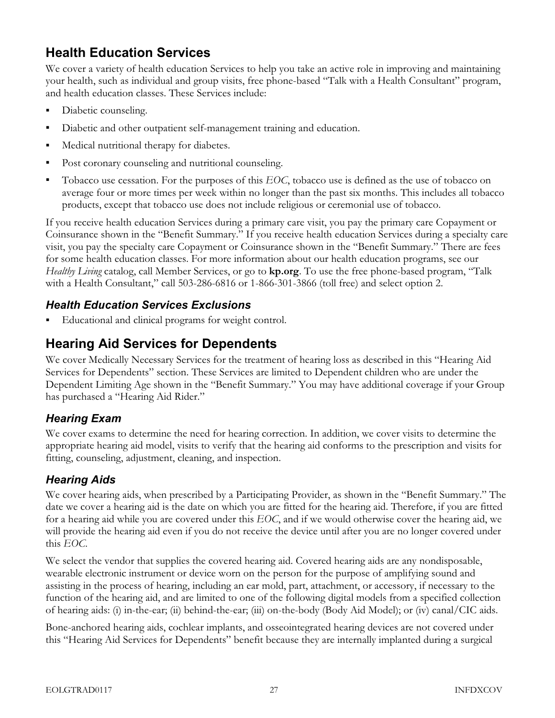## Health Education Services

We cover a variety of health education Services to help you take an active role in improving and maintaining your health, such as individual and group visits, free phone-based "Talk with a Health Consultant" program, and health education classes. These Services include:

- Diabetic counseling.
- Diabetic and other outpatient self-management training and education.
- Medical nutritional therapy for diabetes.
- Post coronary counseling and nutritional counseling.
- Tobacco use cessation. For the purposes of this EOC, tobacco use is defined as the use of tobacco on average four or more times per week within no longer than the past six months. This includes all tobacco products, except that tobacco use does not include religious or ceremonial use of tobacco.

If you receive health education Services during a primary care visit, you pay the primary care Copayment or Coinsurance shown in the "Benefit Summary." If you receive health education Services during a specialty care visit, you pay the specialty care Copayment or Coinsurance shown in the "Benefit Summary." There are fees for some health education classes. For more information about our health education programs, see our Healthy Living catalog, call Member Services, or go to **kp.org**. To use the free phone-based program, "Talk with a Health Consultant," call 503-286-6816 or 1-866-301-3866 (toll free) and select option 2.

## Health Education Services Exclusions

Educational and clinical programs for weight control.

# Hearing Aid Services for Dependents

We cover Medically Necessary Services for the treatment of hearing loss as described in this "Hearing Aid Services for Dependents" section. These Services are limited to Dependent children who are under the Dependent Limiting Age shown in the "Benefit Summary." You may have additional coverage if your Group has purchased a "Hearing Aid Rider."

## Hearing Exam

We cover exams to determine the need for hearing correction. In addition, we cover visits to determine the appropriate hearing aid model, visits to verify that the hearing aid conforms to the prescription and visits for fitting, counseling, adjustment, cleaning, and inspection.

## Hearing Aids

We cover hearing aids, when prescribed by a Participating Provider, as shown in the "Benefit Summary." The date we cover a hearing aid is the date on which you are fitted for the hearing aid. Therefore, if you are fitted for a hearing aid while you are covered under this  $EOC$ , and if we would otherwise cover the hearing aid, we will provide the hearing aid even if you do not receive the device until after you are no longer covered under this EOC.

We select the vendor that supplies the covered hearing aid. Covered hearing aids are any nondisposable, wearable electronic instrument or device worn on the person for the purpose of amplifying sound and assisting in the process of hearing, including an ear mold, part, attachment, or accessory, if necessary to the function of the hearing aid, and are limited to one of the following digital models from a specified collection of hearing aids: (i) in-the-ear; (ii) behind-the-ear; (iii) on-the-body (Body Aid Model); or (iv) canal/CIC aids.

Bone-anchored hearing aids, cochlear implants, and osseointegrated hearing devices are not covered under this "Hearing Aid Services for Dependents" benefit because they are internally implanted during a surgical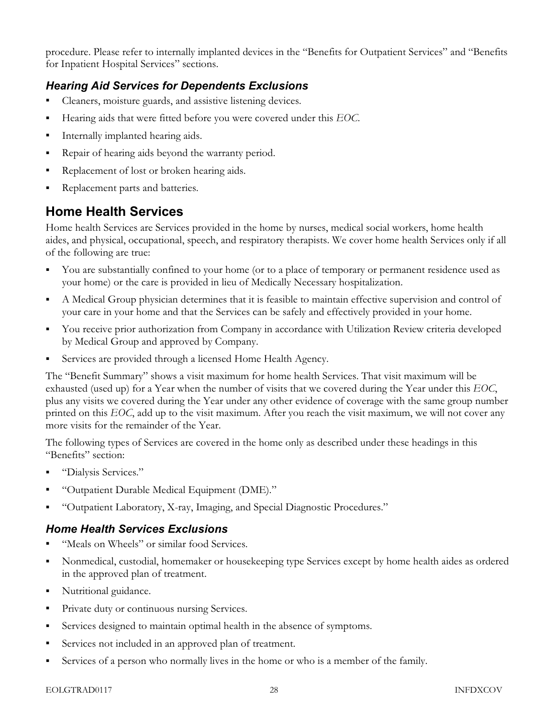procedure. Please refer to internally implanted devices in the "Benefits for Outpatient Services" and "Benefits for Inpatient Hospital Services" sections.

## Hearing Aid Services for Dependents Exclusions

- Cleaners, moisture guards, and assistive listening devices.
- Hearing aids that were fitted before you were covered under this EOC.
- **Internally implanted hearing aids.**
- Repair of hearing aids beyond the warranty period.
- Replacement of lost or broken hearing aids.
- Replacement parts and batteries.

## Home Health Services

Home health Services are Services provided in the home by nurses, medical social workers, home health aides, and physical, occupational, speech, and respiratory therapists. We cover home health Services only if all of the following are true:

- You are substantially confined to your home (or to a place of temporary or permanent residence used as your home) or the care is provided in lieu of Medically Necessary hospitalization.
- A Medical Group physician determines that it is feasible to maintain effective supervision and control of your care in your home and that the Services can be safely and effectively provided in your home.
- You receive prior authorization from Company in accordance with Utilization Review criteria developed by Medical Group and approved by Company.
- Services are provided through a licensed Home Health Agency.

The "Benefit Summary" shows a visit maximum for home health Services. That visit maximum will be exhausted (used up) for a Year when the number of visits that we covered during the Year under this EOC, plus any visits we covered during the Year under any other evidence of coverage with the same group number printed on this EOC, add up to the visit maximum. After you reach the visit maximum, we will not cover any more visits for the remainder of the Year.

The following types of Services are covered in the home only as described under these headings in this "Benefits" section:

- "Dialysis Services."
- "Outpatient Durable Medical Equipment (DME)."
- "Outpatient Laboratory, X-ray, Imaging, and Special Diagnostic Procedures."

#### Home Health Services Exclusions

- "Meals on Wheels" or similar food Services.
- Nonmedical, custodial, homemaker or housekeeping type Services except by home health aides as ordered in the approved plan of treatment.
- Nutritional guidance.
- **Private duty or continuous nursing Services.**
- Services designed to maintain optimal health in the absence of symptoms.
- Services not included in an approved plan of treatment.
- Services of a person who normally lives in the home or who is a member of the family.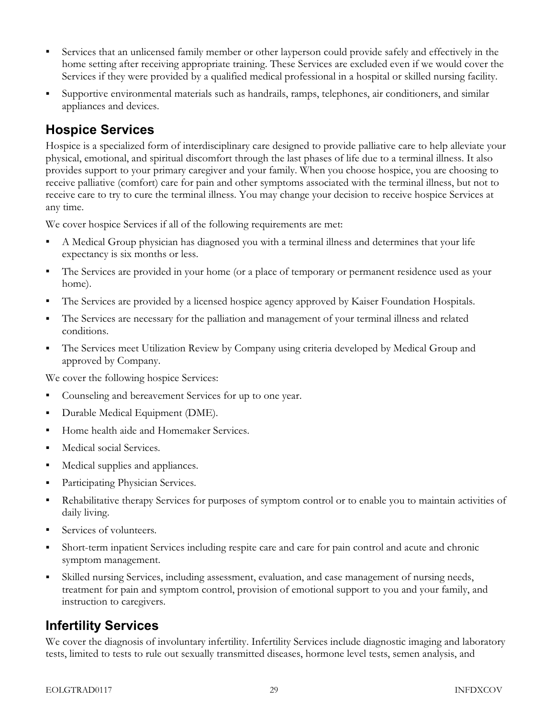- Services that an unlicensed family member or other layperson could provide safely and effectively in the home setting after receiving appropriate training. These Services are excluded even if we would cover the Services if they were provided by a qualified medical professional in a hospital or skilled nursing facility.
- Supportive environmental materials such as handrails, ramps, telephones, air conditioners, and similar appliances and devices.

## Hospice Services

Hospice is a specialized form of interdisciplinary care designed to provide palliative care to help alleviate your physical, emotional, and spiritual discomfort through the last phases of life due to a terminal illness. It also provides support to your primary caregiver and your family. When you choose hospice, you are choosing to receive palliative (comfort) care for pain and other symptoms associated with the terminal illness, but not to receive care to try to cure the terminal illness. You may change your decision to receive hospice Services at any time.

We cover hospice Services if all of the following requirements are met:

- A Medical Group physician has diagnosed you with a terminal illness and determines that your life expectancy is six months or less.
- The Services are provided in your home (or a place of temporary or permanent residence used as your home).
- The Services are provided by a licensed hospice agency approved by Kaiser Foundation Hospitals.
- The Services are necessary for the palliation and management of your terminal illness and related conditions.
- The Services meet Utilization Review by Company using criteria developed by Medical Group and approved by Company.

We cover the following hospice Services:

- Counseling and bereavement Services for up to one year.
- **Durable Medical Equipment (DME).**
- Home health aide and Homemaker Services.
- **Medical social Services.**
- Medical supplies and appliances.
- **Participating Physician Services.**
- Rehabilitative therapy Services for purposes of symptom control or to enable you to maintain activities of daily living.
- Services of volunteers.
- Short-term inpatient Services including respite care and care for pain control and acute and chronic symptom management.
- Skilled nursing Services, including assessment, evaluation, and case management of nursing needs, treatment for pain and symptom control, provision of emotional support to you and your family, and instruction to caregivers.

## Infertility Services

We cover the diagnosis of involuntary infertility. Infertility Services include diagnostic imaging and laboratory tests, limited to tests to rule out sexually transmitted diseases, hormone level tests, semen analysis, and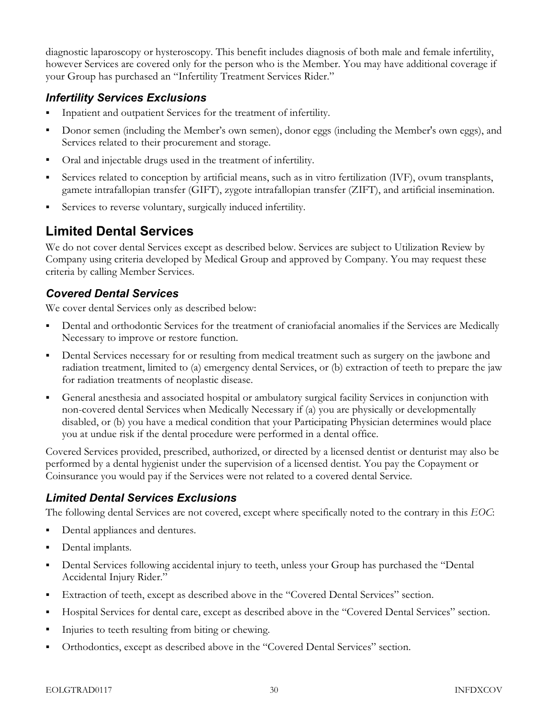diagnostic laparoscopy or hysteroscopy. This benefit includes diagnosis of both male and female infertility, however Services are covered only for the person who is the Member. You may have additional coverage if your Group has purchased an "Infertility Treatment Services Rider."

#### Infertility Services Exclusions

- Inpatient and outpatient Services for the treatment of infertility.
- Donor semen (including the Member's own semen), donor eggs (including the Member's own eggs), and Services related to their procurement and storage.
- Oral and injectable drugs used in the treatment of infertility.
- Services related to conception by artificial means, such as in vitro fertilization (IVF), ovum transplants, gamete intrafallopian transfer (GIFT), zygote intrafallopian transfer (ZIFT), and artificial insemination.
- Services to reverse voluntary, surgically induced infertility.

## Limited Dental Services

We do not cover dental Services except as described below. Services are subject to Utilization Review by Company using criteria developed by Medical Group and approved by Company. You may request these criteria by calling Member Services.

## Covered Dental Services

We cover dental Services only as described below:

- Dental and orthodontic Services for the treatment of craniofacial anomalies if the Services are Medically Necessary to improve or restore function.
- Dental Services necessary for or resulting from medical treatment such as surgery on the jawbone and radiation treatment, limited to (a) emergency dental Services, or (b) extraction of teeth to prepare the jaw for radiation treatments of neoplastic disease.
- General anesthesia and associated hospital or ambulatory surgical facility Services in conjunction with non-covered dental Services when Medically Necessary if (a) you are physically or developmentally disabled, or (b) you have a medical condition that your Participating Physician determines would place you at undue risk if the dental procedure were performed in a dental office.

Covered Services provided, prescribed, authorized, or directed by a licensed dentist or denturist may also be performed by a dental hygienist under the supervision of a licensed dentist. You pay the Copayment or Coinsurance you would pay if the Services were not related to a covered dental Service.

#### Limited Dental Services Exclusions

The following dental Services are not covered, except where specifically noted to the contrary in this EOC:

- Dental appliances and dentures.
- Dental implants.
- Dental Services following accidental injury to teeth, unless your Group has purchased the "Dental Accidental Injury Rider."
- Extraction of teeth, except as described above in the "Covered Dental Services" section.
- Hospital Services for dental care, except as described above in the "Covered Dental Services" section.
- Injuries to teeth resulting from biting or chewing.
- Orthodontics, except as described above in the "Covered Dental Services" section.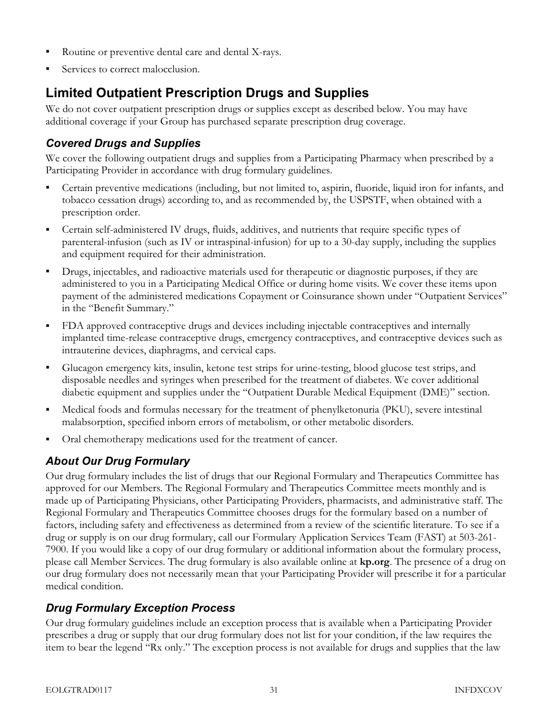- Routine or preventive dental care and dental X-rays.
- Services to correct malocclusion.

# Limited Outpatient Prescription Drugs and Supplies

We do not cover outpatient prescription drugs or supplies except as described below. You may have additional coverage if your Group has purchased separate prescription drug coverage.

#### Covered Drugs and Supplies

We cover the following outpatient drugs and supplies from a Participating Pharmacy when prescribed by a Participating Provider in accordance with drug formulary guidelines.

- Certain preventive medications (including, but not limited to, aspirin, fluoride, liquid iron for infants, and tobacco cessation drugs) according to, and as recommended by, the USPSTF, when obtained with a prescription order.
- Certain self-administered IV drugs, fluids, additives, and nutrients that require specific types of parenteral-infusion (such as IV or intraspinal-infusion) for up to a 30-day supply, including the supplies and equipment required for their administration.
- Drugs, injectables, and radioactive materials used for therapeutic or diagnostic purposes, if they are administered to you in a Participating Medical Office or during home visits. We cover these items upon payment of the administered medications Copayment or Coinsurance shown under "Outpatient Services" in the "Benefit Summary."
- FDA approved contraceptive drugs and devices including injectable contraceptives and internally implanted time-release contraceptive drugs, emergency contraceptives, and contraceptive devices such as intrauterine devices, diaphragms, and cervical caps.
- Glucagon emergency kits, insulin, ketone test strips for urine-testing, blood glucose test strips, and disposable needles and syringes when prescribed for the treatment of diabetes. We cover additional diabetic equipment and supplies under the "Outpatient Durable Medical Equipment (DME)" section.
- Medical foods and formulas necessary for the treatment of phenylketonuria (PKU), severe intestinal malabsorption, specified inborn errors of metabolism, or other metabolic disorders.
- Oral chemotherapy medications used for the treatment of cancer.

## About Our Drug Formulary

Our drug formulary includes the list of drugs that our Regional Formulary and Therapeutics Committee has approved for our Members. The Regional Formulary and Therapeutics Committee meets monthly and is made up of Participating Physicians, other Participating Providers, pharmacists, and administrative staff. The Regional Formulary and Therapeutics Committee chooses drugs for the formulary based on a number of factors, including safety and effectiveness as determined from a review of the scientific literature. To see if a drug or supply is on our drug formulary, call our Formulary Application Services Team (FAST) at 503-261- 7900. If you would like a copy of our drug formulary or additional information about the formulary process, please call Member Services. The drug formulary is also available online at kp.org. The presence of a drug on our drug formulary does not necessarily mean that your Participating Provider will prescribe it for a particular medical condition.

## Drug Formulary Exception Process

Our drug formulary guidelines include an exception process that is available when a Participating Provider prescribes a drug or supply that our drug formulary does not list for your condition, if the law requires the item to bear the legend "Rx only." The exception process is not available for drugs and supplies that the law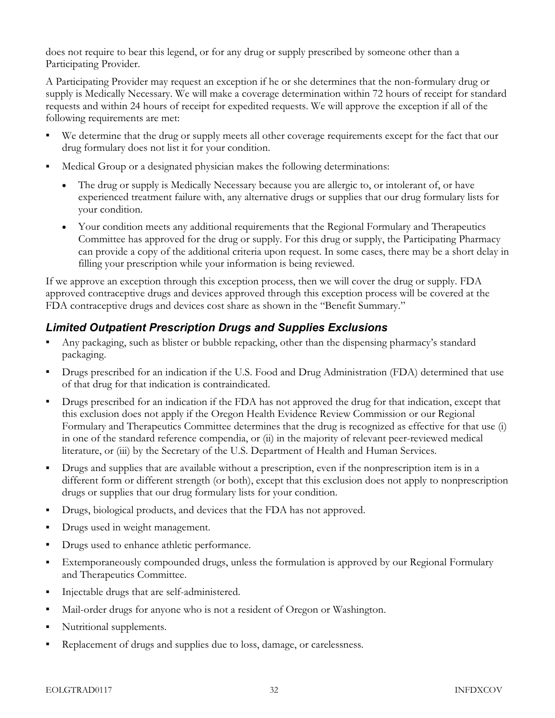does not require to bear this legend, or for any drug or supply prescribed by someone other than a Participating Provider.

A Participating Provider may request an exception if he or she determines that the non-formulary drug or supply is Medically Necessary. We will make a coverage determination within 72 hours of receipt for standard requests and within 24 hours of receipt for expedited requests. We will approve the exception if all of the following requirements are met:

- We determine that the drug or supply meets all other coverage requirements except for the fact that our drug formulary does not list it for your condition.
- Medical Group or a designated physician makes the following determinations:
	- The drug or supply is Medically Necessary because you are allergic to, or intolerant of, or have experienced treatment failure with, any alternative drugs or supplies that our drug formulary lists for your condition.
	- Your condition meets any additional requirements that the Regional Formulary and Therapeutics Committee has approved for the drug or supply. For this drug or supply, the Participating Pharmacy can provide a copy of the additional criteria upon request. In some cases, there may be a short delay in filling your prescription while your information is being reviewed.

If we approve an exception through this exception process, then we will cover the drug or supply. FDA approved contraceptive drugs and devices approved through this exception process will be covered at the FDA contraceptive drugs and devices cost share as shown in the "Benefit Summary."

#### Limited Outpatient Prescription Drugs and Supplies Exclusions

- Any packaging, such as blister or bubble repacking, other than the dispensing pharmacy's standard packaging.
- Drugs prescribed for an indication if the U.S. Food and Drug Administration (FDA) determined that use of that drug for that indication is contraindicated.
- Drugs prescribed for an indication if the FDA has not approved the drug for that indication, except that this exclusion does not apply if the Oregon Health Evidence Review Commission or our Regional Formulary and Therapeutics Committee determines that the drug is recognized as effective for that use (i) in one of the standard reference compendia, or (ii) in the majority of relevant peer-reviewed medical literature, or (iii) by the Secretary of the U.S. Department of Health and Human Services.
- Drugs and supplies that are available without a prescription, even if the nonprescription item is in a different form or different strength (or both), except that this exclusion does not apply to nonprescription drugs or supplies that our drug formulary lists for your condition.
- Drugs, biological products, and devices that the FDA has not approved.
- Drugs used in weight management.
- Drugs used to enhance athletic performance.
- Extemporaneously compounded drugs, unless the formulation is approved by our Regional Formulary and Therapeutics Committee.
- Injectable drugs that are self-administered.
- Mail-order drugs for anyone who is not a resident of Oregon or Washington.
- Nutritional supplements.
- Replacement of drugs and supplies due to loss, damage, or carelessness.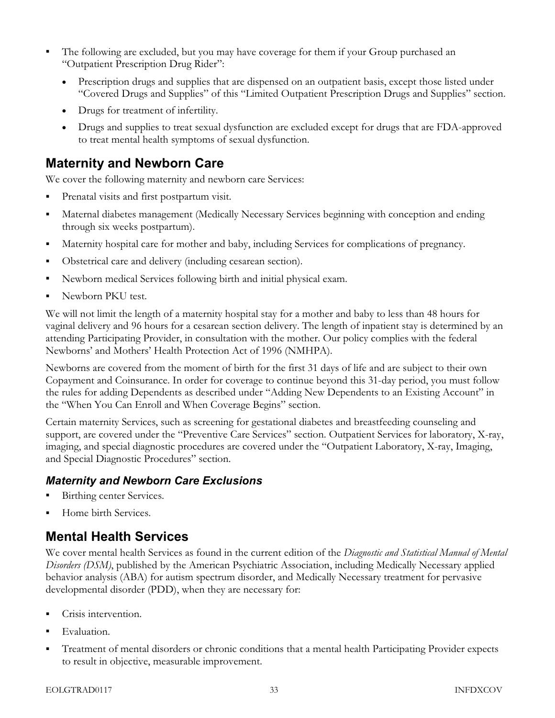- The following are excluded, but you may have coverage for them if your Group purchased an "Outpatient Prescription Drug Rider":
	- Prescription drugs and supplies that are dispensed on an outpatient basis, except those listed under "Covered Drugs and Supplies" of this "Limited Outpatient Prescription Drugs and Supplies" section.
	- Drugs for treatment of infertility.
	- Drugs and supplies to treat sexual dysfunction are excluded except for drugs that are FDA-approved to treat mental health symptoms of sexual dysfunction.

## Maternity and Newborn Care

We cover the following maternity and newborn care Services:

- Prenatal visits and first postpartum visit.
- Maternal diabetes management (Medically Necessary Services beginning with conception and ending through six weeks postpartum).
- Maternity hospital care for mother and baby, including Services for complications of pregnancy.
- Obstetrical care and delivery (including cesarean section).
- Newborn medical Services following birth and initial physical exam.
- Newborn PKU test.

We will not limit the length of a maternity hospital stay for a mother and baby to less than 48 hours for vaginal delivery and 96 hours for a cesarean section delivery. The length of inpatient stay is determined by an attending Participating Provider, in consultation with the mother. Our policy complies with the federal Newborns' and Mothers' Health Protection Act of 1996 (NMHPA).

Newborns are covered from the moment of birth for the first 31 days of life and are subject to their own Copayment and Coinsurance. In order for coverage to continue beyond this 31-day period, you must follow the rules for adding Dependents as described under "Adding New Dependents to an Existing Account" in the "When You Can Enroll and When Coverage Begins" section.

Certain maternity Services, such as screening for gestational diabetes and breastfeeding counseling and support, are covered under the "Preventive Care Services" section. Outpatient Services for laboratory, X-ray, imaging, and special diagnostic procedures are covered under the "Outpatient Laboratory, X-ray, Imaging, and Special Diagnostic Procedures" section.

#### Maternity and Newborn Care Exclusions

- Birthing center Services.
- Home birth Services.

## Mental Health Services

We cover mental health Services as found in the current edition of the Diagnostic and Statistical Manual of Mental Disorders (DSM), published by the American Psychiatric Association, including Medically Necessary applied behavior analysis (ABA) for autism spectrum disorder, and Medically Necessary treatment for pervasive developmental disorder (PDD), when they are necessary for:

- Crisis intervention.
- Evaluation.
- Treatment of mental disorders or chronic conditions that a mental health Participating Provider expects to result in objective, measurable improvement.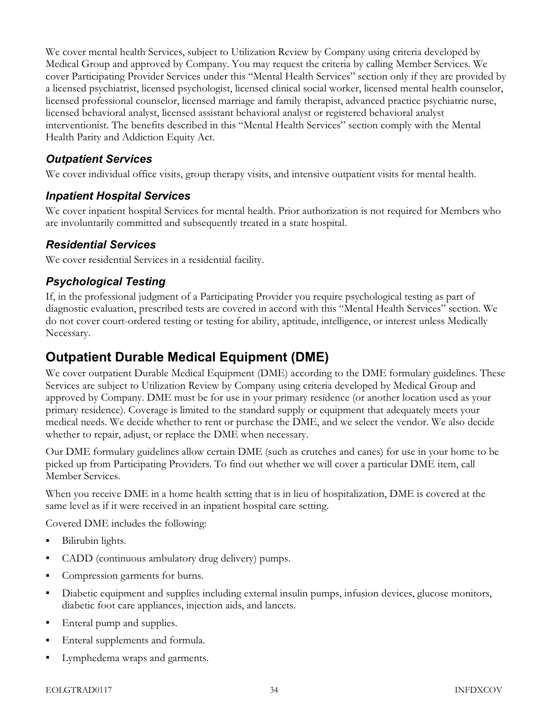We cover mental health Services, subject to Utilization Review by Company using criteria developed by Medical Group and approved by Company. You may request the criteria by calling Member Services. We cover Participating Provider Services under this "Mental Health Services" section only if they are provided by a licensed psychiatrist, licensed psychologist, licensed clinical social worker, licensed mental health counselor, licensed professional counselor, licensed marriage and family therapist, advanced practice psychiatric nurse, licensed behavioral analyst, licensed assistant behavioral analyst or registered behavioral analyst interventionist. The benefits described in this "Mental Health Services" section comply with the Mental Health Parity and Addiction Equity Act.

#### Outpatient Services

We cover individual office visits, group therapy visits, and intensive outpatient visits for mental health.

#### Inpatient Hospital Services

We cover inpatient hospital Services for mental health. Prior authorization is not required for Members who are involuntarily committed and subsequently treated in a state hospital.

#### Residential Services

We cover residential Services in a residential facility.

#### Psychological Testing

If, in the professional judgment of a Participating Provider you require psychological testing as part of diagnostic evaluation, prescribed tests are covered in accord with this "Mental Health Services" section. We do not cover court-ordered testing or testing for ability, aptitude, intelligence, or interest unless Medically Necessary.

## Outpatient Durable Medical Equipment (DME)

We cover outpatient Durable Medical Equipment (DME) according to the DME formulary guidelines. These Services are subject to Utilization Review by Company using criteria developed by Medical Group and approved by Company. DME must be for use in your primary residence (or another location used as your primary residence). Coverage is limited to the standard supply or equipment that adequately meets your medical needs. We decide whether to rent or purchase the DME, and we select the vendor. We also decide whether to repair, adjust, or replace the DME when necessary.

Our DME formulary guidelines allow certain DME (such as crutches and canes) for use in your home to be picked up from Participating Providers. To find out whether we will cover a particular DME item, call Member Services.

When you receive DME in a home health setting that is in lieu of hospitalization, DME is covered at the same level as if it were received in an inpatient hospital care setting.

Covered DME includes the following:

- **Bilirubin lights.**
- CADD (continuous ambulatory drug delivery) pumps.
- Compression garments for burns.
- Diabetic equipment and supplies including external insulin pumps, infusion devices, glucose monitors, diabetic foot care appliances, injection aids, and lancets.
- **Enteral pump and supplies.**
- Enteral supplements and formula.
- **Lymphedema wraps and garments.**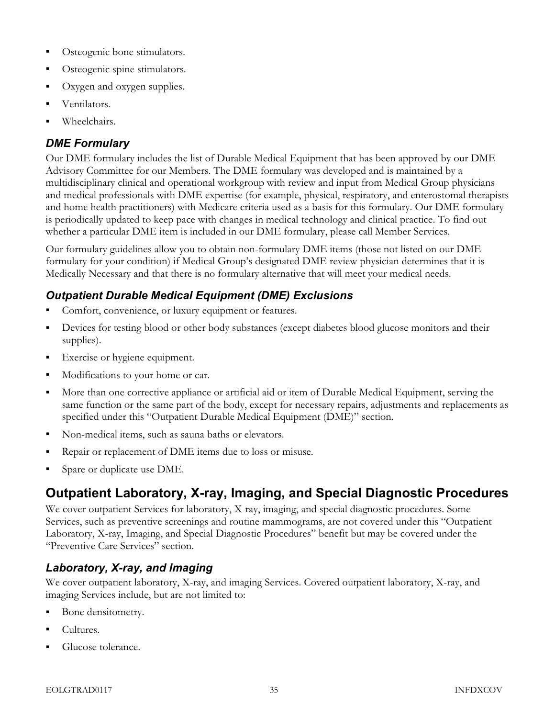- Osteogenic bone stimulators.
- Osteogenic spine stimulators.
- Oxygen and oxygen supplies.
- Ventilators.
- Wheelchairs.

## DME Formulary

Our DME formulary includes the list of Durable Medical Equipment that has been approved by our DME Advisory Committee for our Members. The DME formulary was developed and is maintained by a multidisciplinary clinical and operational workgroup with review and input from Medical Group physicians and medical professionals with DME expertise (for example, physical, respiratory, and enterostomal therapists and home health practitioners) with Medicare criteria used as a basis for this formulary. Our DME formulary is periodically updated to keep pace with changes in medical technology and clinical practice. To find out whether a particular DME item is included in our DME formulary, please call Member Services.

Our formulary guidelines allow you to obtain non-formulary DME items (those not listed on our DME formulary for your condition) if Medical Group's designated DME review physician determines that it is Medically Necessary and that there is no formulary alternative that will meet your medical needs.

## Outpatient Durable Medical Equipment (DME) Exclusions

- Comfort, convenience, or luxury equipment or features.
- Devices for testing blood or other body substances (except diabetes blood glucose monitors and their supplies).
- **Exercise or hygiene equipment.**
- Modifications to your home or car.
- More than one corrective appliance or artificial aid or item of Durable Medical Equipment, serving the same function or the same part of the body, except for necessary repairs, adjustments and replacements as specified under this "Outpatient Durable Medical Equipment (DME)" section.
- Non-medical items, such as sauna baths or elevators.
- Repair or replacement of DME items due to loss or misuse.
- Spare or duplicate use DME.

# Outpatient Laboratory, X-ray, Imaging, and Special Diagnostic Procedures

We cover outpatient Services for laboratory, X-ray, imaging, and special diagnostic procedures. Some Services, such as preventive screenings and routine mammograms, are not covered under this "Outpatient Laboratory, X-ray, Imaging, and Special Diagnostic Procedures" benefit but may be covered under the "Preventive Care Services" section.

## Laboratory, X-ray, and Imaging

We cover outpatient laboratory, X-ray, and imaging Services. Covered outpatient laboratory, X-ray, and imaging Services include, but are not limited to:

- Bone densitometry.
- Cultures.
- Glucose tolerance.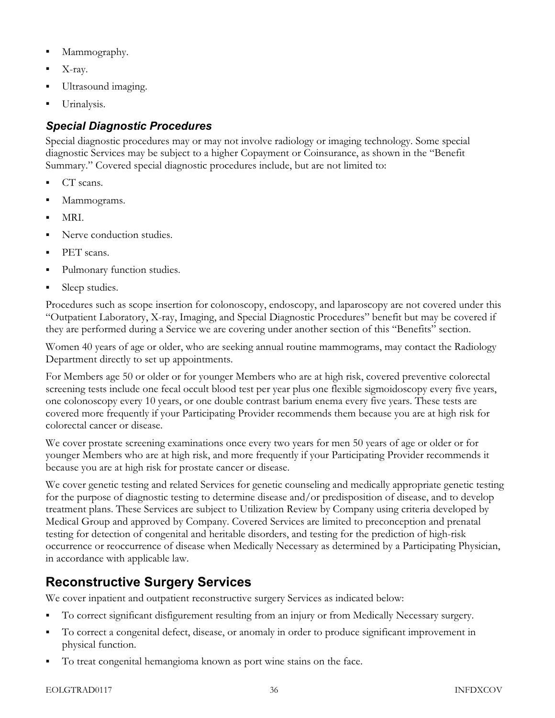- Mammography.
- X-ray.
- Ultrasound imaging.
- Urinalysis.

## Special Diagnostic Procedures

Special diagnostic procedures may or may not involve radiology or imaging technology. Some special diagnostic Services may be subject to a higher Copayment or Coinsurance, as shown in the "Benefit Summary." Covered special diagnostic procedures include, but are not limited to:

- CT scans.
- Mammograms.
- MRI.
- Nerve conduction studies.
- PET scans.
- Pulmonary function studies.
- Sleep studies.

Procedures such as scope insertion for colonoscopy, endoscopy, and laparoscopy are not covered under this "Outpatient Laboratory, X-ray, Imaging, and Special Diagnostic Procedures" benefit but may be covered if they are performed during a Service we are covering under another section of this "Benefits" section.

Women 40 years of age or older, who are seeking annual routine mammograms, may contact the Radiology Department directly to set up appointments.

For Members age 50 or older or for younger Members who are at high risk, covered preventive colorectal screening tests include one fecal occult blood test per year plus one flexible sigmoidoscopy every five years, one colonoscopy every 10 years, or one double contrast barium enema every five years. These tests are covered more frequently if your Participating Provider recommends them because you are at high risk for colorectal cancer or disease.

We cover prostate screening examinations once every two years for men 50 years of age or older or for younger Members who are at high risk, and more frequently if your Participating Provider recommends it because you are at high risk for prostate cancer or disease.

We cover genetic testing and related Services for genetic counseling and medically appropriate genetic testing for the purpose of diagnostic testing to determine disease and/or predisposition of disease, and to develop treatment plans. These Services are subject to Utilization Review by Company using criteria developed by Medical Group and approved by Company. Covered Services are limited to preconception and prenatal testing for detection of congenital and heritable disorders, and testing for the prediction of high-risk occurrence or reoccurrence of disease when Medically Necessary as determined by a Participating Physician, in accordance with applicable law.

# Reconstructive Surgery Services

We cover inpatient and outpatient reconstructive surgery Services as indicated below:

- To correct significant disfigurement resulting from an injury or from Medically Necessary surgery.
- To correct a congenital defect, disease, or anomaly in order to produce significant improvement in physical function.
- To treat congenital hemangioma known as port wine stains on the face.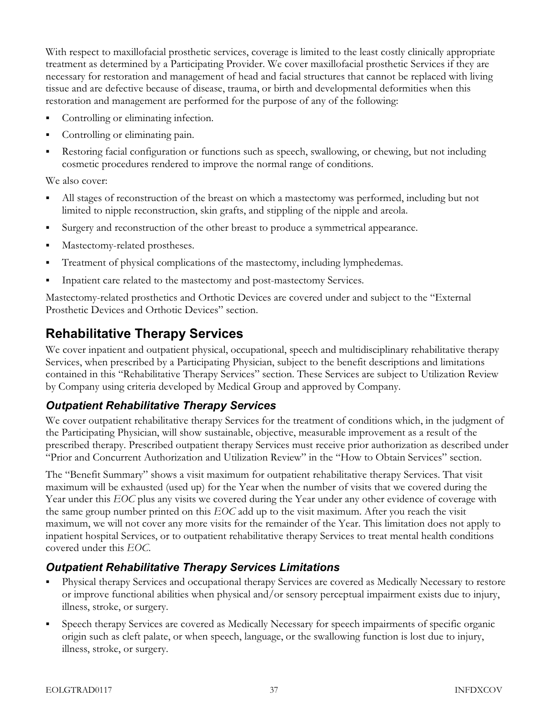With respect to maxillofacial prosthetic services, coverage is limited to the least costly clinically appropriate treatment as determined by a Participating Provider. We cover maxillofacial prosthetic Services if they are necessary for restoration and management of head and facial structures that cannot be replaced with living tissue and are defective because of disease, trauma, or birth and developmental deformities when this restoration and management are performed for the purpose of any of the following:

- Controlling or eliminating infection.
- Controlling or eliminating pain.
- Restoring facial configuration or functions such as speech, swallowing, or chewing, but not including cosmetic procedures rendered to improve the normal range of conditions.

We also cover:

- All stages of reconstruction of the breast on which a mastectomy was performed, including but not limited to nipple reconstruction, skin grafts, and stippling of the nipple and areola.
- Surgery and reconstruction of the other breast to produce a symmetrical appearance.
- Mastectomy-related prostheses.
- Treatment of physical complications of the mastectomy, including lymphedemas.
- Inpatient care related to the mastectomy and post-mastectomy Services.

Mastectomy-related prosthetics and Orthotic Devices are covered under and subject to the "External Prosthetic Devices and Orthotic Devices" section.

## Rehabilitative Therapy Services

We cover inpatient and outpatient physical, occupational, speech and multidisciplinary rehabilitative therapy Services, when prescribed by a Participating Physician, subject to the benefit descriptions and limitations contained in this "Rehabilitative Therapy Services" section. These Services are subject to Utilization Review by Company using criteria developed by Medical Group and approved by Company.

#### Outpatient Rehabilitative Therapy Services

We cover outpatient rehabilitative therapy Services for the treatment of conditions which, in the judgment of the Participating Physician, will show sustainable, objective, measurable improvement as a result of the prescribed therapy. Prescribed outpatient therapy Services must receive prior authorization as described under "Prior and Concurrent Authorization and Utilization Review" in the "How to Obtain Services" section.

The "Benefit Summary" shows a visit maximum for outpatient rehabilitative therapy Services. That visit maximum will be exhausted (used up) for the Year when the number of visits that we covered during the Year under this EOC plus any visits we covered during the Year under any other evidence of coverage with the same group number printed on this  $EOC$  add up to the visit maximum. After you reach the visit maximum, we will not cover any more visits for the remainder of the Year. This limitation does not apply to inpatient hospital Services, or to outpatient rehabilitative therapy Services to treat mental health conditions covered under this EOC.

#### Outpatient Rehabilitative Therapy Services Limitations

- Physical therapy Services and occupational therapy Services are covered as Medically Necessary to restore or improve functional abilities when physical and/or sensory perceptual impairment exists due to injury, illness, stroke, or surgery.
- Speech therapy Services are covered as Medically Necessary for speech impairments of specific organic origin such as cleft palate, or when speech, language, or the swallowing function is lost due to injury, illness, stroke, or surgery.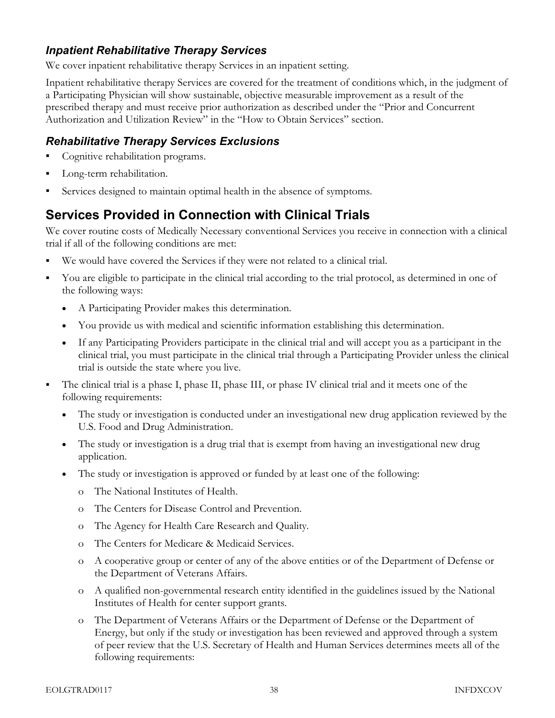#### Inpatient Rehabilitative Therapy Services

We cover inpatient rehabilitative therapy Services in an inpatient setting.

Inpatient rehabilitative therapy Services are covered for the treatment of conditions which, in the judgment of a Participating Physician will show sustainable, objective measurable improvement as a result of the prescribed therapy and must receive prior authorization as described under the "Prior and Concurrent Authorization and Utilization Review" in the "How to Obtain Services" section.

#### Rehabilitative Therapy Services Exclusions

- Cognitive rehabilitation programs.
- **Long-term rehabilitation.**
- Services designed to maintain optimal health in the absence of symptoms.

## Services Provided in Connection with Clinical Trials

We cover routine costs of Medically Necessary conventional Services you receive in connection with a clinical trial if all of the following conditions are met:

- We would have covered the Services if they were not related to a clinical trial.
- You are eligible to participate in the clinical trial according to the trial protocol, as determined in one of the following ways:
	- A Participating Provider makes this determination.
	- You provide us with medical and scientific information establishing this determination.
	- If any Participating Providers participate in the clinical trial and will accept you as a participant in the clinical trial, you must participate in the clinical trial through a Participating Provider unless the clinical trial is outside the state where you live.
- The clinical trial is a phase I, phase II, phase III, or phase IV clinical trial and it meets one of the following requirements:
	- The study or investigation is conducted under an investigational new drug application reviewed by the U.S. Food and Drug Administration.
	- The study or investigation is a drug trial that is exempt from having an investigational new drug application.
	- The study or investigation is approved or funded by at least one of the following:
		- o The National Institutes of Health.
		- o The Centers for Disease Control and Prevention.
		- o The Agency for Health Care Research and Quality.
		- o The Centers for Medicare & Medicaid Services.
		- o A cooperative group or center of any of the above entities or of the Department of Defense or the Department of Veterans Affairs.
		- o A qualified non-governmental research entity identified in the guidelines issued by the National Institutes of Health for center support grants.
		- o The Department of Veterans Affairs or the Department of Defense or the Department of Energy, but only if the study or investigation has been reviewed and approved through a system of peer review that the U.S. Secretary of Health and Human Services determines meets all of the following requirements: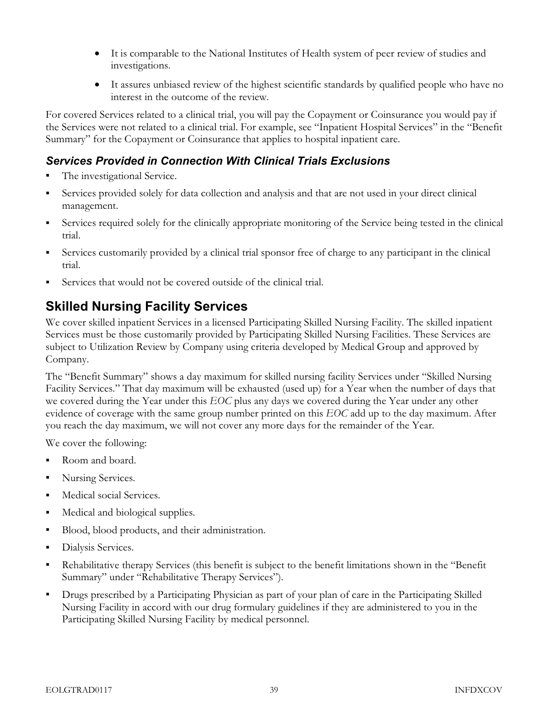- It is comparable to the National Institutes of Health system of peer review of studies and investigations.
- It assures unbiased review of the highest scientific standards by qualified people who have no interest in the outcome of the review.

For covered Services related to a clinical trial, you will pay the Copayment or Coinsurance you would pay if the Services were not related to a clinical trial. For example, see "Inpatient Hospital Services" in the "Benefit Summary" for the Copayment or Coinsurance that applies to hospital inpatient care.

#### Services Provided in Connection With Clinical Trials Exclusions

- The investigational Service.
- Services provided solely for data collection and analysis and that are not used in your direct clinical management.
- Services required solely for the clinically appropriate monitoring of the Service being tested in the clinical trial.
- Services customarily provided by a clinical trial sponsor free of charge to any participant in the clinical trial.
- Services that would not be covered outside of the clinical trial.

# Skilled Nursing Facility Services

We cover skilled inpatient Services in a licensed Participating Skilled Nursing Facility. The skilled inpatient Services must be those customarily provided by Participating Skilled Nursing Facilities. These Services are subject to Utilization Review by Company using criteria developed by Medical Group and approved by Company.

The "Benefit Summary" shows a day maximum for skilled nursing facility Services under "Skilled Nursing Facility Services." That day maximum will be exhausted (used up) for a Year when the number of days that we covered during the Year under this EOC plus any days we covered during the Year under any other evidence of coverage with the same group number printed on this EOC add up to the day maximum. After you reach the day maximum, we will not cover any more days for the remainder of the Year.

We cover the following:

- Room and board.
- Nursing Services.
- **Medical social Services.**
- Medical and biological supplies.
- Blood, blood products, and their administration.
- Dialysis Services.
- Rehabilitative therapy Services (this benefit is subject to the benefit limitations shown in the "Benefit Summary" under "Rehabilitative Therapy Services").
- Drugs prescribed by a Participating Physician as part of your plan of care in the Participating Skilled Nursing Facility in accord with our drug formulary guidelines if they are administered to you in the Participating Skilled Nursing Facility by medical personnel.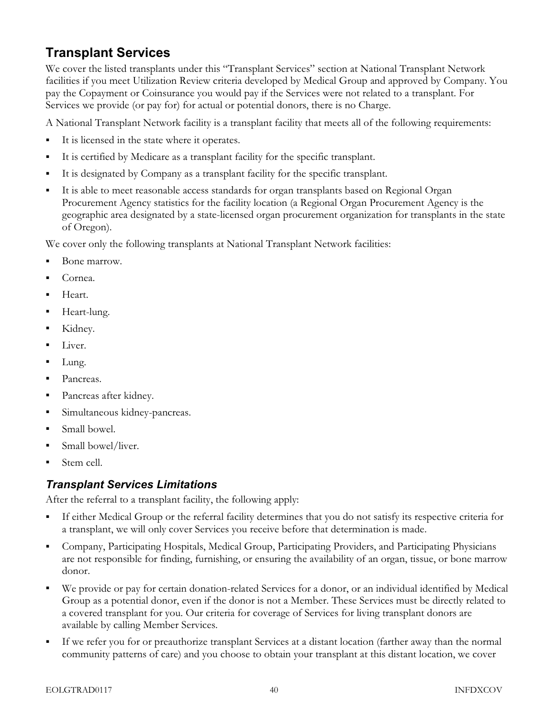# Transplant Services

We cover the listed transplants under this "Transplant Services" section at National Transplant Network facilities if you meet Utilization Review criteria developed by Medical Group and approved by Company. You pay the Copayment or Coinsurance you would pay if the Services were not related to a transplant. For Services we provide (or pay for) for actual or potential donors, there is no Charge.

A National Transplant Network facility is a transplant facility that meets all of the following requirements:

- It is licensed in the state where it operates.
- It is certified by Medicare as a transplant facility for the specific transplant.
- It is designated by Company as a transplant facility for the specific transplant.
- It is able to meet reasonable access standards for organ transplants based on Regional Organ Procurement Agency statistics for the facility location (a Regional Organ Procurement Agency is the geographic area designated by a state-licensed organ procurement organization for transplants in the state of Oregon).

We cover only the following transplants at National Transplant Network facilities:

- Bone marrow.
- Cornea.
- Heart.
- Heart-lung.
- Kidney.
- Liver.
- Lung.
- Pancreas.
- Pancreas after kidney.
- Simultaneous kidney-pancreas.
- Small bowel.
- Small bowel/liver.
- Stem cell.

#### Transplant Services Limitations

After the referral to a transplant facility, the following apply:

- If either Medical Group or the referral facility determines that you do not satisfy its respective criteria for a transplant, we will only cover Services you receive before that determination is made.
- Company, Participating Hospitals, Medical Group, Participating Providers, and Participating Physicians are not responsible for finding, furnishing, or ensuring the availability of an organ, tissue, or bone marrow donor.
- We provide or pay for certain donation-related Services for a donor, or an individual identified by Medical Group as a potential donor, even if the donor is not a Member. These Services must be directly related to a covered transplant for you. Our criteria for coverage of Services for living transplant donors are available by calling Member Services.
- If we refer you for or preauthorize transplant Services at a distant location (farther away than the normal community patterns of care) and you choose to obtain your transplant at this distant location, we cover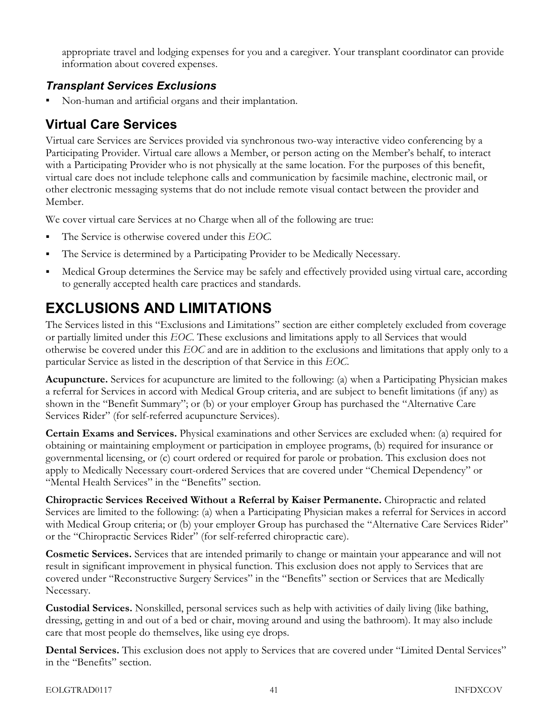appropriate travel and lodging expenses for you and a caregiver. Your transplant coordinator can provide information about covered expenses.

## Transplant Services Exclusions

Non-human and artificial organs and their implantation.

# Virtual Care Services

Virtual care Services are Services provided via synchronous two-way interactive video conferencing by a Participating Provider. Virtual care allows a Member, or person acting on the Member's behalf, to interact with a Participating Provider who is not physically at the same location. For the purposes of this benefit, virtual care does not include telephone calls and communication by facsimile machine, electronic mail, or other electronic messaging systems that do not include remote visual contact between the provider and Member.

We cover virtual care Services at no Charge when all of the following are true:

- $\blacksquare$  The Service is otherwise covered under this EOC.
- The Service is determined by a Participating Provider to be Medically Necessary.
- Medical Group determines the Service may be safely and effectively provided using virtual care, according to generally accepted health care practices and standards.

# EXCLUSIONS AND LIMITATIONS

The Services listed in this "Exclusions and Limitations" section are either completely excluded from coverage or partially limited under this EOC. These exclusions and limitations apply to all Services that would otherwise be covered under this EOC and are in addition to the exclusions and limitations that apply only to a particular Service as listed in the description of that Service in this EOC.

Acupuncture. Services for acupuncture are limited to the following: (a) when a Participating Physician makes a referral for Services in accord with Medical Group criteria, and are subject to benefit limitations (if any) as shown in the "Benefit Summary"; or (b) or your employer Group has purchased the "Alternative Care Services Rider" (for self-referred acupuncture Services).

Certain Exams and Services. Physical examinations and other Services are excluded when: (a) required for obtaining or maintaining employment or participation in employee programs, (b) required for insurance or governmental licensing, or (c) court ordered or required for parole or probation. This exclusion does not apply to Medically Necessary court-ordered Services that are covered under "Chemical Dependency" or "Mental Health Services" in the "Benefits" section.

Chiropractic Services Received Without a Referral by Kaiser Permanente. Chiropractic and related Services are limited to the following: (a) when a Participating Physician makes a referral for Services in accord with Medical Group criteria; or (b) your employer Group has purchased the "Alternative Care Services Rider" or the "Chiropractic Services Rider" (for self-referred chiropractic care).

Cosmetic Services. Services that are intended primarily to change or maintain your appearance and will not result in significant improvement in physical function. This exclusion does not apply to Services that are covered under "Reconstructive Surgery Services" in the "Benefits" section or Services that are Medically Necessary.

Custodial Services. Nonskilled, personal services such as help with activities of daily living (like bathing, dressing, getting in and out of a bed or chair, moving around and using the bathroom). It may also include care that most people do themselves, like using eye drops.

Dental Services. This exclusion does not apply to Services that are covered under "Limited Dental Services" in the "Benefits" section.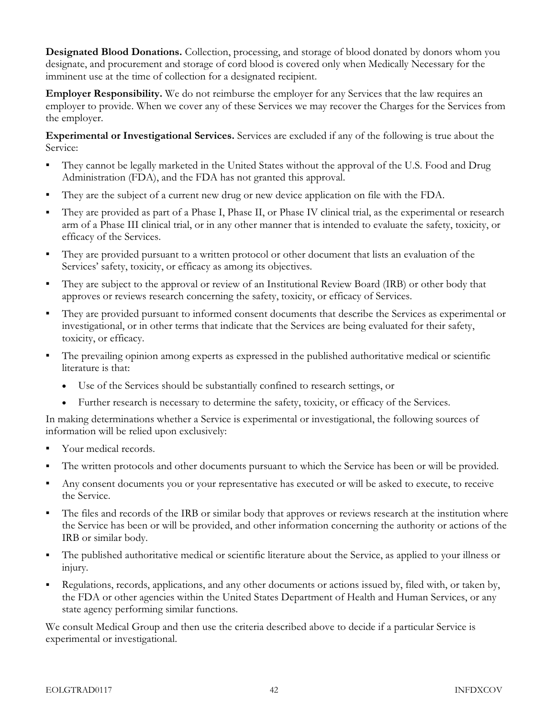Designated Blood Donations. Collection, processing, and storage of blood donated by donors whom you designate, and procurement and storage of cord blood is covered only when Medically Necessary for the imminent use at the time of collection for a designated recipient.

Employer Responsibility. We do not reimburse the employer for any Services that the law requires an employer to provide. When we cover any of these Services we may recover the Charges for the Services from the employer.

Experimental or Investigational Services. Services are excluded if any of the following is true about the Service:

- They cannot be legally marketed in the United States without the approval of the U.S. Food and Drug Administration (FDA), and the FDA has not granted this approval.
- They are the subject of a current new drug or new device application on file with the FDA.
- They are provided as part of a Phase I, Phase II, or Phase IV clinical trial, as the experimental or research arm of a Phase III clinical trial, or in any other manner that is intended to evaluate the safety, toxicity, or efficacy of the Services.
- They are provided pursuant to a written protocol or other document that lists an evaluation of the Services' safety, toxicity, or efficacy as among its objectives.
- They are subject to the approval or review of an Institutional Review Board (IRB) or other body that approves or reviews research concerning the safety, toxicity, or efficacy of Services.
- They are provided pursuant to informed consent documents that describe the Services as experimental or investigational, or in other terms that indicate that the Services are being evaluated for their safety, toxicity, or efficacy.
- The prevailing opinion among experts as expressed in the published authoritative medical or scientific literature is that:
	- Use of the Services should be substantially confined to research settings, or
	- Further research is necessary to determine the safety, toxicity, or efficacy of the Services.

In making determinations whether a Service is experimental or investigational, the following sources of information will be relied upon exclusively:

- Your medical records.
- The written protocols and other documents pursuant to which the Service has been or will be provided.
- Any consent documents you or your representative has executed or will be asked to execute, to receive the Service.
- The files and records of the IRB or similar body that approves or reviews research at the institution where the Service has been or will be provided, and other information concerning the authority or actions of the IRB or similar body.
- The published authoritative medical or scientific literature about the Service, as applied to your illness or injury.
- Regulations, records, applications, and any other documents or actions issued by, filed with, or taken by, the FDA or other agencies within the United States Department of Health and Human Services, or any state agency performing similar functions.

We consult Medical Group and then use the criteria described above to decide if a particular Service is experimental or investigational.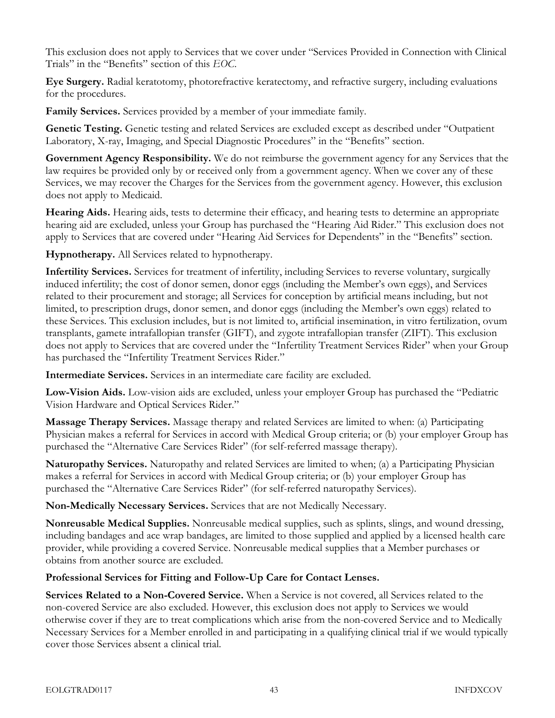This exclusion does not apply to Services that we cover under "Services Provided in Connection with Clinical Trials" in the "Benefits" section of this EOC.

Eye Surgery. Radial keratotomy, photorefractive keratectomy, and refractive surgery, including evaluations for the procedures.

Family Services. Services provided by a member of your immediate family.

Genetic Testing. Genetic testing and related Services are excluded except as described under "Outpatient Laboratory, X-ray, Imaging, and Special Diagnostic Procedures" in the "Benefits" section.

Government Agency Responsibility. We do not reimburse the government agency for any Services that the law requires be provided only by or received only from a government agency. When we cover any of these Services, we may recover the Charges for the Services from the government agency. However, this exclusion does not apply to Medicaid.

Hearing Aids. Hearing aids, tests to determine their efficacy, and hearing tests to determine an appropriate hearing aid are excluded, unless your Group has purchased the "Hearing Aid Rider." This exclusion does not apply to Services that are covered under "Hearing Aid Services for Dependents" in the "Benefits" section.

Hypnotherapy. All Services related to hypnotherapy.

Infertility Services. Services for treatment of infertility, including Services to reverse voluntary, surgically induced infertility; the cost of donor semen, donor eggs (including the Member's own eggs), and Services related to their procurement and storage; all Services for conception by artificial means including, but not limited, to prescription drugs, donor semen, and donor eggs (including the Member's own eggs) related to these Services. This exclusion includes, but is not limited to, artificial insemination, in vitro fertilization, ovum transplants, gamete intrafallopian transfer (GIFT), and zygote intrafallopian transfer (ZIFT). This exclusion does not apply to Services that are covered under the "Infertility Treatment Services Rider" when your Group has purchased the "Infertility Treatment Services Rider."

Intermediate Services. Services in an intermediate care facility are excluded.

Low-Vision Aids. Low-vision aids are excluded, unless your employer Group has purchased the "Pediatric Vision Hardware and Optical Services Rider."

Massage Therapy Services. Massage therapy and related Services are limited to when: (a) Participating Physician makes a referral for Services in accord with Medical Group criteria; or (b) your employer Group has purchased the "Alternative Care Services Rider" (for self-referred massage therapy).

Naturopathy Services. Naturopathy and related Services are limited to when; (a) a Participating Physician makes a referral for Services in accord with Medical Group criteria; or (b) your employer Group has purchased the "Alternative Care Services Rider" (for self-referred naturopathy Services).

Non-Medically Necessary Services. Services that are not Medically Necessary.

Nonreusable Medical Supplies. Nonreusable medical supplies, such as splints, slings, and wound dressing, including bandages and ace wrap bandages, are limited to those supplied and applied by a licensed health care provider, while providing a covered Service. Nonreusable medical supplies that a Member purchases or obtains from another source are excluded.

#### Professional Services for Fitting and Follow-Up Care for Contact Lenses.

Services Related to a Non-Covered Service. When a Service is not covered, all Services related to the non-covered Service are also excluded. However, this exclusion does not apply to Services we would otherwise cover if they are to treat complications which arise from the non-covered Service and to Medically Necessary Services for a Member enrolled in and participating in a qualifying clinical trial if we would typically cover those Services absent a clinical trial.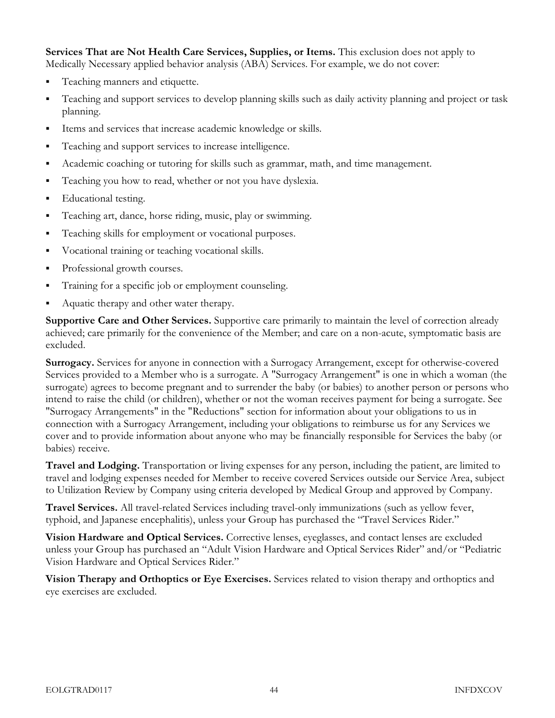Services That are Not Health Care Services, Supplies, or Items. This exclusion does not apply to Medically Necessary applied behavior analysis (ABA) Services. For example, we do not cover:

- **Teaching manners and etiquette.**
- Teaching and support services to develop planning skills such as daily activity planning and project or task planning.
- Items and services that increase academic knowledge or skills.
- Teaching and support services to increase intelligence.
- Academic coaching or tutoring for skills such as grammar, math, and time management.
- Teaching you how to read, whether or not you have dyslexia.
- Educational testing.
- Teaching art, dance, horse riding, music, play or swimming.
- Teaching skills for employment or vocational purposes.
- Vocational training or teaching vocational skills.
- Professional growth courses.
- Training for a specific job or employment counseling.
- Aquatic therapy and other water therapy.

Supportive Care and Other Services. Supportive care primarily to maintain the level of correction already achieved; care primarily for the convenience of the Member; and care on a non-acute, symptomatic basis are excluded.

Surrogacy. Services for anyone in connection with a Surrogacy Arrangement, except for otherwise-covered Services provided to a Member who is a surrogate. A "Surrogacy Arrangement" is one in which a woman (the surrogate) agrees to become pregnant and to surrender the baby (or babies) to another person or persons who intend to raise the child (or children), whether or not the woman receives payment for being a surrogate. See "Surrogacy Arrangements" in the "Reductions" section for information about your obligations to us in connection with a Surrogacy Arrangement, including your obligations to reimburse us for any Services we cover and to provide information about anyone who may be financially responsible for Services the baby (or babies) receive.

Travel and Lodging. Transportation or living expenses for any person, including the patient, are limited to travel and lodging expenses needed for Member to receive covered Services outside our Service Area, subject to Utilization Review by Company using criteria developed by Medical Group and approved by Company.

Travel Services. All travel-related Services including travel-only immunizations (such as yellow fever, typhoid, and Japanese encephalitis), unless your Group has purchased the "Travel Services Rider."

Vision Hardware and Optical Services. Corrective lenses, eyeglasses, and contact lenses are excluded unless your Group has purchased an "Adult Vision Hardware and Optical Services Rider" and/or "Pediatric Vision Hardware and Optical Services Rider."

Vision Therapy and Orthoptics or Eye Exercises. Services related to vision therapy and orthoptics and eye exercises are excluded.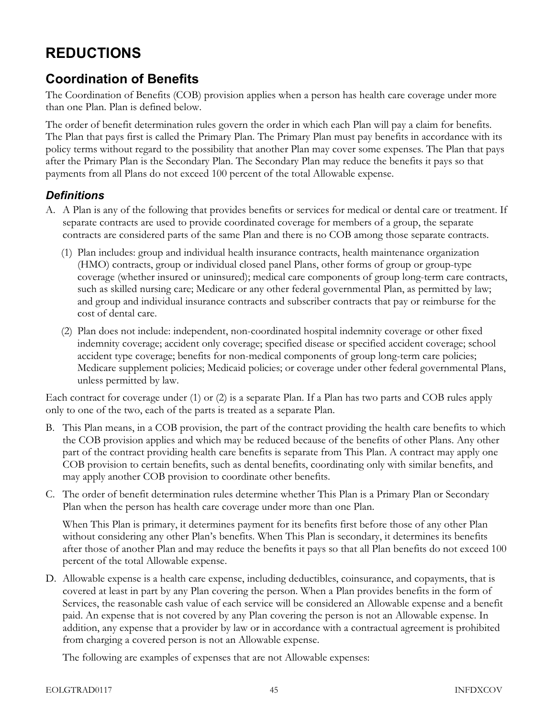# REDUCTIONS

## Coordination of Benefits

The Coordination of Benefits (COB) provision applies when a person has health care coverage under more than one Plan. Plan is defined below.

The order of benefit determination rules govern the order in which each Plan will pay a claim for benefits. The Plan that pays first is called the Primary Plan. The Primary Plan must pay benefits in accordance with its policy terms without regard to the possibility that another Plan may cover some expenses. The Plan that pays after the Primary Plan is the Secondary Plan. The Secondary Plan may reduce the benefits it pays so that payments from all Plans do not exceed 100 percent of the total Allowable expense.

#### **Definitions**

- A. A Plan is any of the following that provides benefits or services for medical or dental care or treatment. If separate contracts are used to provide coordinated coverage for members of a group, the separate contracts are considered parts of the same Plan and there is no COB among those separate contracts.
	- (1) Plan includes: group and individual health insurance contracts, health maintenance organization (HMO) contracts, group or individual closed panel Plans, other forms of group or group-type coverage (whether insured or uninsured); medical care components of group long-term care contracts, such as skilled nursing care; Medicare or any other federal governmental Plan, as permitted by law; and group and individual insurance contracts and subscriber contracts that pay or reimburse for the cost of dental care.
	- (2) Plan does not include: independent, non-coordinated hospital indemnity coverage or other fixed indemnity coverage; accident only coverage; specified disease or specified accident coverage; school accident type coverage; benefits for non-medical components of group long-term care policies; Medicare supplement policies; Medicaid policies; or coverage under other federal governmental Plans, unless permitted by law.

Each contract for coverage under (1) or (2) is a separate Plan. If a Plan has two parts and COB rules apply only to one of the two, each of the parts is treated as a separate Plan.

- B. This Plan means, in a COB provision, the part of the contract providing the health care benefits to which the COB provision applies and which may be reduced because of the benefits of other Plans. Any other part of the contract providing health care benefits is separate from This Plan. A contract may apply one COB provision to certain benefits, such as dental benefits, coordinating only with similar benefits, and may apply another COB provision to coordinate other benefits.
- C. The order of benefit determination rules determine whether This Plan is a Primary Plan or Secondary Plan when the person has health care coverage under more than one Plan.

When This Plan is primary, it determines payment for its benefits first before those of any other Plan without considering any other Plan's benefits. When This Plan is secondary, it determines its benefits after those of another Plan and may reduce the benefits it pays so that all Plan benefits do not exceed 100 percent of the total Allowable expense.

D. Allowable expense is a health care expense, including deductibles, coinsurance, and copayments, that is covered at least in part by any Plan covering the person. When a Plan provides benefits in the form of Services, the reasonable cash value of each service will be considered an Allowable expense and a benefit paid. An expense that is not covered by any Plan covering the person is not an Allowable expense. In addition, any expense that a provider by law or in accordance with a contractual agreement is prohibited from charging a covered person is not an Allowable expense.

The following are examples of expenses that are not Allowable expenses: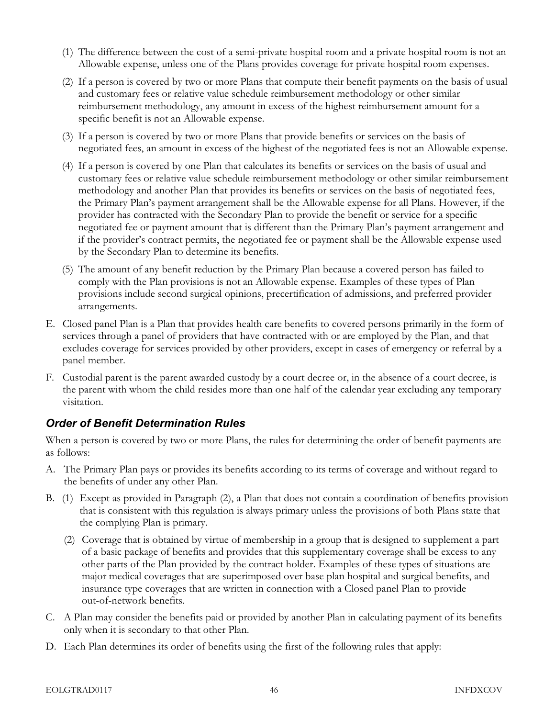- (1) The difference between the cost of a semi-private hospital room and a private hospital room is not an Allowable expense, unless one of the Plans provides coverage for private hospital room expenses.
- (2) If a person is covered by two or more Plans that compute their benefit payments on the basis of usual and customary fees or relative value schedule reimbursement methodology or other similar reimbursement methodology, any amount in excess of the highest reimbursement amount for a specific benefit is not an Allowable expense.
- (3) If a person is covered by two or more Plans that provide benefits or services on the basis of negotiated fees, an amount in excess of the highest of the negotiated fees is not an Allowable expense.
- (4) If a person is covered by one Plan that calculates its benefits or services on the basis of usual and customary fees or relative value schedule reimbursement methodology or other similar reimbursement methodology and another Plan that provides its benefits or services on the basis of negotiated fees, the Primary Plan's payment arrangement shall be the Allowable expense for all Plans. However, if the provider has contracted with the Secondary Plan to provide the benefit or service for a specific negotiated fee or payment amount that is different than the Primary Plan's payment arrangement and if the provider's contract permits, the negotiated fee or payment shall be the Allowable expense used by the Secondary Plan to determine its benefits.
- (5) The amount of any benefit reduction by the Primary Plan because a covered person has failed to comply with the Plan provisions is not an Allowable expense. Examples of these types of Plan provisions include second surgical opinions, precertification of admissions, and preferred provider arrangements.
- E. Closed panel Plan is a Plan that provides health care benefits to covered persons primarily in the form of services through a panel of providers that have contracted with or are employed by the Plan, and that excludes coverage for services provided by other providers, except in cases of emergency or referral by a panel member.
- F. Custodial parent is the parent awarded custody by a court decree or, in the absence of a court decree, is the parent with whom the child resides more than one half of the calendar year excluding any temporary visitation.

## Order of Benefit Determination Rules

When a person is covered by two or more Plans, the rules for determining the order of benefit payments are as follows:

- A. The Primary Plan pays or provides its benefits according to its terms of coverage and without regard to the benefits of under any other Plan.
- B. (1) Except as provided in Paragraph (2), a Plan that does not contain a coordination of benefits provision that is consistent with this regulation is always primary unless the provisions of both Plans state that the complying Plan is primary.
	- (2) Coverage that is obtained by virtue of membership in a group that is designed to supplement a part of a basic package of benefits and provides that this supplementary coverage shall be excess to any other parts of the Plan provided by the contract holder. Examples of these types of situations are major medical coverages that are superimposed over base plan hospital and surgical benefits, and insurance type coverages that are written in connection with a Closed panel Plan to provide out-of-network benefits.
- C. A Plan may consider the benefits paid or provided by another Plan in calculating payment of its benefits only when it is secondary to that other Plan.
- D. Each Plan determines its order of benefits using the first of the following rules that apply: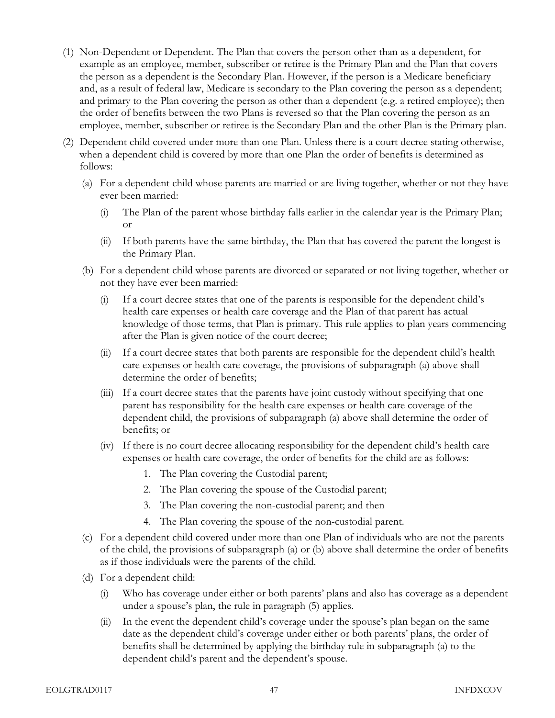- (1) Non-Dependent or Dependent. The Plan that covers the person other than as a dependent, for example as an employee, member, subscriber or retiree is the Primary Plan and the Plan that covers the person as a dependent is the Secondary Plan. However, if the person is a Medicare beneficiary and, as a result of federal law, Medicare is secondary to the Plan covering the person as a dependent; and primary to the Plan covering the person as other than a dependent (e.g. a retired employee); then the order of benefits between the two Plans is reversed so that the Plan covering the person as an employee, member, subscriber or retiree is the Secondary Plan and the other Plan is the Primary plan.
- (2) Dependent child covered under more than one Plan. Unless there is a court decree stating otherwise, when a dependent child is covered by more than one Plan the order of benefits is determined as follows:
	- (a) For a dependent child whose parents are married or are living together, whether or not they have ever been married:
		- (i) The Plan of the parent whose birthday falls earlier in the calendar year is the Primary Plan; or
		- (ii) If both parents have the same birthday, the Plan that has covered the parent the longest is the Primary Plan.
	- (b) For a dependent child whose parents are divorced or separated or not living together, whether or not they have ever been married:
		- (i) If a court decree states that one of the parents is responsible for the dependent child's health care expenses or health care coverage and the Plan of that parent has actual knowledge of those terms, that Plan is primary. This rule applies to plan years commencing after the Plan is given notice of the court decree;
		- (ii) If a court decree states that both parents are responsible for the dependent child's health care expenses or health care coverage, the provisions of subparagraph (a) above shall determine the order of benefits;
		- (iii) If a court decree states that the parents have joint custody without specifying that one parent has responsibility for the health care expenses or health care coverage of the dependent child, the provisions of subparagraph (a) above shall determine the order of benefits; or
		- (iv) If there is no court decree allocating responsibility for the dependent child's health care expenses or health care coverage, the order of benefits for the child are as follows:
			- 1. The Plan covering the Custodial parent;
			- 2. The Plan covering the spouse of the Custodial parent;
			- 3. The Plan covering the non-custodial parent; and then
			- 4. The Plan covering the spouse of the non-custodial parent.
	- (c) For a dependent child covered under more than one Plan of individuals who are not the parents of the child, the provisions of subparagraph (a) or (b) above shall determine the order of benefits as if those individuals were the parents of the child.
	- (d) For a dependent child:
		- (i) Who has coverage under either or both parents' plans and also has coverage as a dependent under a spouse's plan, the rule in paragraph (5) applies.
		- (ii) In the event the dependent child's coverage under the spouse's plan began on the same date as the dependent child's coverage under either or both parents' plans, the order of benefits shall be determined by applying the birthday rule in subparagraph (a) to the dependent child's parent and the dependent's spouse.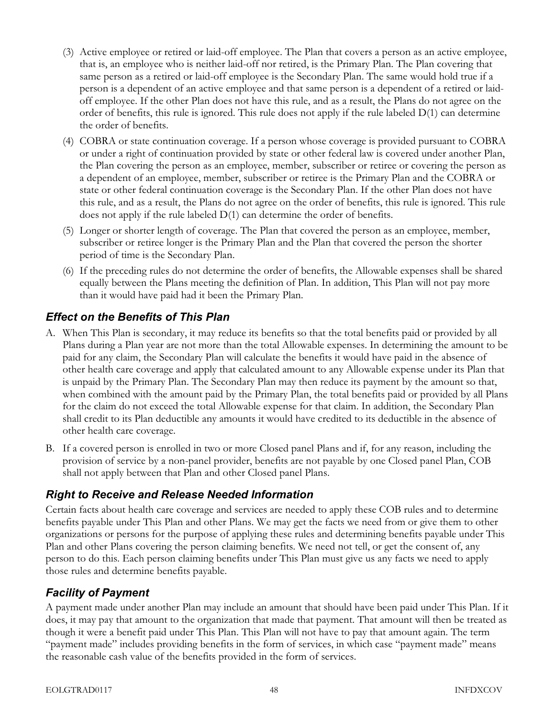- (3) Active employee or retired or laid-off employee. The Plan that covers a person as an active employee, that is, an employee who is neither laid-off nor retired, is the Primary Plan. The Plan covering that same person as a retired or laid-off employee is the Secondary Plan. The same would hold true if a person is a dependent of an active employee and that same person is a dependent of a retired or laidoff employee. If the other Plan does not have this rule, and as a result, the Plans do not agree on the order of benefits, this rule is ignored. This rule does not apply if the rule labeled  $D(1)$  can determine the order of benefits.
- (4) COBRA or state continuation coverage. If a person whose coverage is provided pursuant to COBRA or under a right of continuation provided by state or other federal law is covered under another Plan, the Plan covering the person as an employee, member, subscriber or retiree or covering the person as a dependent of an employee, member, subscriber or retiree is the Primary Plan and the COBRA or state or other federal continuation coverage is the Secondary Plan. If the other Plan does not have this rule, and as a result, the Plans do not agree on the order of benefits, this rule is ignored. This rule does not apply if the rule labeled D(1) can determine the order of benefits.
- (5) Longer or shorter length of coverage. The Plan that covered the person as an employee, member, subscriber or retiree longer is the Primary Plan and the Plan that covered the person the shorter period of time is the Secondary Plan.
- (6) If the preceding rules do not determine the order of benefits, the Allowable expenses shall be shared equally between the Plans meeting the definition of Plan. In addition, This Plan will not pay more than it would have paid had it been the Primary Plan.

#### Effect on the Benefits of This Plan

- A. When This Plan is secondary, it may reduce its benefits so that the total benefits paid or provided by all Plans during a Plan year are not more than the total Allowable expenses. In determining the amount to be paid for any claim, the Secondary Plan will calculate the benefits it would have paid in the absence of other health care coverage and apply that calculated amount to any Allowable expense under its Plan that is unpaid by the Primary Plan. The Secondary Plan may then reduce its payment by the amount so that, when combined with the amount paid by the Primary Plan, the total benefits paid or provided by all Plans for the claim do not exceed the total Allowable expense for that claim. In addition, the Secondary Plan shall credit to its Plan deductible any amounts it would have credited to its deductible in the absence of other health care coverage.
- B. If a covered person is enrolled in two or more Closed panel Plans and if, for any reason, including the provision of service by a non-panel provider, benefits are not payable by one Closed panel Plan, COB shall not apply between that Plan and other Closed panel Plans.

#### Right to Receive and Release Needed Information

Certain facts about health care coverage and services are needed to apply these COB rules and to determine benefits payable under This Plan and other Plans. We may get the facts we need from or give them to other organizations or persons for the purpose of applying these rules and determining benefits payable under This Plan and other Plans covering the person claiming benefits. We need not tell, or get the consent of, any person to do this. Each person claiming benefits under This Plan must give us any facts we need to apply those rules and determine benefits payable.

## Facility of Payment

A payment made under another Plan may include an amount that should have been paid under This Plan. If it does, it may pay that amount to the organization that made that payment. That amount will then be treated as though it were a benefit paid under This Plan. This Plan will not have to pay that amount again. The term "payment made" includes providing benefits in the form of services, in which case "payment made" means the reasonable cash value of the benefits provided in the form of services.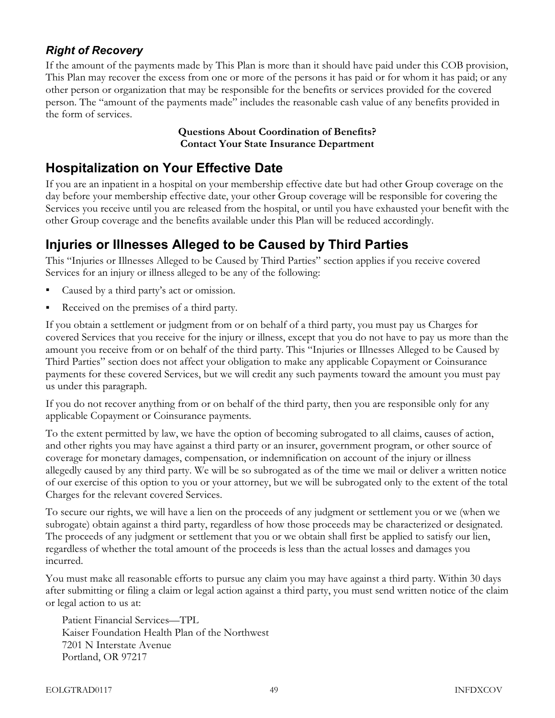## Right of Recovery

If the amount of the payments made by This Plan is more than it should have paid under this COB provision, This Plan may recover the excess from one or more of the persons it has paid or for whom it has paid; or any other person or organization that may be responsible for the benefits or services provided for the covered person. The "amount of the payments made" includes the reasonable cash value of any benefits provided in the form of services.

#### Questions About Coordination of Benefits? Contact Your State Insurance Department

## Hospitalization on Your Effective Date

If you are an inpatient in a hospital on your membership effective date but had other Group coverage on the day before your membership effective date, your other Group coverage will be responsible for covering the Services you receive until you are released from the hospital, or until you have exhausted your benefit with the other Group coverage and the benefits available under this Plan will be reduced accordingly.

## Injuries or Illnesses Alleged to be Caused by Third Parties

This "Injuries or Illnesses Alleged to be Caused by Third Parties" section applies if you receive covered Services for an injury or illness alleged to be any of the following:

- Caused by a third party's act or omission.
- Received on the premises of a third party.

If you obtain a settlement or judgment from or on behalf of a third party, you must pay us Charges for covered Services that you receive for the injury or illness, except that you do not have to pay us more than the amount you receive from or on behalf of the third party. This "Injuries or Illnesses Alleged to be Caused by Third Parties" section does not affect your obligation to make any applicable Copayment or Coinsurance payments for these covered Services, but we will credit any such payments toward the amount you must pay us under this paragraph.

If you do not recover anything from or on behalf of the third party, then you are responsible only for any applicable Copayment or Coinsurance payments.

To the extent permitted by law, we have the option of becoming subrogated to all claims, causes of action, and other rights you may have against a third party or an insurer, government program, or other source of coverage for monetary damages, compensation, or indemnification on account of the injury or illness allegedly caused by any third party. We will be so subrogated as of the time we mail or deliver a written notice of our exercise of this option to you or your attorney, but we will be subrogated only to the extent of the total Charges for the relevant covered Services.

To secure our rights, we will have a lien on the proceeds of any judgment or settlement you or we (when we subrogate) obtain against a third party, regardless of how those proceeds may be characterized or designated. The proceeds of any judgment or settlement that you or we obtain shall first be applied to satisfy our lien, regardless of whether the total amount of the proceeds is less than the actual losses and damages you incurred.

You must make all reasonable efforts to pursue any claim you may have against a third party. Within 30 days after submitting or filing a claim or legal action against a third party, you must send written notice of the claim or legal action to us at:

Patient Financial Services—TPL Kaiser Foundation Health Plan of the Northwest 7201 N Interstate Avenue Portland, OR 97217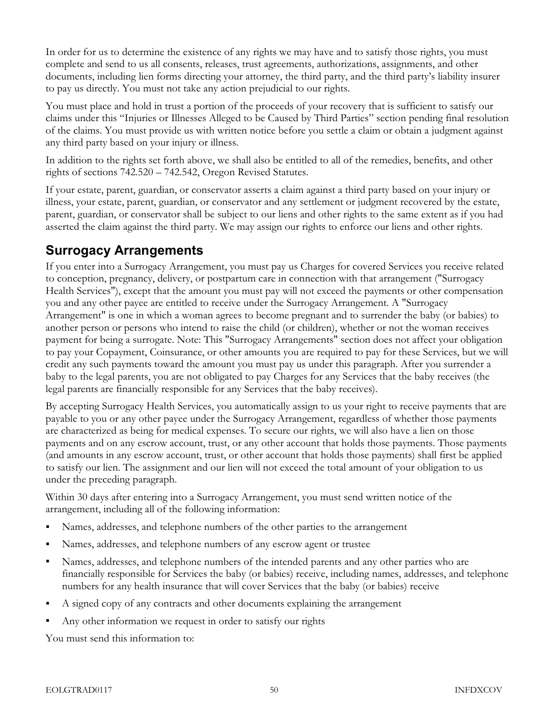In order for us to determine the existence of any rights we may have and to satisfy those rights, you must complete and send to us all consents, releases, trust agreements, authorizations, assignments, and other documents, including lien forms directing your attorney, the third party, and the third party's liability insurer to pay us directly. You must not take any action prejudicial to our rights.

You must place and hold in trust a portion of the proceeds of your recovery that is sufficient to satisfy our claims under this "Injuries or Illnesses Alleged to be Caused by Third Parties" section pending final resolution of the claims. You must provide us with written notice before you settle a claim or obtain a judgment against any third party based on your injury or illness.

In addition to the rights set forth above, we shall also be entitled to all of the remedies, benefits, and other rights of sections 742.520 – 742.542, Oregon Revised Statutes.

If your estate, parent, guardian, or conservator asserts a claim against a third party based on your injury or illness, your estate, parent, guardian, or conservator and any settlement or judgment recovered by the estate, parent, guardian, or conservator shall be subject to our liens and other rights to the same extent as if you had asserted the claim against the third party. We may assign our rights to enforce our liens and other rights.

# Surrogacy Arrangements

If you enter into a Surrogacy Arrangement, you must pay us Charges for covered Services you receive related to conception, pregnancy, delivery, or postpartum care in connection with that arrangement ("Surrogacy Health Services"), except that the amount you must pay will not exceed the payments or other compensation you and any other payee are entitled to receive under the Surrogacy Arrangement. A "Surrogacy Arrangement" is one in which a woman agrees to become pregnant and to surrender the baby (or babies) to another person or persons who intend to raise the child (or children), whether or not the woman receives payment for being a surrogate. Note: This "Surrogacy Arrangements" section does not affect your obligation to pay your Copayment, Coinsurance, or other amounts you are required to pay for these Services, but we will credit any such payments toward the amount you must pay us under this paragraph. After you surrender a baby to the legal parents, you are not obligated to pay Charges for any Services that the baby receives (the legal parents are financially responsible for any Services that the baby receives).

By accepting Surrogacy Health Services, you automatically assign to us your right to receive payments that are payable to you or any other payee under the Surrogacy Arrangement, regardless of whether those payments are characterized as being for medical expenses. To secure our rights, we will also have a lien on those payments and on any escrow account, trust, or any other account that holds those payments. Those payments (and amounts in any escrow account, trust, or other account that holds those payments) shall first be applied to satisfy our lien. The assignment and our lien will not exceed the total amount of your obligation to us under the preceding paragraph.

Within 30 days after entering into a Surrogacy Arrangement, you must send written notice of the arrangement, including all of the following information:

- Names, addresses, and telephone numbers of the other parties to the arrangement
- Names, addresses, and telephone numbers of any escrow agent or trustee
- Names, addresses, and telephone numbers of the intended parents and any other parties who are financially responsible for Services the baby (or babies) receive, including names, addresses, and telephone numbers for any health insurance that will cover Services that the baby (or babies) receive
- A signed copy of any contracts and other documents explaining the arrangement
- Any other information we request in order to satisfy our rights

You must send this information to: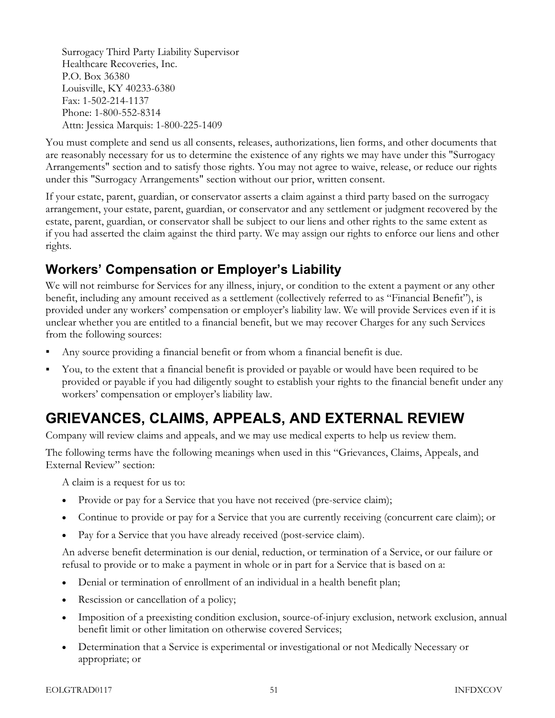Surrogacy Third Party Liability Supervisor Healthcare Recoveries, Inc. P.O. Box 36380 Louisville, KY 40233-6380 Fax: 1-502-214-1137 Phone: 1-800-552-8314 Attn: Jessica Marquis: 1-800-225-1409

You must complete and send us all consents, releases, authorizations, lien forms, and other documents that are reasonably necessary for us to determine the existence of any rights we may have under this "Surrogacy Arrangements" section and to satisfy those rights. You may not agree to waive, release, or reduce our rights under this "Surrogacy Arrangements" section without our prior, written consent.

If your estate, parent, guardian, or conservator asserts a claim against a third party based on the surrogacy arrangement, your estate, parent, guardian, or conservator and any settlement or judgment recovered by the estate, parent, guardian, or conservator shall be subject to our liens and other rights to the same extent as if you had asserted the claim against the third party. We may assign our rights to enforce our liens and other rights.

## Workers' Compensation or Employer's Liability

We will not reimburse for Services for any illness, injury, or condition to the extent a payment or any other benefit, including any amount received as a settlement (collectively referred to as "Financial Benefit"), is provided under any workers' compensation or employer's liability law. We will provide Services even if it is unclear whether you are entitled to a financial benefit, but we may recover Charges for any such Services from the following sources:

- Any source providing a financial benefit or from whom a financial benefit is due.
- You, to the extent that a financial benefit is provided or payable or would have been required to be provided or payable if you had diligently sought to establish your rights to the financial benefit under any workers' compensation or employer's liability law.

# GRIEVANCES, CLAIMS, APPEALS, AND EXTERNAL REVIEW

Company will review claims and appeals, and we may use medical experts to help us review them.

The following terms have the following meanings when used in this "Grievances, Claims, Appeals, and External Review" section:

A claim is a request for us to:

- Provide or pay for a Service that you have not received (pre-service claim);
- Continue to provide or pay for a Service that you are currently receiving (concurrent care claim); or
- Pay for a Service that you have already received (post-service claim).

An adverse benefit determination is our denial, reduction, or termination of a Service, or our failure or refusal to provide or to make a payment in whole or in part for a Service that is based on a:

- Denial or termination of enrollment of an individual in a health benefit plan;
- Rescission or cancellation of a policy;
- Imposition of a preexisting condition exclusion, source-of-injury exclusion, network exclusion, annual benefit limit or other limitation on otherwise covered Services;
- Determination that a Service is experimental or investigational or not Medically Necessary or appropriate; or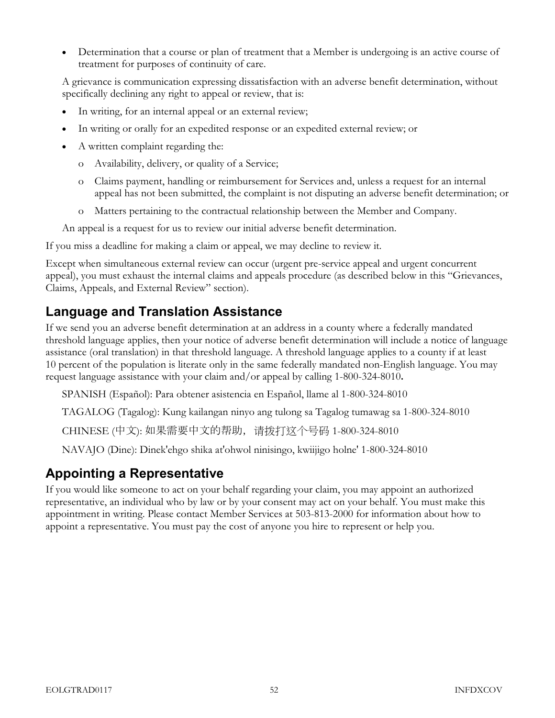• Determination that a course or plan of treatment that a Member is undergoing is an active course of treatment for purposes of continuity of care.

A grievance is communication expressing dissatisfaction with an adverse benefit determination, without specifically declining any right to appeal or review, that is:

- In writing, for an internal appeal or an external review;
- In writing or orally for an expedited response or an expedited external review; or
- A written complaint regarding the:
	- o Availability, delivery, or quality of a Service;
	- o Claims payment, handling or reimbursement for Services and, unless a request for an internal appeal has not been submitted, the complaint is not disputing an adverse benefit determination; or
	- o Matters pertaining to the contractual relationship between the Member and Company.

An appeal is a request for us to review our initial adverse benefit determination.

If you miss a deadline for making a claim or appeal, we may decline to review it.

Except when simultaneous external review can occur (urgent pre-service appeal and urgent concurrent appeal), you must exhaust the internal claims and appeals procedure (as described below in this "Grievances, Claims, Appeals, and External Review" section).

## Language and Translation Assistance

If we send you an adverse benefit determination at an address in a county where a federally mandated threshold language applies, then your notice of adverse benefit determination will include a notice of language assistance (oral translation) in that threshold language. A threshold language applies to a county if at least 10 percent of the population is literate only in the same federally mandated non-English language. You may request language assistance with your claim and/or appeal by calling 1-800-324-8010.

SPANISH (Español): Para obtener asistencia en Español, llame al 1-800-324-8010

TAGALOG (Tagalog): Kung kailangan ninyo ang tulong sa Tagalog tumawag sa 1-800-324-8010

CHINESE (中文): 如果需要中文的帮助,请拨打这个号码 1-800-324-8010

NAVAJO (Dine): Dinek'ehgo shika at'ohwol ninisingo, kwiijigo holne' 1-800-324-8010

## Appointing a Representative

If you would like someone to act on your behalf regarding your claim, you may appoint an authorized representative, an individual who by law or by your consent may act on your behalf. You must make this appointment in writing. Please contact Member Services at 503-813-2000 for information about how to appoint a representative. You must pay the cost of anyone you hire to represent or help you.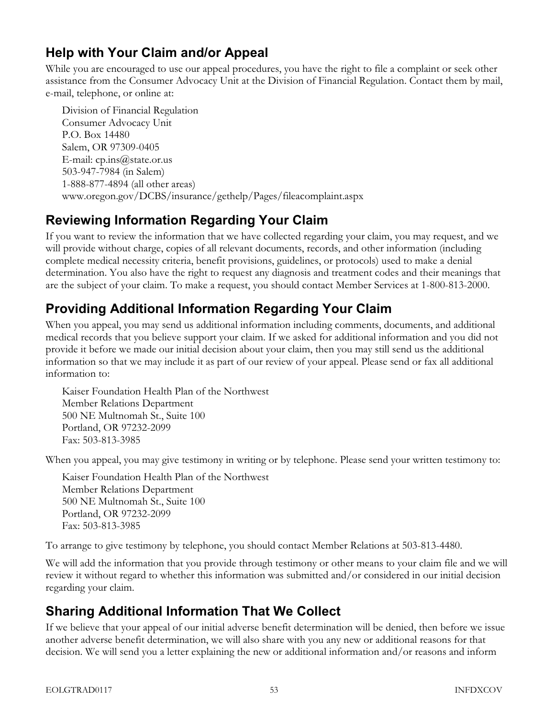# Help with Your Claim and/or Appeal

While you are encouraged to use our appeal procedures, you have the right to file a complaint or seek other assistance from the Consumer Advocacy Unit at the Division of Financial Regulation. Contact them by mail, e-mail, telephone, or online at:

Division of Financial Regulation Consumer Advocacy Unit P.O. Box 14480 Salem, OR 97309-0405 E-mail:  $cp.ins@state. or.us$ 503-947-7984 (in Salem) 1-888-877-4894 (all other areas) www.oregon.gov/DCBS/insurance/gethelp/Pages/fileacomplaint.aspx

# Reviewing Information Regarding Your Claim

If you want to review the information that we have collected regarding your claim, you may request, and we will provide without charge, copies of all relevant documents, records, and other information (including complete medical necessity criteria, benefit provisions, guidelines, or protocols) used to make a denial determination. You also have the right to request any diagnosis and treatment codes and their meanings that are the subject of your claim. To make a request, you should contact Member Services at 1-800-813-2000.

# Providing Additional Information Regarding Your Claim

When you appeal, you may send us additional information including comments, documents, and additional medical records that you believe support your claim. If we asked for additional information and you did not provide it before we made our initial decision about your claim, then you may still send us the additional information so that we may include it as part of our review of your appeal. Please send or fax all additional information to:

Kaiser Foundation Health Plan of the Northwest Member Relations Department 500 NE Multnomah St., Suite 100 Portland, OR 97232-2099 Fax: 503-813-3985

When you appeal, you may give testimony in writing or by telephone. Please send your written testimony to:

Kaiser Foundation Health Plan of the Northwest Member Relations Department 500 NE Multnomah St., Suite 100 Portland, OR 97232-2099 Fax: 503-813-3985

To arrange to give testimony by telephone, you should contact Member Relations at 503-813-4480.

We will add the information that you provide through testimony or other means to your claim file and we will review it without regard to whether this information was submitted and/or considered in our initial decision regarding your claim.

# Sharing Additional Information That We Collect

If we believe that your appeal of our initial adverse benefit determination will be denied, then before we issue another adverse benefit determination, we will also share with you any new or additional reasons for that decision. We will send you a letter explaining the new or additional information and/or reasons and inform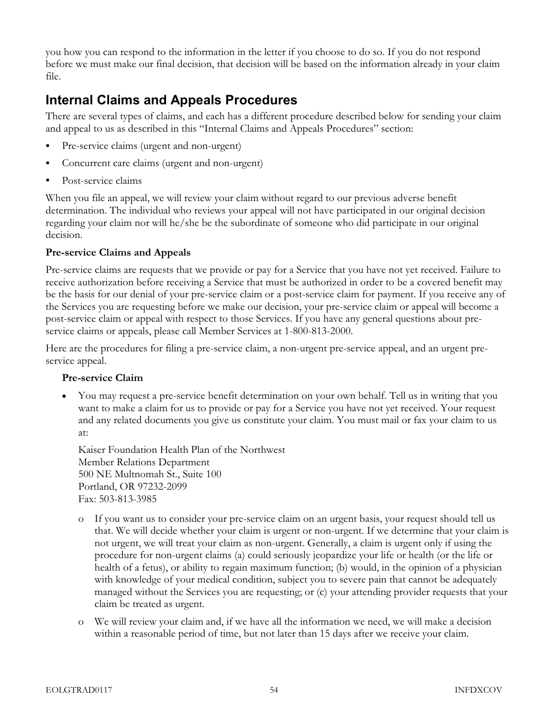you how you can respond to the information in the letter if you choose to do so. If you do not respond before we must make our final decision, that decision will be based on the information already in your claim file.

## Internal Claims and Appeals Procedures

There are several types of claims, and each has a different procedure described below for sending your claim and appeal to us as described in this "Internal Claims and Appeals Procedures" section:

- Pre-service claims (urgent and non-urgent)
- Concurrent care claims (urgent and non-urgent)
- Post-service claims

When you file an appeal, we will review your claim without regard to our previous adverse benefit determination. The individual who reviews your appeal will not have participated in our original decision regarding your claim nor will he/she be the subordinate of someone who did participate in our original decision.

#### Pre-service Claims and Appeals

Pre-service claims are requests that we provide or pay for a Service that you have not yet received. Failure to receive authorization before receiving a Service that must be authorized in order to be a covered benefit may be the basis for our denial of your pre-service claim or a post-service claim for payment. If you receive any of the Services you are requesting before we make our decision, your pre-service claim or appeal will become a post-service claim or appeal with respect to those Services. If you have any general questions about preservice claims or appeals, please call Member Services at 1-800-813-2000.

Here are the procedures for filing a pre-service claim, a non-urgent pre-service appeal, and an urgent preservice appeal.

#### Pre-service Claim

• You may request a pre-service benefit determination on your own behalf. Tell us in writing that you want to make a claim for us to provide or pay for a Service you have not yet received. Your request and any related documents you give us constitute your claim. You must mail or fax your claim to us at:

Kaiser Foundation Health Plan of the Northwest Member Relations Department 500 NE Multnomah St., Suite 100 Portland, OR 97232-2099 Fax: 503-813-3985

- o If you want us to consider your pre-service claim on an urgent basis, your request should tell us that. We will decide whether your claim is urgent or non-urgent. If we determine that your claim is not urgent, we will treat your claim as non-urgent. Generally, a claim is urgent only if using the procedure for non-urgent claims (a) could seriously jeopardize your life or health (or the life or health of a fetus), or ability to regain maximum function; (b) would, in the opinion of a physician with knowledge of your medical condition, subject you to severe pain that cannot be adequately managed without the Services you are requesting; or (c) your attending provider requests that your claim be treated as urgent.
- o We will review your claim and, if we have all the information we need, we will make a decision within a reasonable period of time, but not later than 15 days after we receive your claim.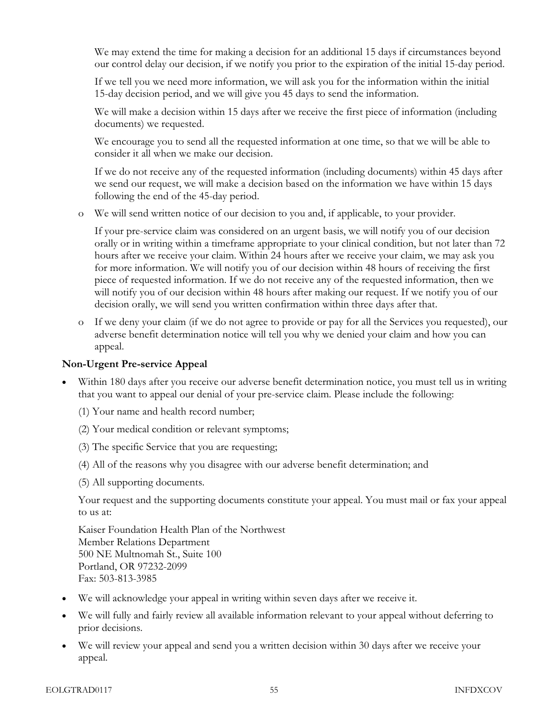We may extend the time for making a decision for an additional 15 days if circumstances beyond our control delay our decision, if we notify you prior to the expiration of the initial 15-day period.

If we tell you we need more information, we will ask you for the information within the initial 15-day decision period, and we will give you 45 days to send the information.

We will make a decision within 15 days after we receive the first piece of information (including documents) we requested.

We encourage you to send all the requested information at one time, so that we will be able to consider it all when we make our decision.

If we do not receive any of the requested information (including documents) within 45 days after we send our request, we will make a decision based on the information we have within 15 days following the end of the 45-day period.

o We will send written notice of our decision to you and, if applicable, to your provider.

If your pre-service claim was considered on an urgent basis, we will notify you of our decision orally or in writing within a timeframe appropriate to your clinical condition, but not later than 72 hours after we receive your claim. Within 24 hours after we receive your claim, we may ask you for more information. We will notify you of our decision within 48 hours of receiving the first piece of requested information. If we do not receive any of the requested information, then we will notify you of our decision within 48 hours after making our request. If we notify you of our decision orally, we will send you written confirmation within three days after that.

o If we deny your claim (if we do not agree to provide or pay for all the Services you requested), our adverse benefit determination notice will tell you why we denied your claim and how you can appeal.

#### Non-Urgent Pre-service Appeal

- Within 180 days after you receive our adverse benefit determination notice, you must tell us in writing that you want to appeal our denial of your pre-service claim. Please include the following:
	- (1) Your name and health record number;
	- (2) Your medical condition or relevant symptoms;
	- (3) The specific Service that you are requesting;
	- (4) All of the reasons why you disagree with our adverse benefit determination; and
	- (5) All supporting documents.

Your request and the supporting documents constitute your appeal. You must mail or fax your appeal to us at:

Kaiser Foundation Health Plan of the Northwest Member Relations Department 500 NE Multnomah St., Suite 100 Portland, OR 97232-2099 Fax: 503-813-3985

- We will acknowledge your appeal in writing within seven days after we receive it.
- We will fully and fairly review all available information relevant to your appeal without deferring to prior decisions.
- We will review your appeal and send you a written decision within 30 days after we receive your appeal.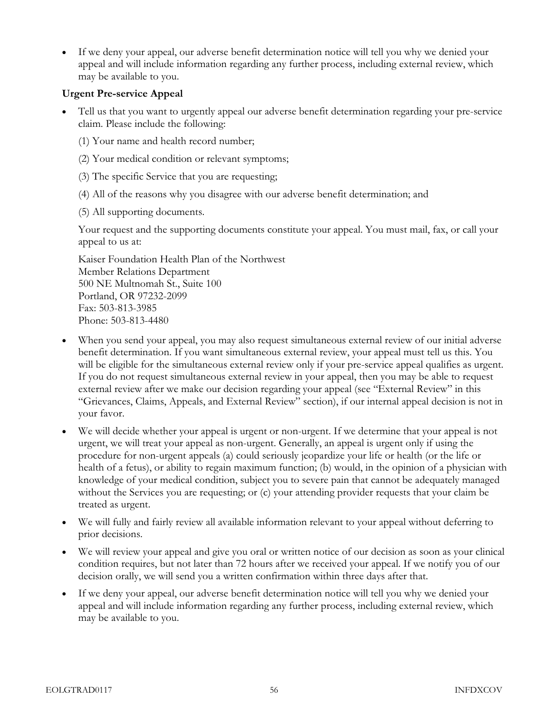• If we deny your appeal, our adverse benefit determination notice will tell you why we denied your appeal and will include information regarding any further process, including external review, which may be available to you.

#### Urgent Pre-service Appeal

- Tell us that you want to urgently appeal our adverse benefit determination regarding your pre-service claim. Please include the following:
	- (1) Your name and health record number;
	- (2) Your medical condition or relevant symptoms;
	- (3) The specific Service that you are requesting;
	- (4) All of the reasons why you disagree with our adverse benefit determination; and
	- (5) All supporting documents.

Your request and the supporting documents constitute your appeal. You must mail, fax, or call your appeal to us at:

Kaiser Foundation Health Plan of the Northwest Member Relations Department 500 NE Multnomah St., Suite 100 Portland, OR 97232-2099 Fax: 503-813-3985 Phone: 503-813-4480

- When you send your appeal, you may also request simultaneous external review of our initial adverse benefit determination. If you want simultaneous external review, your appeal must tell us this. You will be eligible for the simultaneous external review only if your pre-service appeal qualifies as urgent. If you do not request simultaneous external review in your appeal, then you may be able to request external review after we make our decision regarding your appeal (see "External Review" in this "Grievances, Claims, Appeals, and External Review" section), if our internal appeal decision is not in your favor.
- We will decide whether your appeal is urgent or non-urgent. If we determine that your appeal is not urgent, we will treat your appeal as non-urgent. Generally, an appeal is urgent only if using the procedure for non-urgent appeals (a) could seriously jeopardize your life or health (or the life or health of a fetus), or ability to regain maximum function; (b) would, in the opinion of a physician with knowledge of your medical condition, subject you to severe pain that cannot be adequately managed without the Services you are requesting; or (c) your attending provider requests that your claim be treated as urgent.
- We will fully and fairly review all available information relevant to your appeal without deferring to prior decisions.
- We will review your appeal and give you oral or written notice of our decision as soon as your clinical condition requires, but not later than 72 hours after we received your appeal. If we notify you of our decision orally, we will send you a written confirmation within three days after that.
- If we deny your appeal, our adverse benefit determination notice will tell you why we denied your appeal and will include information regarding any further process, including external review, which may be available to you.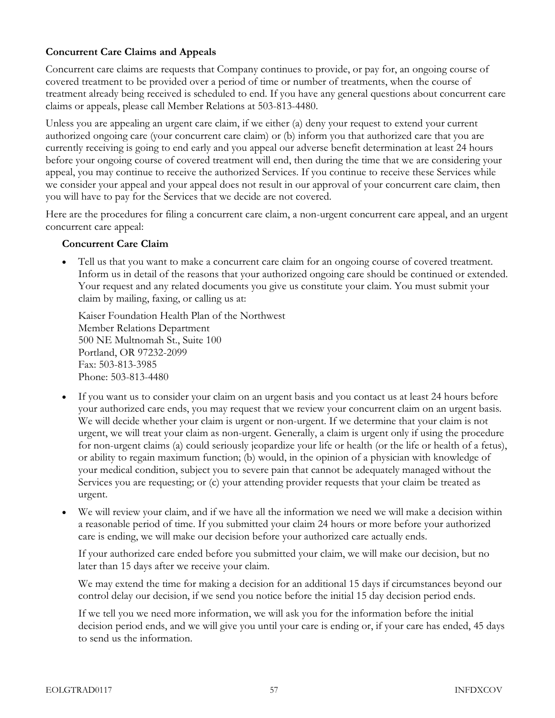#### Concurrent Care Claims and Appeals

Concurrent care claims are requests that Company continues to provide, or pay for, an ongoing course of covered treatment to be provided over a period of time or number of treatments, when the course of treatment already being received is scheduled to end. If you have any general questions about concurrent care claims or appeals, please call Member Relations at 503-813-4480.

Unless you are appealing an urgent care claim, if we either (a) deny your request to extend your current authorized ongoing care (your concurrent care claim) or (b) inform you that authorized care that you are currently receiving is going to end early and you appeal our adverse benefit determination at least 24 hours before your ongoing course of covered treatment will end, then during the time that we are considering your appeal, you may continue to receive the authorized Services. If you continue to receive these Services while we consider your appeal and your appeal does not result in our approval of your concurrent care claim, then you will have to pay for the Services that we decide are not covered.

Here are the procedures for filing a concurrent care claim, a non-urgent concurrent care appeal, and an urgent concurrent care appeal:

#### Concurrent Care Claim

• Tell us that you want to make a concurrent care claim for an ongoing course of covered treatment. Inform us in detail of the reasons that your authorized ongoing care should be continued or extended. Your request and any related documents you give us constitute your claim. You must submit your claim by mailing, faxing, or calling us at:

Kaiser Foundation Health Plan of the Northwest Member Relations Department 500 NE Multnomah St., Suite 100 Portland, OR 97232-2099 Fax: 503-813-3985 Phone: 503-813-4480

- If you want us to consider your claim on an urgent basis and you contact us at least 24 hours before your authorized care ends, you may request that we review your concurrent claim on an urgent basis. We will decide whether your claim is urgent or non-urgent. If we determine that your claim is not urgent, we will treat your claim as non-urgent. Generally, a claim is urgent only if using the procedure for non-urgent claims (a) could seriously jeopardize your life or health (or the life or health of a fetus), or ability to regain maximum function; (b) would, in the opinion of a physician with knowledge of your medical condition, subject you to severe pain that cannot be adequately managed without the Services you are requesting; or (c) your attending provider requests that your claim be treated as urgent.
- We will review your claim, and if we have all the information we need we will make a decision within a reasonable period of time. If you submitted your claim 24 hours or more before your authorized care is ending, we will make our decision before your authorized care actually ends.

If your authorized care ended before you submitted your claim, we will make our decision, but no later than 15 days after we receive your claim.

We may extend the time for making a decision for an additional 15 days if circumstances beyond our control delay our decision, if we send you notice before the initial 15 day decision period ends.

If we tell you we need more information, we will ask you for the information before the initial decision period ends, and we will give you until your care is ending or, if your care has ended, 45 days to send us the information.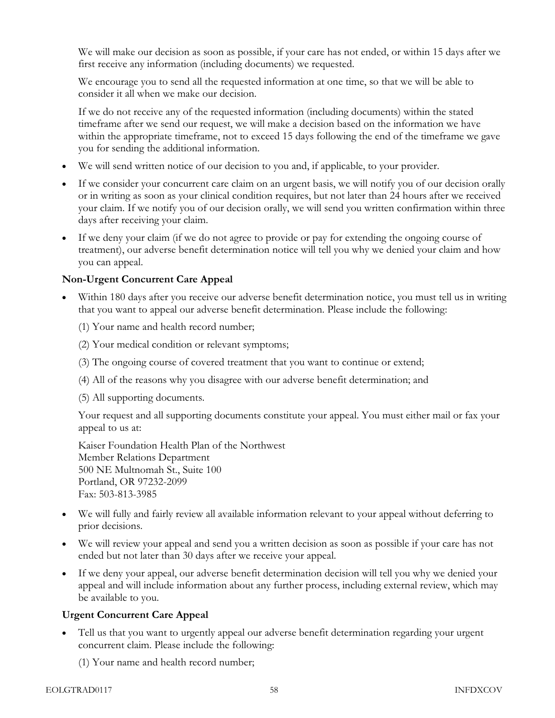We will make our decision as soon as possible, if your care has not ended, or within 15 days after we first receive any information (including documents) we requested.

We encourage you to send all the requested information at one time, so that we will be able to consider it all when we make our decision.

If we do not receive any of the requested information (including documents) within the stated timeframe after we send our request, we will make a decision based on the information we have within the appropriate timeframe, not to exceed 15 days following the end of the timeframe we gave you for sending the additional information.

- We will send written notice of our decision to you and, if applicable, to your provider.
- If we consider your concurrent care claim on an urgent basis, we will notify you of our decision orally or in writing as soon as your clinical condition requires, but not later than 24 hours after we received your claim. If we notify you of our decision orally, we will send you written confirmation within three days after receiving your claim.
- If we deny your claim (if we do not agree to provide or pay for extending the ongoing course of treatment), our adverse benefit determination notice will tell you why we denied your claim and how you can appeal.

#### Non-Urgent Concurrent Care Appeal

- Within 180 days after you receive our adverse benefit determination notice, you must tell us in writing that you want to appeal our adverse benefit determination. Please include the following:
	- (1) Your name and health record number;
	- (2) Your medical condition or relevant symptoms;
	- (3) The ongoing course of covered treatment that you want to continue or extend;
	- (4) All of the reasons why you disagree with our adverse benefit determination; and
	- (5) All supporting documents.

Your request and all supporting documents constitute your appeal. You must either mail or fax your appeal to us at:

Kaiser Foundation Health Plan of the Northwest Member Relations Department 500 NE Multnomah St., Suite 100 Portland, OR 97232-2099 Fax: 503-813-3985

- We will fully and fairly review all available information relevant to your appeal without deferring to prior decisions.
- We will review your appeal and send you a written decision as soon as possible if your care has not ended but not later than 30 days after we receive your appeal.
- If we deny your appeal, our adverse benefit determination decision will tell you why we denied your appeal and will include information about any further process, including external review, which may be available to you.

#### Urgent Concurrent Care Appeal

• Tell us that you want to urgently appeal our adverse benefit determination regarding your urgent concurrent claim. Please include the following:

(1) Your name and health record number;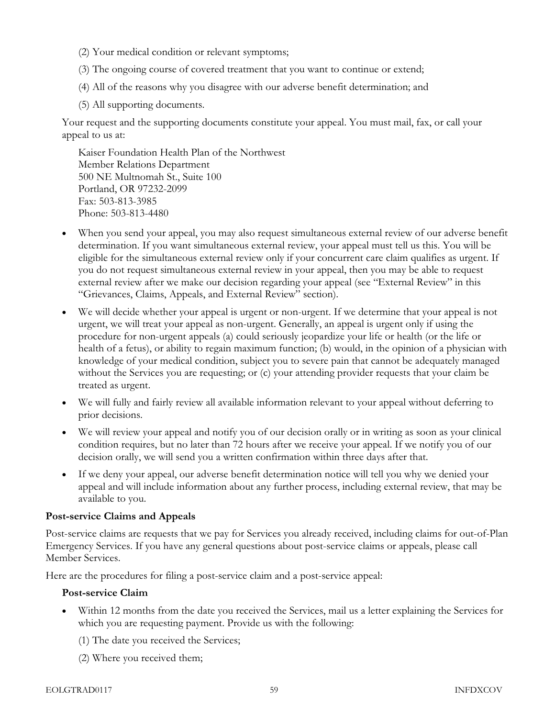- (2) Your medical condition or relevant symptoms;
- (3) The ongoing course of covered treatment that you want to continue or extend;
- (4) All of the reasons why you disagree with our adverse benefit determination; and
- (5) All supporting documents.

Your request and the supporting documents constitute your appeal. You must mail, fax, or call your appeal to us at:

Kaiser Foundation Health Plan of the Northwest Member Relations Department 500 NE Multnomah St., Suite 100 Portland, OR 97232-2099 Fax: 503-813-3985 Phone: 503-813-4480

- When you send your appeal, you may also request simultaneous external review of our adverse benefit determination. If you want simultaneous external review, your appeal must tell us this. You will be eligible for the simultaneous external review only if your concurrent care claim qualifies as urgent. If you do not request simultaneous external review in your appeal, then you may be able to request external review after we make our decision regarding your appeal (see "External Review" in this "Grievances, Claims, Appeals, and External Review" section).
- We will decide whether your appeal is urgent or non-urgent. If we determine that your appeal is not urgent, we will treat your appeal as non-urgent. Generally, an appeal is urgent only if using the procedure for non-urgent appeals (a) could seriously jeopardize your life or health (or the life or health of a fetus), or ability to regain maximum function; (b) would, in the opinion of a physician with knowledge of your medical condition, subject you to severe pain that cannot be adequately managed without the Services you are requesting; or (c) your attending provider requests that your claim be treated as urgent.
- We will fully and fairly review all available information relevant to your appeal without deferring to prior decisions.
- We will review your appeal and notify you of our decision orally or in writing as soon as your clinical condition requires, but no later than 72 hours after we receive your appeal. If we notify you of our decision orally, we will send you a written confirmation within three days after that.
- If we deny your appeal, our adverse benefit determination notice will tell you why we denied your appeal and will include information about any further process, including external review, that may be available to you.

#### Post-service Claims and Appeals

Post-service claims are requests that we pay for Services you already received, including claims for out-of-Plan Emergency Services. If you have any general questions about post-service claims or appeals, please call Member Services.

Here are the procedures for filing a post-service claim and a post-service appeal:

#### Post-service Claim

- Within 12 months from the date you received the Services, mail us a letter explaining the Services for which you are requesting payment. Provide us with the following:
	- (1) The date you received the Services;
	- (2) Where you received them;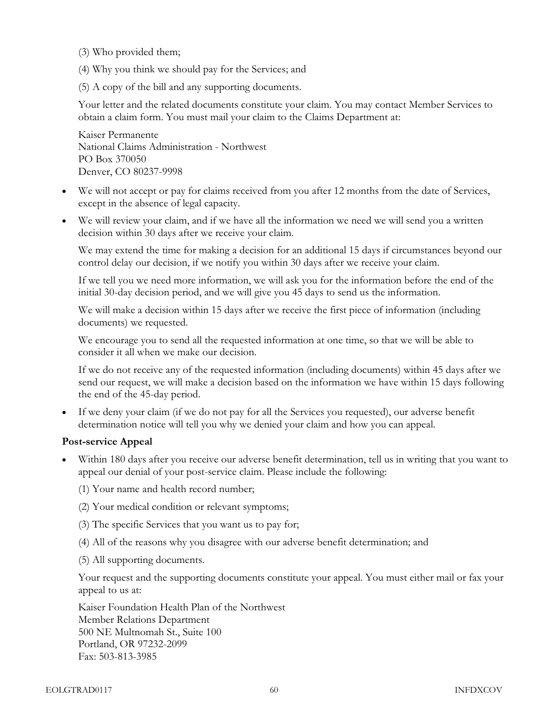- (3) Who provided them;
- (4) Why you think we should pay for the Services; and
- (5) A copy of the bill and any supporting documents.

Your letter and the related documents constitute your claim. You may contact Member Services to obtain a claim form. You must mail your claim to the Claims Department at:

Kaiser Permanente National Claims Administration - Northwest PO Box 370050 Denver, CO 80237-9998

- We will not accept or pay for claims received from you after 12 months from the date of Services, except in the absence of legal capacity.
- We will review your claim, and if we have all the information we need we will send you a written decision within 30 days after we receive your claim.

We may extend the time for making a decision for an additional 15 days if circumstances beyond our control delay our decision, if we notify you within 30 days after we receive your claim.

If we tell you we need more information, we will ask you for the information before the end of the initial 30-day decision period, and we will give you 45 days to send us the information.

We will make a decision within 15 days after we receive the first piece of information (including documents) we requested.

We encourage you to send all the requested information at one time, so that we will be able to consider it all when we make our decision.

If we do not receive any of the requested information (including documents) within 45 days after we send our request, we will make a decision based on the information we have within 15 days following the end of the 45-day period.

• If we deny your claim (if we do not pay for all the Services you requested), our adverse benefit determination notice will tell you why we denied your claim and how you can appeal.

#### Post-service Appeal

- Within 180 days after you receive our adverse benefit determination, tell us in writing that you want to appeal our denial of your post-service claim. Please include the following:
	- (1) Your name and health record number;
	- (2) Your medical condition or relevant symptoms;
	- (3) The specific Services that you want us to pay for;
	- (4) All of the reasons why you disagree with our adverse benefit determination; and
	- (5) All supporting documents.

Your request and the supporting documents constitute your appeal. You must either mail or fax your appeal to us at:

Kaiser Foundation Health Plan of the Northwest Member Relations Department 500 NE Multnomah St., Suite 100 Portland, OR 97232-2099 Fax: 503-813-3985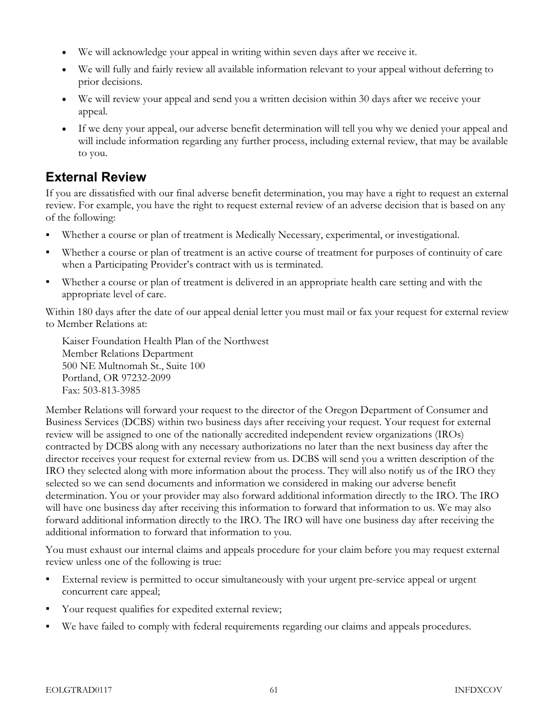- We will acknowledge your appeal in writing within seven days after we receive it.
- We will fully and fairly review all available information relevant to your appeal without deferring to prior decisions.
- We will review your appeal and send you a written decision within 30 days after we receive your appeal.
- If we deny your appeal, our adverse benefit determination will tell you why we denied your appeal and will include information regarding any further process, including external review, that may be available to you.

## External Review

If you are dissatisfied with our final adverse benefit determination, you may have a right to request an external review. For example, you have the right to request external review of an adverse decision that is based on any of the following:

- Whether a course or plan of treatment is Medically Necessary, experimental, or investigational.
- Whether a course or plan of treatment is an active course of treatment for purposes of continuity of care when a Participating Provider's contract with us is terminated.
- Whether a course or plan of treatment is delivered in an appropriate health care setting and with the appropriate level of care.

Within 180 days after the date of our appeal denial letter you must mail or fax your request for external review to Member Relations at:

Kaiser Foundation Health Plan of the Northwest Member Relations Department 500 NE Multnomah St., Suite 100 Portland, OR 97232-2099 Fax: 503-813-3985

Member Relations will forward your request to the director of the Oregon Department of Consumer and Business Services (DCBS) within two business days after receiving your request. Your request for external review will be assigned to one of the nationally accredited independent review organizations (IROs) contracted by DCBS along with any necessary authorizations no later than the next business day after the director receives your request for external review from us. DCBS will send you a written description of the IRO they selected along with more information about the process. They will also notify us of the IRO they selected so we can send documents and information we considered in making our adverse benefit determination. You or your provider may also forward additional information directly to the IRO. The IRO will have one business day after receiving this information to forward that information to us. We may also forward additional information directly to the IRO. The IRO will have one business day after receiving the additional information to forward that information to you.

You must exhaust our internal claims and appeals procedure for your claim before you may request external review unless one of the following is true:

- External review is permitted to occur simultaneously with your urgent pre-service appeal or urgent concurrent care appeal;
- Your request qualifies for expedited external review;
- We have failed to comply with federal requirements regarding our claims and appeals procedures.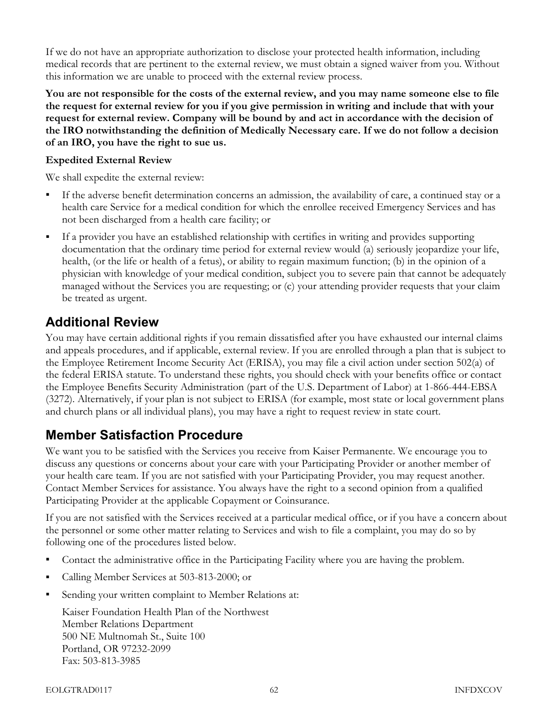If we do not have an appropriate authorization to disclose your protected health information, including medical records that are pertinent to the external review, we must obtain a signed waiver from you. Without this information we are unable to proceed with the external review process.

You are not responsible for the costs of the external review, and you may name someone else to file the request for external review for you if you give permission in writing and include that with your request for external review. Company will be bound by and act in accordance with the decision of the IRO notwithstanding the definition of Medically Necessary care. If we do not follow a decision of an IRO, you have the right to sue us.

#### Expedited External Review

We shall expedite the external review:

- If the adverse benefit determination concerns an admission, the availability of care, a continued stay or a health care Service for a medical condition for which the enrollee received Emergency Services and has not been discharged from a health care facility; or
- If a provider you have an established relationship with certifies in writing and provides supporting documentation that the ordinary time period for external review would (a) seriously jeopardize your life, health, (or the life or health of a fetus), or ability to regain maximum function; (b) in the opinion of a physician with knowledge of your medical condition, subject you to severe pain that cannot be adequately managed without the Services you are requesting; or (c) your attending provider requests that your claim be treated as urgent.

#### Additional Review

You may have certain additional rights if you remain dissatisfied after you have exhausted our internal claims and appeals procedures, and if applicable, external review. If you are enrolled through a plan that is subject to the Employee Retirement Income Security Act (ERISA), you may file a civil action under section 502(a) of the federal ERISA statute. To understand these rights, you should check with your benefits office or contact the Employee Benefits Security Administration (part of the U.S. Department of Labor) at 1-866-444-EBSA (3272). Alternatively, if your plan is not subject to ERISA (for example, most state or local government plans and church plans or all individual plans), you may have a right to request review in state court.

## Member Satisfaction Procedure

We want you to be satisfied with the Services you receive from Kaiser Permanente. We encourage you to discuss any questions or concerns about your care with your Participating Provider or another member of your health care team. If you are not satisfied with your Participating Provider, you may request another. Contact Member Services for assistance. You always have the right to a second opinion from a qualified Participating Provider at the applicable Copayment or Coinsurance.

If you are not satisfied with the Services received at a particular medical office, or if you have a concern about the personnel or some other matter relating to Services and wish to file a complaint, you may do so by following one of the procedures listed below.

- Contact the administrative office in the Participating Facility where you are having the problem.
- Calling Member Services at 503-813-2000; or
- Sending your written complaint to Member Relations at:

Kaiser Foundation Health Plan of the Northwest Member Relations Department 500 NE Multnomah St., Suite 100 Portland, OR 97232-2099 Fax: 503-813-3985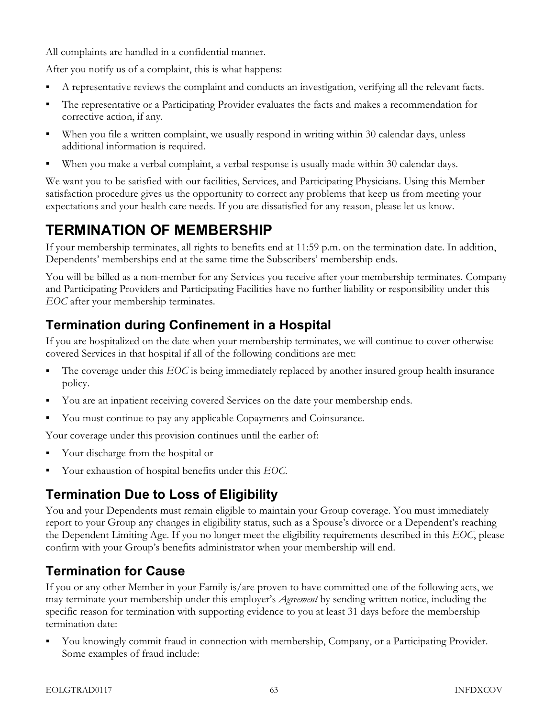All complaints are handled in a confidential manner.

After you notify us of a complaint, this is what happens:

- A representative reviews the complaint and conducts an investigation, verifying all the relevant facts.
- The representative or a Participating Provider evaluates the facts and makes a recommendation for corrective action, if any.
- When you file a written complaint, we usually respond in writing within 30 calendar days, unless additional information is required.
- When you make a verbal complaint, a verbal response is usually made within 30 calendar days.

We want you to be satisfied with our facilities, Services, and Participating Physicians. Using this Member satisfaction procedure gives us the opportunity to correct any problems that keep us from meeting your expectations and your health care needs. If you are dissatisfied for any reason, please let us know.

# TERMINATION OF MEMBERSHIP

If your membership terminates, all rights to benefits end at 11:59 p.m. on the termination date. In addition, Dependents' memberships end at the same time the Subscribers' membership ends.

You will be billed as a non-member for any Services you receive after your membership terminates. Company and Participating Providers and Participating Facilities have no further liability or responsibility under this EOC after your membership terminates.

## Termination during Confinement in a Hospital

If you are hospitalized on the date when your membership terminates, we will continue to cover otherwise covered Services in that hospital if all of the following conditions are met:

- The coverage under this EOC is being immediately replaced by another insured group health insurance policy.
- You are an inpatient receiving covered Services on the date your membership ends.
- You must continue to pay any applicable Copayments and Coinsurance.

Your coverage under this provision continues until the earlier of:

- Your discharge from the hospital or
- Your exhaustion of hospital benefits under this EOC.

## Termination Due to Loss of Eligibility

You and your Dependents must remain eligible to maintain your Group coverage. You must immediately report to your Group any changes in eligibility status, such as a Spouse's divorce or a Dependent's reaching the Dependent Limiting Age. If you no longer meet the eligibility requirements described in this EOC, please confirm with your Group's benefits administrator when your membership will end.

## Termination for Cause

If you or any other Member in your Family is/are proven to have committed one of the following acts, we may terminate your membership under this employer's *Agreement* by sending written notice, including the specific reason for termination with supporting evidence to you at least 31 days before the membership termination date:

 You knowingly commit fraud in connection with membership, Company, or a Participating Provider. Some examples of fraud include: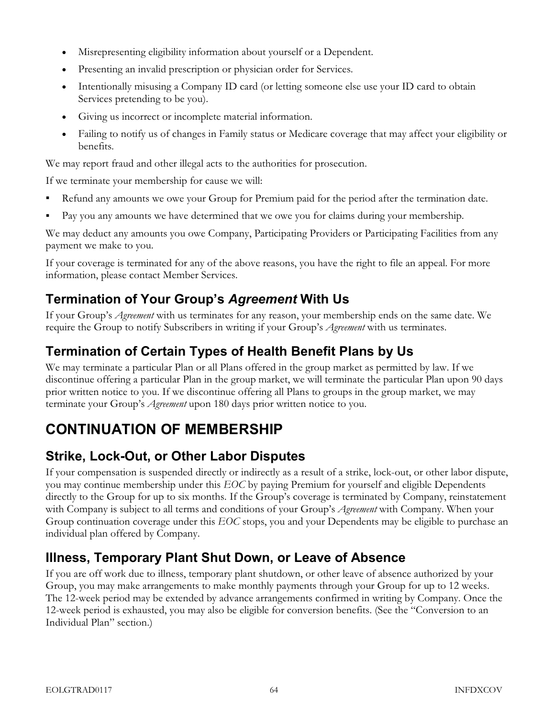- Misrepresenting eligibility information about yourself or a Dependent.
- Presenting an invalid prescription or physician order for Services.
- Intentionally misusing a Company ID card (or letting someone else use your ID card to obtain Services pretending to be you).
- Giving us incorrect or incomplete material information.
- Failing to notify us of changes in Family status or Medicare coverage that may affect your eligibility or benefits.

We may report fraud and other illegal acts to the authorities for prosecution.

If we terminate your membership for cause we will:

- Refund any amounts we owe your Group for Premium paid for the period after the termination date.
- Pay you any amounts we have determined that we owe you for claims during your membership.

We may deduct any amounts you owe Company, Participating Providers or Participating Facilities from any payment we make to you.

If your coverage is terminated for any of the above reasons, you have the right to file an appeal. For more information, please contact Member Services.

## Termination of Your Group's Agreement With Us

If your Group's Agreement with us terminates for any reason, your membership ends on the same date. We require the Group to notify Subscribers in writing if your Group's Agreement with us terminates.

## Termination of Certain Types of Health Benefit Plans by Us

We may terminate a particular Plan or all Plans offered in the group market as permitted by law. If we discontinue offering a particular Plan in the group market, we will terminate the particular Plan upon 90 days prior written notice to you. If we discontinue offering all Plans to groups in the group market, we may terminate your Group's *Agreement* upon 180 days prior written notice to you.

# CONTINUATION OF MEMBERSHIP

## Strike, Lock-Out, or Other Labor Disputes

If your compensation is suspended directly or indirectly as a result of a strike, lock-out, or other labor dispute, you may continue membership under this EOC by paying Premium for yourself and eligible Dependents directly to the Group for up to six months. If the Group's coverage is terminated by Company, reinstatement with Company is subject to all terms and conditions of your Group's *Agreement* with Company. When your Group continuation coverage under this EOC stops, you and your Dependents may be eligible to purchase an individual plan offered by Company.

## Illness, Temporary Plant Shut Down, or Leave of Absence

If you are off work due to illness, temporary plant shutdown, or other leave of absence authorized by your Group, you may make arrangements to make monthly payments through your Group for up to 12 weeks. The 12-week period may be extended by advance arrangements confirmed in writing by Company. Once the 12-week period is exhausted, you may also be eligible for conversion benefits. (See the "Conversion to an Individual Plan" section.)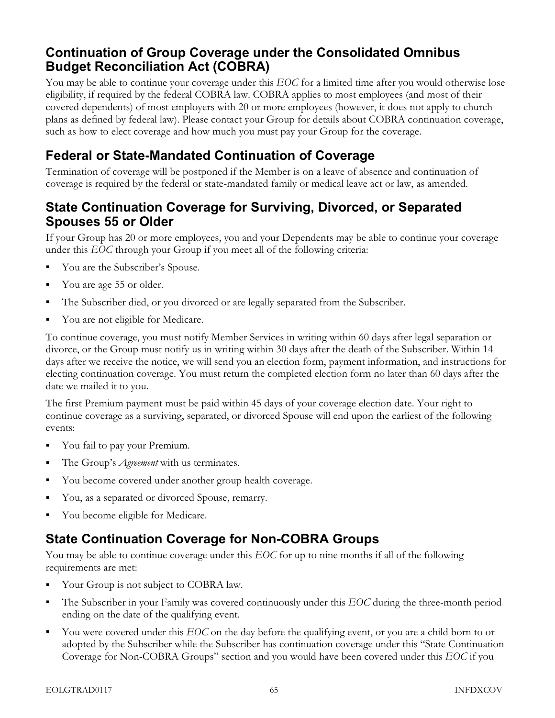#### Continuation of Group Coverage under the Consolidated Omnibus Budget Reconciliation Act (COBRA)

You may be able to continue your coverage under this EOC for a limited time after you would otherwise lose eligibility, if required by the federal COBRA law. COBRA applies to most employees (and most of their covered dependents) of most employers with 20 or more employees (however, it does not apply to church plans as defined by federal law). Please contact your Group for details about COBRA continuation coverage, such as how to elect coverage and how much you must pay your Group for the coverage.

## Federal or State-Mandated Continuation of Coverage

Termination of coverage will be postponed if the Member is on a leave of absence and continuation of coverage is required by the federal or state-mandated family or medical leave act or law, as amended.

#### State Continuation Coverage for Surviving, Divorced, or Separated Spouses 55 or Older

If your Group has 20 or more employees, you and your Dependents may be able to continue your coverage under this EOC through your Group if you meet all of the following criteria:

- You are the Subscriber's Spouse.
- You are age 55 or older.
- The Subscriber died, or you divorced or are legally separated from the Subscriber.
- You are not eligible for Medicare.

To continue coverage, you must notify Member Services in writing within 60 days after legal separation or divorce, or the Group must notify us in writing within 30 days after the death of the Subscriber. Within 14 days after we receive the notice, we will send you an election form, payment information, and instructions for electing continuation coverage. You must return the completed election form no later than 60 days after the date we mailed it to you.

The first Premium payment must be paid within 45 days of your coverage election date. Your right to continue coverage as a surviving, separated, or divorced Spouse will end upon the earliest of the following events:

- You fail to pay your Premium.
- The Group's *Agreement* with us terminates.
- You become covered under another group health coverage.
- You, as a separated or divorced Spouse, remarry.
- You become eligible for Medicare.

## State Continuation Coverage for Non-COBRA Groups

You may be able to continue coverage under this EOC for up to nine months if all of the following requirements are met:

- Your Group is not subject to COBRA law.
- The Subscriber in your Family was covered continuously under this EOC during the three-month period ending on the date of the qualifying event.
- You were covered under this EOC on the day before the qualifying event, or you are a child born to or adopted by the Subscriber while the Subscriber has continuation coverage under this "State Continuation Coverage for Non-COBRA Groups" section and you would have been covered under this EOC if you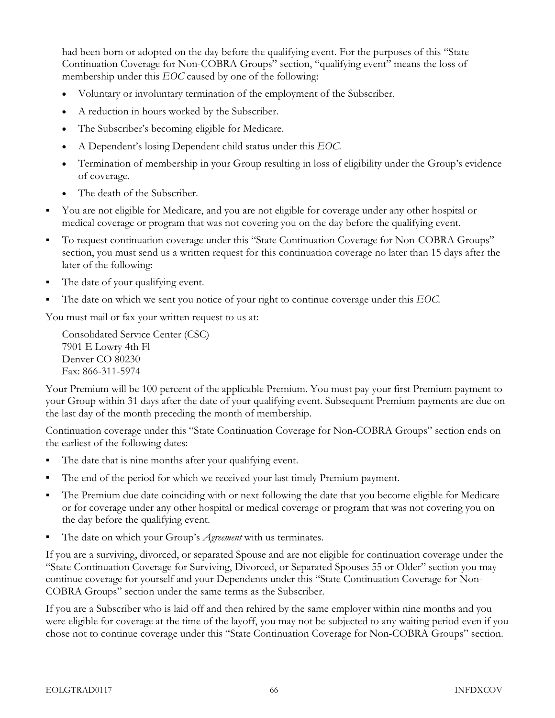had been born or adopted on the day before the qualifying event. For the purposes of this "State Continuation Coverage for Non-COBRA Groups" section, "qualifying event" means the loss of membership under this EOC caused by one of the following:

- Voluntary or involuntary termination of the employment of the Subscriber.
- A reduction in hours worked by the Subscriber.
- The Subscriber's becoming eligible for Medicare.
- A Dependent's losing Dependent child status under this EOC.
- Termination of membership in your Group resulting in loss of eligibility under the Group's evidence of coverage.
- The death of the Subscriber.
- You are not eligible for Medicare, and you are not eligible for coverage under any other hospital or medical coverage or program that was not covering you on the day before the qualifying event.
- To request continuation coverage under this "State Continuation Coverage for Non-COBRA Groups" section, you must send us a written request for this continuation coverage no later than 15 days after the later of the following:
- The date of your qualifying event.
- The date on which we sent you notice of your right to continue coverage under this EOC.

You must mail or fax your written request to us at:

Consolidated Service Center (CSC) 7901 E Lowry 4th Fl Denver CO 80230 Fax: 866-311-5974

Your Premium will be 100 percent of the applicable Premium. You must pay your first Premium payment to your Group within 31 days after the date of your qualifying event. Subsequent Premium payments are due on the last day of the month preceding the month of membership.

Continuation coverage under this "State Continuation Coverage for Non-COBRA Groups" section ends on the earliest of the following dates:

- The date that is nine months after your qualifying event.
- The end of the period for which we received your last timely Premium payment.
- The Premium due date coinciding with or next following the date that you become eligible for Medicare or for coverage under any other hospital or medical coverage or program that was not covering you on the day before the qualifying event.
- The date on which your Group's  $A$ greement with us terminates.

If you are a surviving, divorced, or separated Spouse and are not eligible for continuation coverage under the "State Continuation Coverage for Surviving, Divorced, or Separated Spouses 55 or Older" section you may continue coverage for yourself and your Dependents under this "State Continuation Coverage for Non-COBRA Groups" section under the same terms as the Subscriber.

If you are a Subscriber who is laid off and then rehired by the same employer within nine months and you were eligible for coverage at the time of the layoff, you may not be subjected to any waiting period even if you chose not to continue coverage under this "State Continuation Coverage for Non-COBRA Groups" section.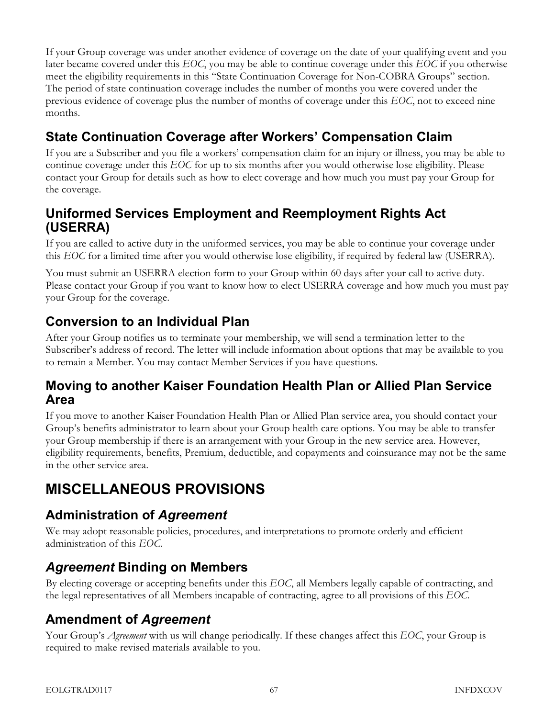If your Group coverage was under another evidence of coverage on the date of your qualifying event and you later became covered under this EOC, you may be able to continue coverage under this EOC if you otherwise meet the eligibility requirements in this "State Continuation Coverage for Non-COBRA Groups" section. The period of state continuation coverage includes the number of months you were covered under the previous evidence of coverage plus the number of months of coverage under this EOC, not to exceed nine months.

## State Continuation Coverage after Workers' Compensation Claim

If you are a Subscriber and you file a workers' compensation claim for an injury or illness, you may be able to continue coverage under this EOC for up to six months after you would otherwise lose eligibility. Please contact your Group for details such as how to elect coverage and how much you must pay your Group for the coverage.

## Uniformed Services Employment and Reemployment Rights Act (USERRA)

If you are called to active duty in the uniformed services, you may be able to continue your coverage under this EOC for a limited time after you would otherwise lose eligibility, if required by federal law (USERRA).

You must submit an USERRA election form to your Group within 60 days after your call to active duty. Please contact your Group if you want to know how to elect USERRA coverage and how much you must pay your Group for the coverage.

## Conversion to an Individual Plan

After your Group notifies us to terminate your membership, we will send a termination letter to the Subscriber's address of record. The letter will include information about options that may be available to you to remain a Member. You may contact Member Services if you have questions.

#### Moving to another Kaiser Foundation Health Plan or Allied Plan Service Area

If you move to another Kaiser Foundation Health Plan or Allied Plan service area, you should contact your Group's benefits administrator to learn about your Group health care options. You may be able to transfer your Group membership if there is an arrangement with your Group in the new service area. However, eligibility requirements, benefits, Premium, deductible, and copayments and coinsurance may not be the same in the other service area.

# MISCELLANEOUS PROVISIONS

## Administration of Agreement

We may adopt reasonable policies, procedures, and interpretations to promote orderly and efficient administration of this EOC.

## Agreement Binding on Members

By electing coverage or accepting benefits under this EOC, all Members legally capable of contracting, and the legal representatives of all Members incapable of contracting, agree to all provisions of this EOC.

## Amendment of Agreement

Your Group's *Agreement* with us will change periodically. If these changes affect this EOC, your Group is required to make revised materials available to you.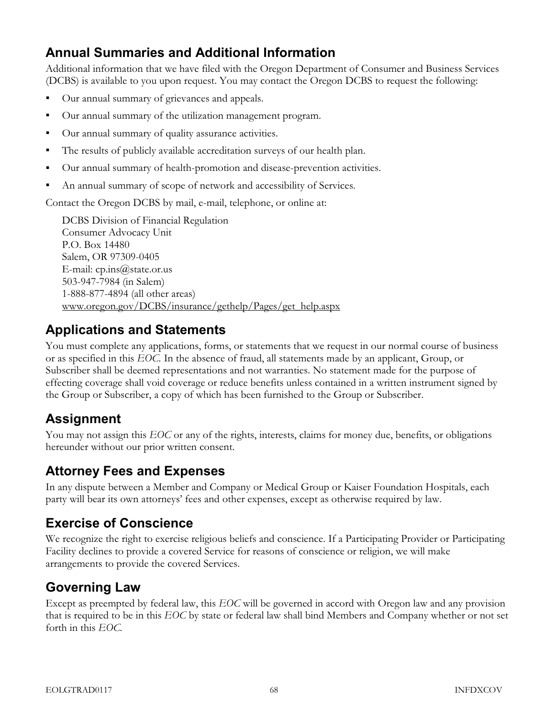## Annual Summaries and Additional Information

Additional information that we have filed with the Oregon Department of Consumer and Business Services (DCBS) is available to you upon request. You may contact the Oregon DCBS to request the following:

- Our annual summary of grievances and appeals.
- Our annual summary of the utilization management program.
- Our annual summary of quality assurance activities.
- The results of publicly available accreditation surveys of our health plan.
- Our annual summary of health-promotion and disease-prevention activities.
- An annual summary of scope of network and accessibility of Services.

Contact the Oregon DCBS by mail, e-mail, telephone, or online at:

DCBS Division of Financial Regulation Consumer Advocacy Unit P.O. Box 14480 Salem, OR 97309-0405 E-mail:  $cp.ins@state. or.us$ 503-947-7984 (in Salem) 1-888-877-4894 (all other areas) www.oregon.gov/DCBS/insurance/gethelp/Pages/get\_help.aspx

## Applications and Statements

You must complete any applications, forms, or statements that we request in our normal course of business or as specified in this EOC. In the absence of fraud, all statements made by an applicant, Group, or Subscriber shall be deemed representations and not warranties. No statement made for the purpose of effecting coverage shall void coverage or reduce benefits unless contained in a written instrument signed by the Group or Subscriber, a copy of which has been furnished to the Group or Subscriber.

## Assignment

You may not assign this EOC or any of the rights, interests, claims for money due, benefits, or obligations hereunder without our prior written consent.

## Attorney Fees and Expenses

In any dispute between a Member and Company or Medical Group or Kaiser Foundation Hospitals, each party will bear its own attorneys' fees and other expenses, except as otherwise required by law.

## Exercise of Conscience

We recognize the right to exercise religious beliefs and conscience. If a Participating Provider or Participating Facility declines to provide a covered Service for reasons of conscience or religion, we will make arrangements to provide the covered Services.

## Governing Law

Except as preempted by federal law, this EOC will be governed in accord with Oregon law and any provision that is required to be in this EOC by state or federal law shall bind Members and Company whether or not set forth in this EOC.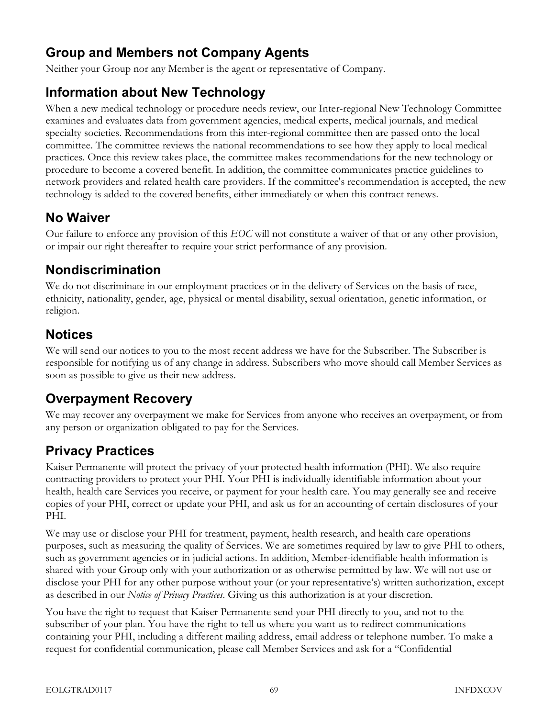## Group and Members not Company Agents

Neither your Group nor any Member is the agent or representative of Company.

## Information about New Technology

When a new medical technology or procedure needs review, our Inter-regional New Technology Committee examines and evaluates data from government agencies, medical experts, medical journals, and medical specialty societies. Recommendations from this inter-regional committee then are passed onto the local committee. The committee reviews the national recommendations to see how they apply to local medical practices. Once this review takes place, the committee makes recommendations for the new technology or procedure to become a covered benefit. In addition, the committee communicates practice guidelines to network providers and related health care providers. If the committee's recommendation is accepted, the new technology is added to the covered benefits, either immediately or when this contract renews.

## No Waiver

Our failure to enforce any provision of this EOC will not constitute a waiver of that or any other provision, or impair our right thereafter to require your strict performance of any provision.

## Nondiscrimination

We do not discriminate in our employment practices or in the delivery of Services on the basis of race, ethnicity, nationality, gender, age, physical or mental disability, sexual orientation, genetic information, or religion.

## **Notices**

We will send our notices to you to the most recent address we have for the Subscriber. The Subscriber is responsible for notifying us of any change in address. Subscribers who move should call Member Services as soon as possible to give us their new address.

## Overpayment Recovery

We may recover any overpayment we make for Services from anyone who receives an overpayment, or from any person or organization obligated to pay for the Services.

## Privacy Practices

Kaiser Permanente will protect the privacy of your protected health information (PHI). We also require contracting providers to protect your PHI. Your PHI is individually identifiable information about your health, health care Services you receive, or payment for your health care. You may generally see and receive copies of your PHI, correct or update your PHI, and ask us for an accounting of certain disclosures of your PHI.

We may use or disclose your PHI for treatment, payment, health research, and health care operations purposes, such as measuring the quality of Services. We are sometimes required by law to give PHI to others, such as government agencies or in judicial actions. In addition, Member-identifiable health information is shared with your Group only with your authorization or as otherwise permitted by law. We will not use or disclose your PHI for any other purpose without your (or your representative's) written authorization, except as described in our *Notice of Privacy Practices*. Giving us this authorization is at your discretion.

You have the right to request that Kaiser Permanente send your PHI directly to you, and not to the subscriber of your plan. You have the right to tell us where you want us to redirect communications containing your PHI, including a different mailing address, email address or telephone number. To make a request for confidential communication, please call Member Services and ask for a "Confidential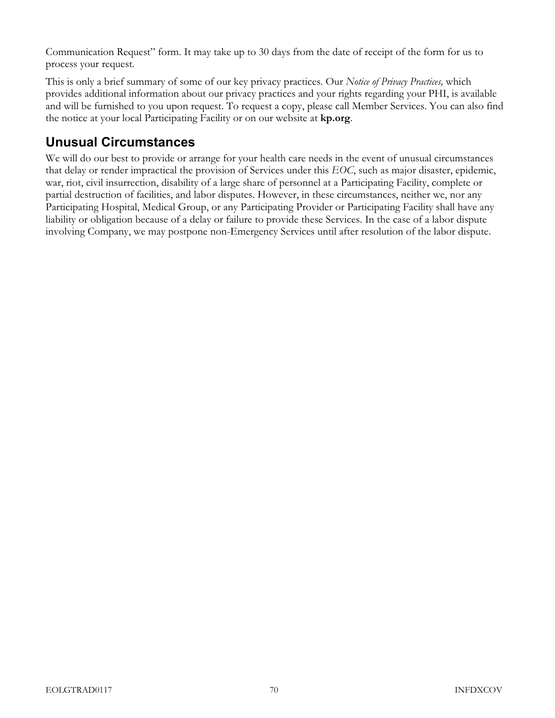Communication Request" form. It may take up to 30 days from the date of receipt of the form for us to process your request.

This is only a brief summary of some of our key privacy practices. Our Notice of Privacy Practices, which provides additional information about our privacy practices and your rights regarding your PHI, is available and will be furnished to you upon request. To request a copy, please call Member Services. You can also find the notice at your local Participating Facility or on our website at kp.org.

## Unusual Circumstances

We will do our best to provide or arrange for your health care needs in the event of unusual circumstances that delay or render impractical the provision of Services under this EOC, such as major disaster, epidemic, war, riot, civil insurrection, disability of a large share of personnel at a Participating Facility, complete or partial destruction of facilities, and labor disputes. However, in these circumstances, neither we, nor any Participating Hospital, Medical Group, or any Participating Provider or Participating Facility shall have any liability or obligation because of a delay or failure to provide these Services. In the case of a labor dispute involving Company, we may postpone non-Emergency Services until after resolution of the labor dispute.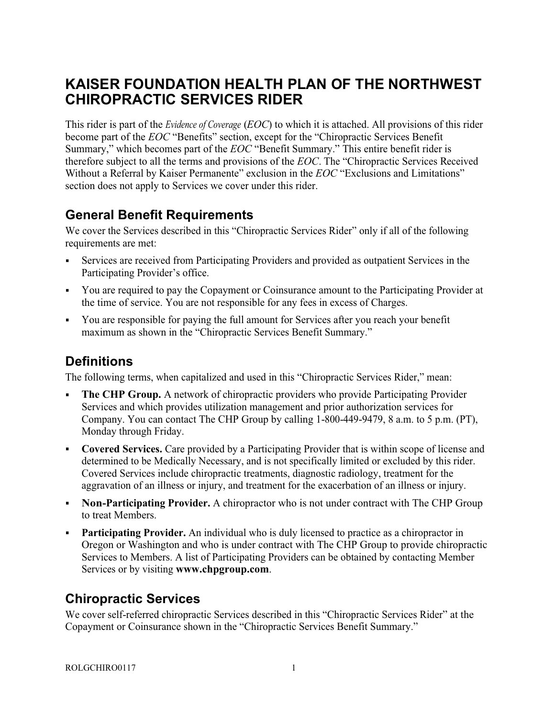## KAISER FOUNDATION HEALTH PLAN OF THE NORTHWEST CHIROPRACTIC SERVICES RIDER

This rider is part of the *Evidence of Coverage (EOC)* to which it is attached. All provisions of this rider become part of the EOC "Benefits" section, except for the "Chiropractic Services Benefit Summary," which becomes part of the EOC "Benefit Summary." This entire benefit rider is therefore subject to all the terms and provisions of the EOC. The "Chiropractic Services Received Without a Referral by Kaiser Permanente" exclusion in the EOC "Exclusions and Limitations" section does not apply to Services we cover under this rider.

#### General Benefit Requirements

We cover the Services described in this "Chiropractic Services Rider" only if all of the following requirements are met:

- Services are received from Participating Providers and provided as outpatient Services in the Participating Provider's office.
- You are required to pay the Copayment or Coinsurance amount to the Participating Provider at the time of service. You are not responsible for any fees in excess of Charges.
- You are responsible for paying the full amount for Services after you reach your benefit maximum as shown in the "Chiropractic Services Benefit Summary."

## **Definitions**

The following terms, when capitalized and used in this "Chiropractic Services Rider," mean:

- The CHP Group. A network of chiropractic providers who provide Participating Provider Services and which provides utilization management and prior authorization services for Company. You can contact The CHP Group by calling 1-800-449-9479, 8 a.m. to 5 p.m. (PT), Monday through Friday.
- Covered Services. Care provided by a Participating Provider that is within scope of license and determined to be Medically Necessary, and is not specifically limited or excluded by this rider. Covered Services include chiropractic treatments, diagnostic radiology, treatment for the aggravation of an illness or injury, and treatment for the exacerbation of an illness or injury.
- Non-Participating Provider. A chiropractor who is not under contract with The CHP Group to treat Members.
- **Participating Provider.** An individual who is duly licensed to practice as a chiropractor in Oregon or Washington and who is under contract with The CHP Group to provide chiropractic Services to Members. A list of Participating Providers can be obtained by contacting Member Services or by visiting [www.chpgroup.com](http://www.chpgroup.com).

## Chiropractic Services

We cover self-referred chiropractic Services described in this "Chiropractic Services Rider" at the Copayment or Coinsurance shown in the "Chiropractic Services Benefit Summary."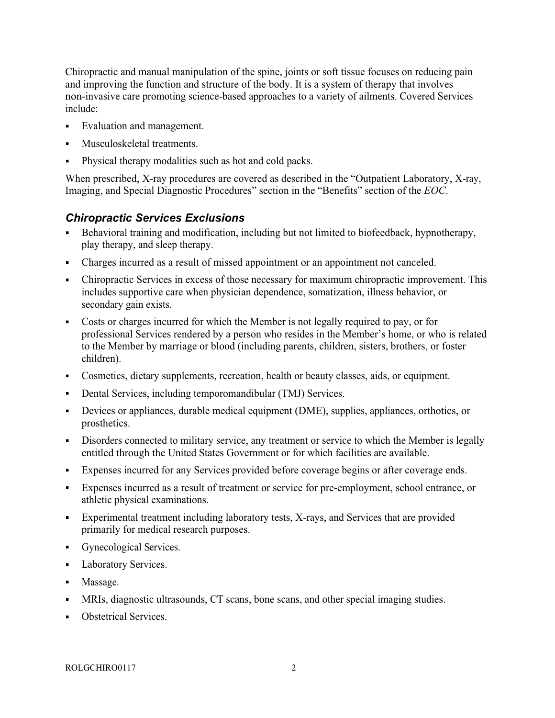Chiropractic and manual manipulation of the spine, joints or soft tissue focuses on reducing pain and improving the function and structure of the body. It is a system of therapy that involves non-invasive care promoting science-based approaches to a variety of ailments. Covered Services include:

- Evaluation and management.
- Musculoskeletal treatments.
- Physical therapy modalities such as hot and cold packs.

When prescribed, X-ray procedures are covered as described in the "Outpatient Laboratory, X-ray, Imaging, and Special Diagnostic Procedures" section in the "Benefits" section of the EOC.

#### Chiropractic Services Exclusions

- Behavioral training and modification, including but not limited to biofeedback, hypnotherapy, play therapy, and sleep therapy.
- Charges incurred as a result of missed appointment or an appointment not canceled.
- Chiropractic Services in excess of those necessary for maximum chiropractic improvement. This includes supportive care when physician dependence, somatization, illness behavior, or secondary gain exists.
- Costs or charges incurred for which the Member is not legally required to pay, or for  $\mathbf{r}$ professional Services rendered by a person who resides in the Member's home, or who is related to the Member by marriage or blood (including parents, children, sisters, brothers, or foster children).
- Cosmetics, dietary supplements, recreation, health or beauty classes, aids, or equipment.
- Dental Services, including temporomandibular (TMJ) Services.
- Devices or appliances, durable medical equipment (DME), supplies, appliances, orthotics, or  $\blacksquare$ prosthetics.
- Disorders connected to military service, any treatment or service to which the Member is legally entitled through the United States Government or for which facilities are available.
- Expenses incurred for any Services provided before coverage begins or after coverage ends.
- Expenses incurred as a result of treatment or service for pre-employment, school entrance, or  $\mathbf{u}$  . athletic physical examinations.
- Experimental treatment including laboratory tests, X-rays, and Services that are provided primarily for medical research purposes.
- Gynecological Services.
- Laboratory Services.  $\blacksquare$
- Massage.
- MRIs, diagnostic ultrasounds, CT scans, bone scans, and other special imaging studies.
- Obstetrical Services.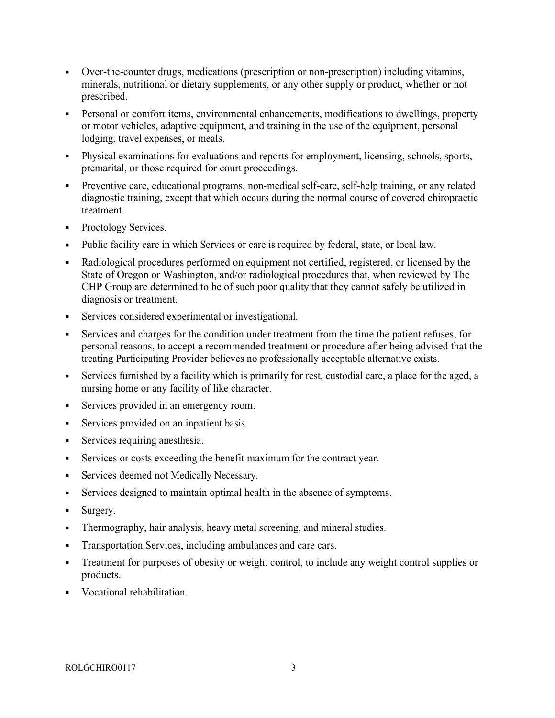- Over-the-counter drugs, medications (prescription or non-prescription) including vitamins, minerals, nutritional or dietary supplements, or any other supply or product, whether or not prescribed.
- Personal or comfort items, environmental enhancements, modifications to dwellings, property or motor vehicles, adaptive equipment, and training in the use of the equipment, personal lodging, travel expenses, or meals.
- Physical examinations for evaluations and reports for employment, licensing, schools, sports, premarital, or those required for court proceedings.
- Preventive care, educational programs, non-medical self-care, self-help training, or any related diagnostic training, except that which occurs during the normal course of covered chiropractic treatment.
- Proctology Services.
- Public facility care in which Services or care is required by federal, state, or local law.
- Radiological procedures performed on equipment not certified, registered, or licensed by the  $\blacksquare$ State of Oregon or Washington, and/or radiological procedures that, when reviewed by The CHP Group are determined to be of such poor quality that they cannot safely be utilized in diagnosis or treatment.
- Services considered experimental or investigational.
- Services and charges for the condition under treatment from the time the patient refuses, for personal reasons, to accept a recommended treatment or procedure after being advised that the treating Participating Provider believes no professionally acceptable alternative exists.
- Services furnished by a facility which is primarily for rest, custodial care, a place for the aged, a nursing home or any facility of like character.
- Services provided in an emergency room.
- Services provided on an inpatient basis.  $\blacksquare$
- Services requiring anesthesia.
- $\blacksquare$ Services or costs exceeding the benefit maximum for the contract year.
- Services deemed not Medically Necessary.  $\blacksquare$
- Services designed to maintain optimal health in the absence of symptoms.
- Surgery.
- $\blacksquare$ Thermography, hair analysis, heavy metal screening, and mineral studies.
- Transportation Services, including ambulances and care cars.
- Treatment for purposes of obesity or weight control, to include any weight control supplies or products.
- Vocational rehabilitation.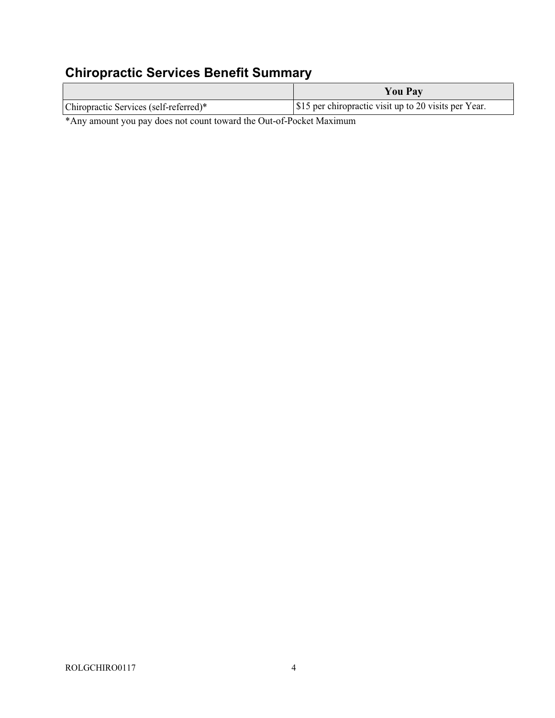## Chiropractic Services Benefit Summary

|                                                                              | <b>You Pay</b>                                       |
|------------------------------------------------------------------------------|------------------------------------------------------|
| Chiropractic Services (self-referred)*                                       | S15 per chiropractic visit up to 20 visits per Year. |
| $\mathcal{L}$ , 1, 1, 1, 1, 1, $\mathcal{L}$ , $\mathcal{L}$ , $\mathcal{L}$ |                                                      |

\*Any amount you pay does not count toward the Out-of-Pocket Maximum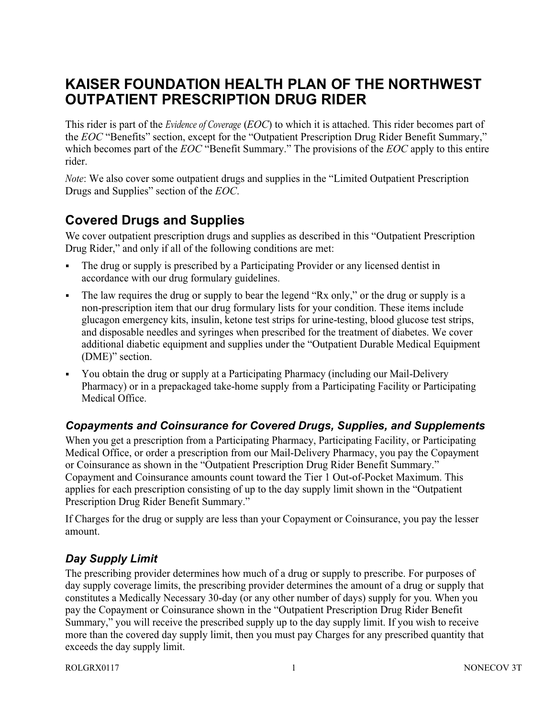## KAISER FOUNDATION HEALTH PLAN OF THE NORTHWEST OUTPATIENT PRESCRIPTION DRUG RIDER

This rider is part of the *Evidence of Coverage (EOC)* to which it is attached. This rider becomes part of the EOC "Benefits" section, except for the "Outpatient Prescription Drug Rider Benefit Summary," which becomes part of the EOC "Benefit Summary." The provisions of the EOC apply to this entire rider.

Note: We also cover some outpatient drugs and supplies in the "Limited Outpatient Prescription Drugs and Supplies" section of the EOC.

## Covered Drugs and Supplies

We cover outpatient prescription drugs and supplies as described in this "Outpatient Prescription Drug Rider," and only if all of the following conditions are met:

- The drug or supply is prescribed by a Participating Provider or any licensed dentist in accordance with our drug formulary guidelines.
- The law requires the drug or supply to bear the legend "Rx only," or the drug or supply is a non-prescription item that our drug formulary lists for your condition. These items include glucagon emergency kits, insulin, ketone test strips for urine-testing, blood glucose test strips, and disposable needles and syringes when prescribed for the treatment of diabetes. We cover additional diabetic equipment and supplies under the "Outpatient Durable Medical Equipment (DME)" section.
- You obtain the drug or supply at a Participating Pharmacy (including our Mail-Delivery Pharmacy) or in a prepackaged take-home supply from a Participating Facility or Participating Medical Office.

#### Copayments and Coinsurance for Covered Drugs, Supplies, and Supplements

When you get a prescription from a Participating Pharmacy, Participating Facility, or Participating Medical Office, or order a prescription from our Mail-Delivery Pharmacy, you pay the Copayment or Coinsurance as shown in the "Outpatient Prescription Drug Rider Benefit Summary." Copayment and Coinsurance amounts count toward the Tier 1 Out-of-Pocket Maximum. This applies for each prescription consisting of up to the day supply limit shown in the "Outpatient Prescription Drug Rider Benefit Summary."

If Charges for the drug or supply are less than your Copayment or Coinsurance, you pay the lesser amount.

#### Day Supply Limit

The prescribing provider determines how much of a drug or supply to prescribe. For purposes of day supply coverage limits, the prescribing provider determines the amount of a drug or supply that constitutes a Medically Necessary 30-day (or any other number of days) supply for you. When you pay the Copayment or Coinsurance shown in the "Outpatient Prescription Drug Rider Benefit Summary," you will receive the prescribed supply up to the day supply limit. If you wish to receive more than the covered day supply limit, then you must pay Charges for any prescribed quantity that exceeds the day supply limit.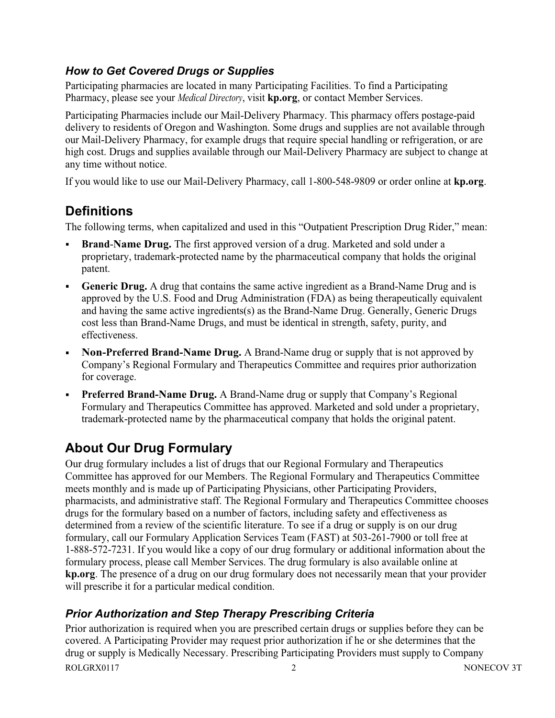#### How to Get Covered Drugs or Supplies

Participating pharmacies are located in many Participating Facilities. To find a Participating Pharmacy, please see your *Medical Directory*, visit **kp.org**, or contact Member Services.

Participating Pharmacies include our Mail-Delivery Pharmacy. This pharmacy offers postage-paid delivery to residents of Oregon and Washington. Some drugs and supplies are not available through our Mail-Delivery Pharmacy, for example drugs that require special handling or refrigeration, or are high cost. Drugs and supplies available through our Mail-Delivery Pharmacy are subject to change at any time without notice.

If you would like to use our Mail-Delivery Pharmacy, call 1-800-548-9809 or order online at kp.org.

## **Definitions**

The following terms, when capitalized and used in this "Outpatient Prescription Drug Rider," mean:

- Brand-Name Drug. The first approved version of a drug. Marketed and sold under a proprietary, trademark-protected name by the pharmaceutical company that holds the original patent.
- Generic Drug. A drug that contains the same active ingredient as a Brand-Name Drug and is approved by the U.S. Food and Drug Administration (FDA) as being therapeutically equivalent and having the same active ingredients(s) as the Brand-Name Drug. Generally, Generic Drugs cost less than Brand-Name Drugs, and must be identical in strength, safety, purity, and effectiveness.
- Non-Preferred Brand-Name Drug. A Brand-Name drug or supply that is not approved by Company's Regional Formulary and Therapeutics Committee and requires prior authorization for coverage.
- Preferred Brand-Name Drug. A Brand-Name drug or supply that Company's Regional Formulary and Therapeutics Committee has approved. Marketed and sold under a proprietary, trademark-protected name by the pharmaceutical company that holds the original patent.

# About Our Drug Formulary

Our drug formulary includes a list of drugs that our Regional Formulary and Therapeutics Committee has approved for our Members. The Regional Formulary and Therapeutics Committee meets monthly and is made up of Participating Physicians, other Participating Providers, pharmacists, and administrative staff. The Regional Formulary and Therapeutics Committee chooses drugs for the formulary based on a number of factors, including safety and effectiveness as determined from a review of the scientific literature. To see if a drug or supply is on our drug formulary, call our Formulary Application Services Team (FAST) at 503-261-7900 or toll free at 1-888-572-7231. If you would like a copy of our drug formulary or additional information about the formulary process, please call Member Services. The drug formulary is also available online at kp.org. The presence of a drug on our drug formulary does not necessarily mean that your provider will prescribe it for a particular medical condition.

#### Prior Authorization and Step Therapy Prescribing Criteria

ROLGRX0117 2 NONECOV 3T Prior authorization is required when you are prescribed certain drugs or supplies before they can be covered. A Participating Provider may request prior authorization if he or she determines that the drug or supply is Medically Necessary. Prescribing Participating Providers must supply to Company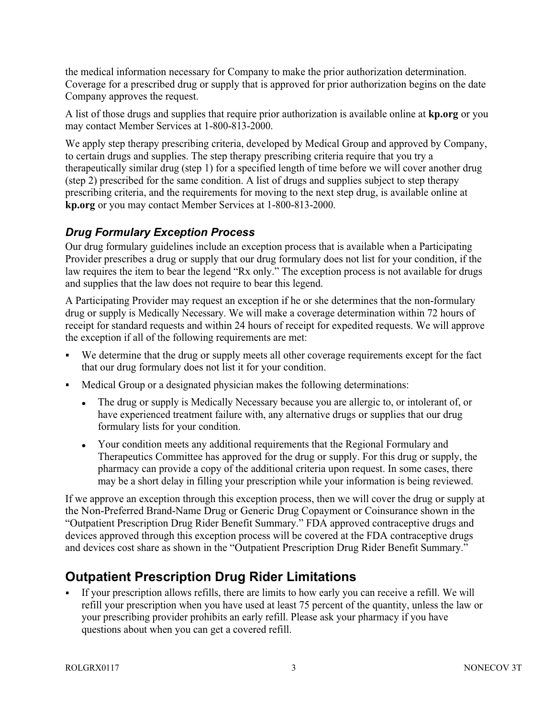the medical information necessary for Company to make the prior authorization determination. Coverage for a prescribed drug or supply that is approved for prior authorization begins on the date Company approves the request.

A list of those drugs and supplies that require prior authorization is available online at kp.org or you may contact Member Services at 1-800-813-2000.

We apply step therapy prescribing criteria, developed by Medical Group and approved by Company, to certain drugs and supplies. The step therapy prescribing criteria require that you try a therapeutically similar drug (step 1) for a specified length of time before we will cover another drug (step 2) prescribed for the same condition. A list of drugs and supplies subject to step therapy prescribing criteria, and the requirements for moving to the next step drug, is available online at kp.org or you may contact Member Services at 1-800-813-2000.

#### Drug Formulary Exception Process

Our drug formulary guidelines include an exception process that is available when a Participating Provider prescribes a drug or supply that our drug formulary does not list for your condition, if the law requires the item to bear the legend "Rx only." The exception process is not available for drugs and supplies that the law does not require to bear this legend.

A Participating Provider may request an exception if he or she determines that the non-formulary drug or supply is Medically Necessary. We will make a coverage determination within 72 hours of receipt for standard requests and within 24 hours of receipt for expedited requests. We will approve the exception if all of the following requirements are met:

- We determine that the drug or supply meets all other coverage requirements except for the fact that our drug formulary does not list it for your condition.
- Medical Group or a designated physician makes the following determinations:
	- The drug or supply is Medically Necessary because you are allergic to, or intolerant of, or  $\bullet$ have experienced treatment failure with, any alternative drugs or supplies that our drug formulary lists for your condition.
	- Your condition meets any additional requirements that the Regional Formulary and Therapeutics Committee has approved for the drug or supply. For this drug or supply, the pharmacy can provide a copy of the additional criteria upon request. In some cases, there may be a short delay in filling your prescription while your information is being reviewed.

If we approve an exception through this exception process, then we will cover the drug or supply at the Non-Preferred Brand-Name Drug or Generic Drug Copayment or Coinsurance shown in the "Outpatient Prescription Drug Rider Benefit Summary." FDA approved contraceptive drugs and devices approved through this exception process will be covered at the FDA contraceptive drugs and devices cost share as shown in the "Outpatient Prescription Drug Rider Benefit Summary."

## Outpatient Prescription Drug Rider Limitations

If your prescription allows refills, there are limits to how early you can receive a refill. We will refill your prescription when you have used at least 75 percent of the quantity, unless the law or your prescribing provider prohibits an early refill. Please ask your pharmacy if you have questions about when you can get a covered refill.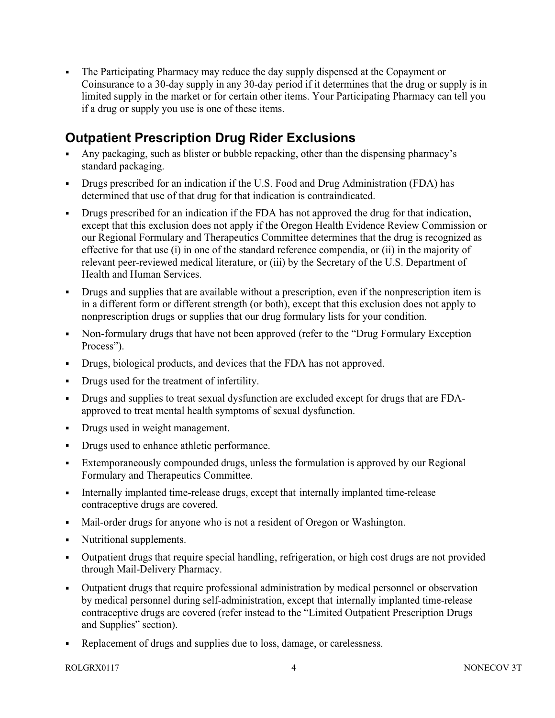The Participating Pharmacy may reduce the day supply dispensed at the Copayment or Coinsurance to a 30-day supply in any 30-day period if it determines that the drug or supply is in limited supply in the market or for certain other items. Your Participating Pharmacy can tell you if a drug or supply you use is one of these items.

## Outpatient Prescription Drug Rider Exclusions

- Any packaging, such as blister or bubble repacking, other than the dispensing pharmacy's standard packaging.
- Drugs prescribed for an indication if the U.S. Food and Drug Administration (FDA) has determined that use of that drug for that indication is contraindicated.
- Drugs prescribed for an indication if the FDA has not approved the drug for that indication, except that this exclusion does not apply if the Oregon Health Evidence Review Commission or our Regional Formulary and Therapeutics Committee determines that the drug is recognized as effective for that use (i) in one of the standard reference compendia, or (ii) in the majority of relevant peer-reviewed medical literature, or (iii) by the Secretary of the U.S. Department of Health and Human Services.
- Drugs and supplies that are available without a prescription, even if the nonprescription item is in a different form or different strength (or both), except that this exclusion does not apply to nonprescription drugs or supplies that our drug formulary lists for your condition.
- Non-formulary drugs that have not been approved (refer to the "Drug Formulary Exception Process").
- Drugs, biological products, and devices that the FDA has not approved.
- Drugs used for the treatment of infertility.
- $\mathbf{r}$ Drugs and supplies to treat sexual dysfunction are excluded except for drugs that are FDAapproved to treat mental health symptoms of sexual dysfunction.
- $\mathbf{r}$  . Drugs used in weight management.
- Drugs used to enhance athletic performance.
- Extemporaneously compounded drugs, unless the formulation is approved by our Regional Formulary and Therapeutics Committee.
- Internally implanted time-release drugs, except that internally implanted time-release contraceptive drugs are covered.
- Mail-order drugs for anyone who is not a resident of Oregon or Washington.
- Nutritional supplements.
- Outpatient drugs that require special handling, refrigeration, or high cost drugs are not provided through Mail-Delivery Pharmacy.
- Outpatient drugs that require professional administration by medical personnel or observation by medical personnel during self-administration, except that internally implanted time-release contraceptive drugs are covered (refer instead to the "Limited Outpatient Prescription Drugs and Supplies" section).
- $\blacksquare$ Replacement of drugs and supplies due to loss, damage, or carelessness.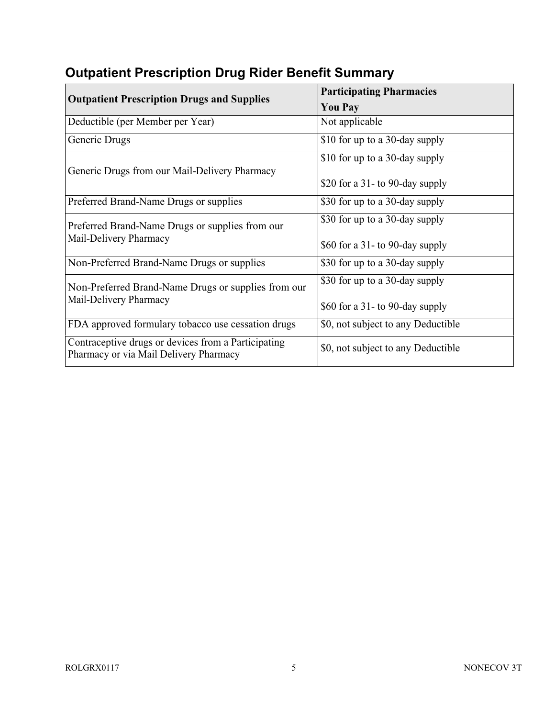| <b>Outpatient Prescription Drugs and Supplies</b>                                             | <b>Participating Pharmacies</b>    |
|-----------------------------------------------------------------------------------------------|------------------------------------|
|                                                                                               | <b>You Pay</b>                     |
| Deductible (per Member per Year)                                                              | Not applicable                     |
| Generic Drugs                                                                                 | \$10 for up to a 30-day supply     |
| Generic Drugs from our Mail-Delivery Pharmacy                                                 | \$10 for up to a 30-day supply     |
|                                                                                               | \$20 for a 31- to 90-day supply    |
| Preferred Brand-Name Drugs or supplies                                                        | \$30 for up to a 30-day supply     |
| Preferred Brand-Name Drugs or supplies from our<br>Mail-Delivery Pharmacy                     | \$30 for up to a 30-day supply     |
|                                                                                               | \$60 for a 31- to 90-day supply    |
| Non-Preferred Brand-Name Drugs or supplies                                                    | \$30 for up to a 30-day supply     |
| Non-Preferred Brand-Name Drugs or supplies from our<br>Mail-Delivery Pharmacy                 | \$30 for up to a 30-day supply     |
|                                                                                               | \$60 for a 31- to 90-day supply    |
| FDA approved formulary tobacco use cessation drugs                                            | \$0, not subject to any Deductible |
| Contraceptive drugs or devices from a Participating<br>Pharmacy or via Mail Delivery Pharmacy | \$0, not subject to any Deductible |

# Outpatient Prescription Drug Rider Benefit Summary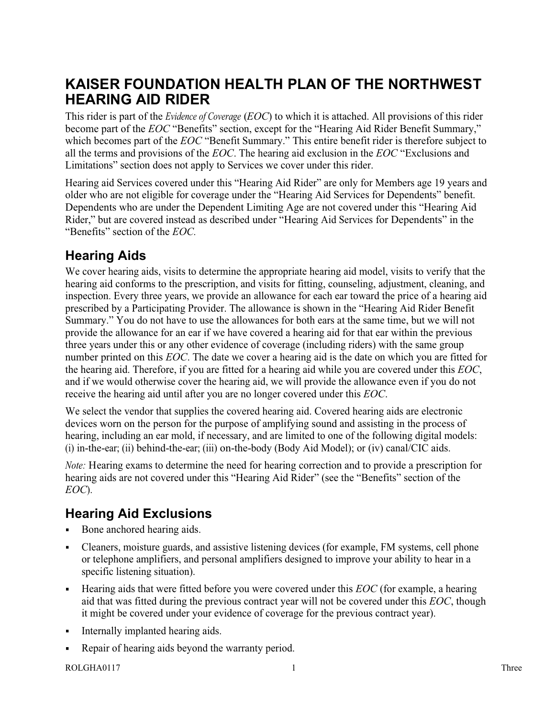## KAISER FOUNDATION HEALTH PLAN OF THE NORTHWEST HEARING AID RIDER

This rider is part of the *Evidence of Coverage (EOC)* to which it is attached. All provisions of this rider become part of the EOC "Benefits" section, except for the "Hearing Aid Rider Benefit Summary," which becomes part of the EOC "Benefit Summary." This entire benefit rider is therefore subject to all the terms and provisions of the EOC. The hearing aid exclusion in the EOC "Exclusions and Limitations" section does not apply to Services we cover under this rider.

Hearing aid Services covered under this "Hearing Aid Rider" are only for Members age 19 years and older who are not eligible for coverage under the "Hearing Aid Services for Dependents" benefit. Dependents who are under the Dependent Limiting Age are not covered under this "Hearing Aid Rider," but are covered instead as described under "Hearing Aid Services for Dependents" in the "Benefits" section of the EOC.

## Hearing Aids

We cover hearing aids, visits to determine the appropriate hearing aid model, visits to verify that the hearing aid conforms to the prescription, and visits for fitting, counseling, adjustment, cleaning, and inspection. Every three years, we provide an allowance for each ear toward the price of a hearing aid prescribed by a Participating Provider. The allowance is shown in the "Hearing Aid Rider Benefit Summary." You do not have to use the allowances for both ears at the same time, but we will not provide the allowance for an ear if we have covered a hearing aid for that ear within the previous three years under this or any other evidence of coverage (including riders) with the same group number printed on this EOC. The date we cover a hearing aid is the date on which you are fitted for the hearing aid. Therefore, if you are fitted for a hearing aid while you are covered under this EOC, and if we would otherwise cover the hearing aid, we will provide the allowance even if you do not receive the hearing aid until after you are no longer covered under this EOC.

We select the vendor that supplies the covered hearing aid. Covered hearing aids are electronic devices worn on the person for the purpose of amplifying sound and assisting in the process of hearing, including an ear mold, if necessary, and are limited to one of the following digital models: (i) in-the-ear; (ii) behind-the-ear; (iii) on-the-body (Body Aid Model); or (iv) canal/CIC aids.

Note: Hearing exams to determine the need for hearing correction and to provide a prescription for hearing aids are not covered under this "Hearing Aid Rider" (see the "Benefits" section of the EOC).

## Hearing Aid Exclusions

- Bone anchored hearing aids.
- Cleaners, moisture guards, and assistive listening devices (for example, FM systems, cell phone  $\blacksquare$ or telephone amplifiers, and personal amplifiers designed to improve your ability to hear in a specific listening situation).
- Hearing aids that were fitted before you were covered under this EOC (for example, a hearing aid that was fitted during the previous contract year will not be covered under this EOC, though it might be covered under your evidence of coverage for the previous contract year).
- Internally implanted hearing aids.
- Repair of hearing aids beyond the warranty period.

#### ROLGHA0117 1 Three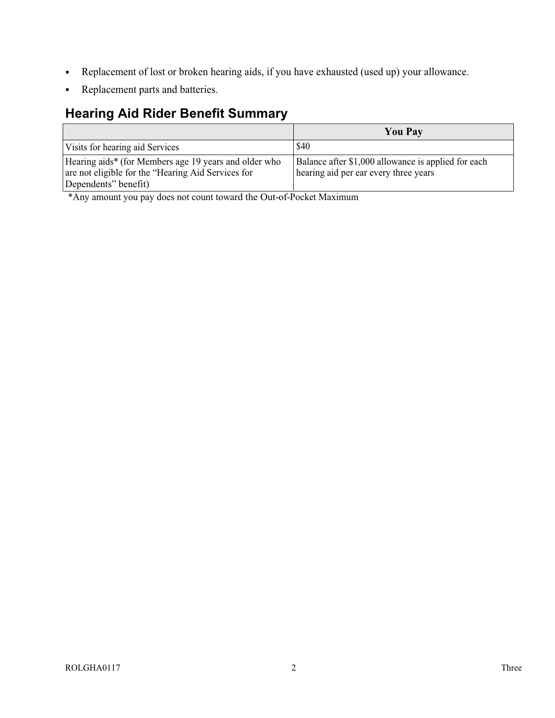- Replacement of lost or broken hearing aids, if you have exhausted (used up) your allowance.  $\blacksquare$
- Replacement parts and batteries.  $\blacksquare$

## Hearing Aid Rider Benefit Summary

|                                                                                                                                     | <b>You Pay</b>                                                                               |
|-------------------------------------------------------------------------------------------------------------------------------------|----------------------------------------------------------------------------------------------|
| Visits for hearing aid Services                                                                                                     | \$40                                                                                         |
| Hearing aids* (for Members age 19 years and older who<br>are not eligible for the "Hearing Aid Services for<br>Dependents" benefit) | Balance after \$1,000 allowance is applied for each<br>hearing aid per ear every three years |

\*Any amount you pay does not count toward the Out-of-Pocket Maximum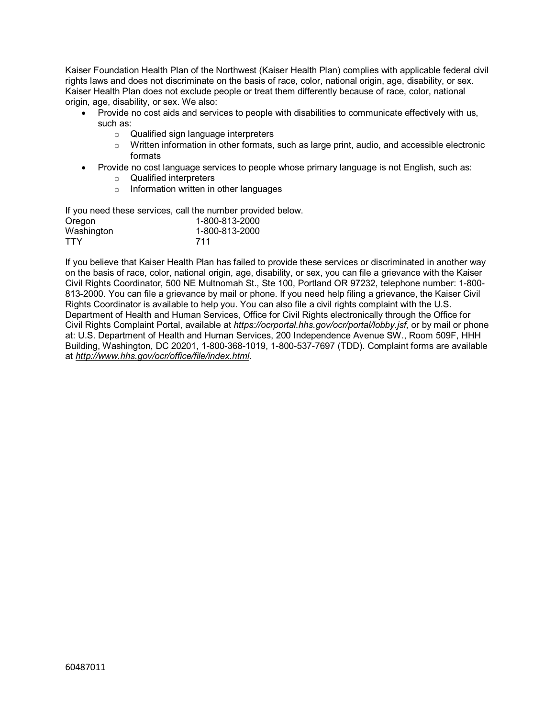Kaiser Foundation Health Plan of the Northwest (Kaiser Health Plan) complies with applicable federal civil rights laws and does not discriminate on the basis of race, color, national origin, age, disability, or sex. Kaiser Health Plan does not exclude people or treat them differently because of race, color, national origin, age, disability, or sex. We also:

- Provide no cost aids and services to people with disabilities to communicate effectively with us, such as:
	- o Qualified sign language interpreters
	- $\circ$  Written information in other formats, such as large print, audio, and accessible electronic formats
- Provide no cost language services to people whose primary language is not English, such as:
	- o Qualified interpreters
	- o Information written in other languages

If you need these services, call the number provided below. Oregon 1-800-813-2000 Washington 1-800-813-2000 TTY 711

If you believe that Kaiser Health Plan has failed to provide these services or discriminated in another way on the basis of race, color, national origin, age, disability, or sex, you can file a grievance with the Kaiser Civil Rights Coordinator, 500 NE Multnomah St., Ste 100, Portland OR 97232, telephone number: 1-800- 813-2000. You can file a grievance by mail or phone. If you need help filing a grievance, the Kaiser Civil Rights Coordinator is available to help you. You can also file a civil rights complaint with the U.S. Department of Health and Human Services, Office for Civil Rights electronically through the Office for Civil Rights Complaint Portal, available at https://ocrportal.hhs.gov/ocr/portal/lobby.jsf, or by mail or phone at: U.S. Department of Health and Human Services, 200 Independence Avenue SW., Room 509F, HHH Building, Washington, DC 20201, 1-800-368-1019, 1-800-537-7697 (TDD). Complaint forms are available at http://www.hhs.gov/ocr/office/file/index.html.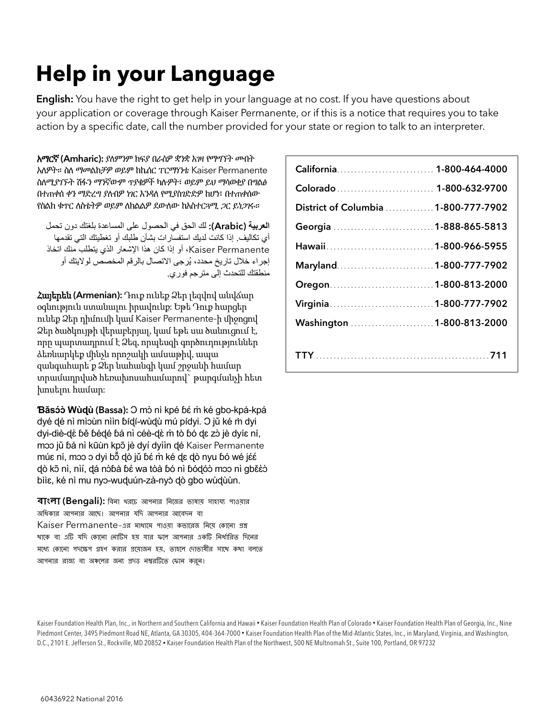# Help in your Language

**English:** You have the right to get help in your language at no cost. If you have questions about your application or coverage through Kaiser Permanente, or if this is a notice that requires you to take action by a specific date, call the number provided for your state or region to talk to an interpreter.

አማርኛ (Amharic): ያለምንም ክፍያ በራስዎ ቋንቋ እገዛ የማግኘት መብት አለዎት። ስለ ማመልከቻዎ ወይም ከኬሰር ፐርማነንቴ Kaiser Permanente ስለሚያገኙት ሽፋን ማንኛውም ጥያቄዎች ካሉዎት፣ ወይም ይህ ማሳወቂያ በግልፅ በተጠቀሰ ቀን ማድረግ ያለብዎ ነገር እንዳለ የሚያስገድድዎ ከሆነ፣ በተጠቀሰው የስልክ ቁጥር ለስቴትዎ ወይም ለክልልዎ ደውለው ከአስተርጓሚ ጋር ይነጋገሩ።

العربية (Arabic(: لك الحق في الحصول على المساعدة بلغتك دون تحمل أي تكاليف. إذا كانت لديك استفسارات بشأن طلبك أو تغطيتك التي تقدمها Permanente Kaiser، أو إذا كان هذا اشعار الذي يتطلب منك اتخاذ إجر اء خلال تار يخ محدد، يُر جي الاتصال بالر قم المخصص لو لايتك أو منطقتك للتحدث إلى مترجم فوري.

Հայերեն (Armenian): Դուք ունեք Ձեր լեզվով անվճար օգնություն ստանալու իրավունք: Եթե Դուք հարցեր ունեք Ձեր դիմումի կամ Kaiser Permanente-ի միջոցով Ձեր ծածկույթի վերաբերյալ, կամ եթե սա ծանուցում է, որը պարտադրում է Ձեզ, որպեսզի գործուղություններ ձեռնարկեք մինչև որոշակի ամսաթիվ, ապա զանգահարե՛ք Ձեր նահանգի կամ շրջանի համար տրամադրված հեռախոսահամարով` թարգմանչի հետ խոսելու համար:

Băsóò Wùdù (Bassa): O mò nì kpé bé m̀ ké gbo-kpá-kpá dyé dé nì mìoùn nììn ɓídí-wùdù mú pídyi. <mark>O jǔ ké m̀ dy</mark>i dyi-diè-dɛ̀ ɓě ɓédé ɓá nì céè-dɛ̀ m̀ tò ɓó dɛ zò jè dyíɛ ní, mɔɔ jǔ ɓá nì kũùn kpɔ̃ jè dyí dyììn dé Kaiser Permanente múɛ ní, mɔɔ ɔ dyi bɔ̃ dò jǔ bɛ́ m̀ ké dɛ dò nyu bó wé jɛ́ɛ́ dò kõ nì, nìí, dá nòɓà ɓé wa tòà ɓó nì ɓódóò moo nì gběèò bììɛ, ké nì mu nyɔ-wuḍuún-zà-nyò ḍò gbo wùḍùùn.

বাংলা (Bengali): বিনা খরচে আপনার বনচের ভাষায় সাহায পাওয়ার অধিকার আপনার আছে। আপনার যদি আপনার আবেদন বা Kaiser Permanente-এর মাধ্যমে পাওয়া কভারেজ নিয়ে কোনো প্রশ্ন থাকে বা এটি যদি কোনো নোটিস হয় যার ফলে আপনার একটি নির্ধারিত দিনের মধ্যে কোনো পদক্ষেপ গ্রহণ করার প্রযোজন হয়, তাহলে দোভাষীর সাথে কথা বলতে আপনার রাজ্য বা অঞ্চলের জন্য প্রদত্ত নম্বরটিতে ফোন কর্ন।

| California 1-800-464-4000            |  |
|--------------------------------------|--|
| Colorado  1-800-632-9700             |  |
| District of Columbia  1-800-777-7902 |  |
|                                      |  |
|                                      |  |
|                                      |  |
|                                      |  |
|                                      |  |
| Washington  1-800-813-2000           |  |
|                                      |  |
|                                      |  |

Kaiser Foundation Health Plan, Inc., in Northern and Southern California and Hawaii • Kaiser Foundation Health Plan of Colorado • Kaiser Foundation Health Plan of Georgia, Inc., Nine Piedmont Center, 3495 Piedmont Road NE, Atlanta, GA 30305, 404-364-7000 • Kaiser Foundation Health Plan of the Mid-Atlantic States, Inc., in Maryland, Virginia, and Washington, D.C., 2101 E. Jefferson St., Rockville, MD 20852 • Kaiser Foundation Health Plan of the Northwest, 500 NE Multnomah St., Suite 100, Portland, OR 97232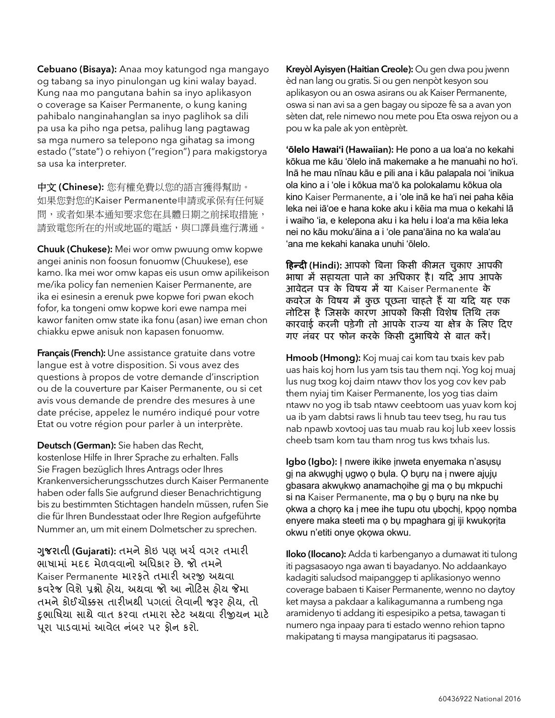Cebuano (Bisaya): Anaa moy katungod nga mangayo og tabang sa inyo pinulongan ug kini walay bayad. Kung naa mo pangutana bahin sa inyo aplikasyon o coverage sa Kaiser Permanente, o kung kaning pahibalo nanginahanglan sa inyo paglihok sa dili pa usa ka piho nga petsa, palihug lang pagtawag sa mga numero sa telepono nga gihatag sa imong estado ("state") o rehiyon ("region") para makigstorya sa usa ka interpreter.

中文 (Chinese): 您有權免費以您的語言獲得幫助。 如果您對您的Kaiser Permanente申請或承保有任何疑 問,或者如果本通知要求您在具體日期之前採取措施, 請致電您所在的州或地區的電話,與口譯員進行溝通。

Chuuk (Chukese): Mei wor omw pwuung omw kopwe angei aninis non foosun fonuomw (Chuukese), ese kamo. Ika mei wor omw kapas eis usun omw apilikeison me/ika policy fan nemenien Kaiser Permanente, are ika ei esinesin a erenuk pwe kopwe fori pwan ekoch fofor, ka tongeni omw kopwe kori ewe nampa mei kawor faniten omw state ika fonu (asan) iwe eman chon chiakku epwe anisuk non kapasen fonuomw.

Français (French): Une assistance gratuite dans votre langue est à votre disposition. Si vous avez des questions à propos de votre demande d'inscription ou de la couverture par Kaiser Permanente, ou si cet avis vous demande de prendre des mesures à une date précise, appelez le numéro indiqué pour votre Etat ou votre région pour parler à un interprète.

Deutsch (German): Sie haben das Recht,

kostenlose Hilfe in Ihrer Sprache zu erhalten. Falls Sie Fragen bezüglich Ihres Antrags oder Ihres Krankenversicherungsschutzes durch Kaiser Permanente haben oder falls Sie aufgrund dieser Benachrichtigung bis zu bestimmten Stichtagen handeln müssen, rufen Sie die für Ihren Bundesstaat oder Ihre Region aufgeführte Nummer an, um mit einem Dolmetscher zu sprechen.

ગુજરાતી (Gujarati): તમને કોઇ પણ ખર્ચ વગર તમારી ભાષામાં મદદ મેળવવાનો અધિકાર છે. જો તમને Kaiser Permanente મારકતે તમારી અરજી અથવા કવરેજ વિશે પ્રશ્નો હોય. અથવા જો આ નોટિસ હોય જેમા તમને કોઈયોક્કસ તારીખથી પગલાં લેવાની જરૂર હોય, તો દુભાધષયા સાથે વાત કરવા તમારા સિેિ અથવા રીયન માિે પૂરા પાડવામાં આવેલ નંબર પર ફોન કરો.

Kreyòl Ayisyen (Haitian Creole): Ou gen dwa pou jwenn èd nan lang ou gratis. Si ou gen nenpòt kesyon sou aplikasyon ou an oswa asirans ou ak Kaiser Permanente, oswa si nan avi sa a gen bagay ou sipoze fè sa a avan yon sèten dat, rele nimewo nou mete pou Eta oswa rejyon ou a pou w ka pale ak yon entèprèt.

ʻōlelo Hawaiʻi (Hawaiian): He pono a ua loaʻa no kekahi kōkua me kāu ʻōlelo inā makemake a he manuahi no hoʻi. Inā he mau nīnau kāu e pili ana i kāu palapala noi ʻinikua ola kino a i ʻole i kōkua maʻō ka polokalamu kōkua ola kino Kaiser Permanente, a i ʻole inā ke haʻi nei paha kēia leka nei iāʻoe e hana koke aku i kēia ma mua o kekahi lā i waiho ʻia, e kelepona aku i ka helu i loaʻa ma kēia leka nei no kāu mokuʻāina a i ʻole panaʻāina no ka walaʻau ʻana me kekahi kanaka unuhi ʻōlelo.

हिन्दी (Hindi): आपको बिना किसी कीमत चुकाए आपकी भाषा में सहायता पाने का अधिकार है। यदि आप आपके आवेदन पत्र के विषय में या Kaiser Permanente के कवरेज के विषय में कुछ पूछना चाहते हैं या यदि यह एक नोकिस है जजसके कारण आपको ककसी बवशेष धतधि तक कारवाई करनी पड़ेगी तो आपके राज्य या क्षेत्र के लिए दिए गए नंबर पर फोन करके किसी दुभाषिये से बात करें।

Hmoob (Hmong): Koj muaj cai kom tau txais kev pab uas hais koj hom lus yam tsis tau them nqi. Yog koj muaj lus nug txog koj daim ntawv thov los yog cov kev pab them nyiaj tim Kaiser Permanente, los yog tias daim ntawv no yog ib tsab ntawv ceebtoom uas yuav kom koj ua ib yam dabtsi raws li hnub tau teev tseg, hu rau tus nab npawb xovtooj uas tau muab rau koj lub xeev lossis cheeb tsam kom tau tham nrog tus kws txhais lus.

Igbo (Igbo): Ị nwere ikike ịnweta enyemaka n'asụsụ gị na akwụghị ụgwọ ọ bụla. Ọ bụrụ na ị nwere ajụjụ gbasara akwụkwọ anamachọihe gị ma ọ bụ mkpuchi si na Kaiser Permanente, ma o bụ o bụrụ na nke bụ ọkwa a chọrọ ka ị mee ihe tupu otu ụbọchị, kpọọ nọmba enyere maka steeti ma ọ bụ mpaghara gị iji kwukọrịta okwu n'etiti onye ọkọwa okwu.

Iloko (Ilocano): Adda ti karbenganyo a dumawat iti tulong iti pagsasaoyo nga awan ti bayadanyo. No addaankayo kadagiti saludsod maipanggep ti aplikasionyo wenno coverage babaen ti Kaiser Permanente, wenno no daytoy ket maysa a pakdaar a kalikagumanna a rumbeng nga aramidenyo ti addang iti espesipiko a petsa, tawagan ti numero nga inpaay para ti estado wenno rehion tapno makipatang ti maysa mangipatarus iti pagsasao.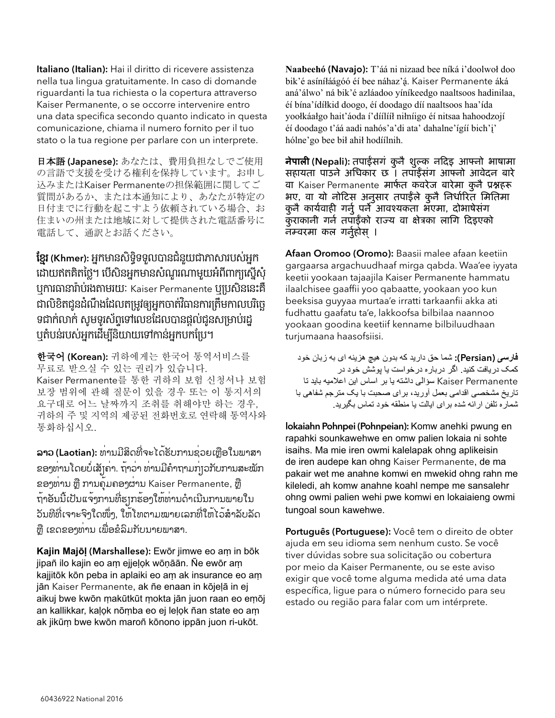Italiano (Italian): Hai il diritto di ricevere assistenza nella tua lingua gratuitamente. In caso di domande riguardanti la tua richiesta o la copertura attraverso Kaiser Permanente, o se occorre intervenire entro una data specifica secondo quanto indicato in questa comunicazione, chiama il numero fornito per il tuo stato o la tua regione per parlare con un interprete.

日本語(Japanese): あなたは、費用負担なしでご使用 の言語で支援を受ける権利を保持しています。お申し 込みまたはKaiser Permanenteの担保範囲に関してご 質問があるか、または本通知により、あなたが特定の 日付までに行動を起こすよう依頼されている場合、お 住まいの州または地域に対して提供された電話番号に 電話して、通訳とお話ください。

**ខ្មែរ (Khmer):** អ្នកមានសិទ្ធិទទួលបានជំនួយជាភាសារបស់អ្នក ដោយឥតគិតថ្លៃ។ បើសិនអ្នកមានសំណួរណាមួយអំពីពាក្យស្នើសុំ ឬការធានារ៉ាប់រងតាមរយៈ Kaiser Permanente ឬប្រសិននេះគឺ ជាលិខិតជូនដំណឹងដែលតម្រូវឲ្យអ្នកចាត់វិធានការត្រឹមកាលបរិច្ឆេ ទជាក់លាក់ សូមទូរស័ព្ទទៅលេខដែលបានផ្តល់ជូនសម្រាប់រដ្ឋ ឬតំបន់របស់អ្នកដើម្បីនិយាយទៅកាន់អ្នកបកប្រែ។

한국어 (Korean): 귀하에게는 한국어 통역서비스를 무료로 받으실 수 있는 권리가 있습니다. Kaiser Permanente를 통한 귀하의 보험 신청서나 보험 보장 범위에 관해 질문이 있을 경우 또는 이 통지서의 요구대로 어느 날짜까지 조취를 취해야만 하는 경우, 귀하의 주 및 지역의 제공된 전화번호로 연락해 통역사와 통화하십시오.

ລາວ (Laotian): ທ່ານມີສິດທີ່ຈະໄດ້ຮັບການຊ່ວຍເຫຼືອໃນພາສາ ຂອງທ່ານໂດຍບໍ່ເສັຽຄ່າ. ຖ້າວ່າ ທ່ານມີຄໍາຖາມກ່ຽວກັບການສະໝັກ ຂອງທ່ານ ຫຼື ການຄຸ້ມຄອງຜ່ານ Kaiser Permanente, ຫຼື ຖ້າອັນນີ້ເປັນແຈ້ງການທີ່ຮຽກຮ້ອງໃຫ້ທ່ານດໍາເນີນການພາຍໃນ ວັນທີທີ່ເຈາະຈົງໃດໜຶ່ງ, ໃຫ້ໂທຕາມໝາຍເລກທີ່ໃຫ້ໄວ້ສໍາລັບລັດ ຫຼື ເຂດຂອງທ່ານ ເພື່ອຂໍລົມກັບນາຍພາສາ.

Kajin Majōḷ (Marshallese): Ewōr jimwe eo aṃ in bōk jipañ ilo kajin eo aṃ ejjeḷọk wōṇāān. Ñe ewōr aṃ kajjitōk kōn peba in aplaiki eo aṃ ak insurance eo aṃ jān Kaiser Permanente, ak ñe enaan in kōjeḷā in ej aikuj bwe kwōn ṃakūtkūt ṃokta jān juon raan eo eṃōj an kallikkar, kaḷọk nōṃba eo ej leḷọk ñan state eo aṃ ak jikūṃ bwe kwōn maroñ kōnono ippān juon ri-ukōt.

Naabeehó (Navajo): T'áá ni nizaad bee níká i'doolwol doo bik'é asíníláágóó éí bee náhaz'á. Kaiser Permanente áká aná'álwo' ná bik'é azláadoo yíníkeedgo naaltsoos hadinilaa, éi bína'ídíłkid doogo, éi doodago díí naaltsoos haa'ída yoolkáałgo hait'áoda í'díílííł nilníigo éí nitsaa hahoodzojí éi doodago t'áá aadi nahós'a'di ata' dahalne'ígíí bich'i' hólne'go bee bil ahil hodíilnih.

**नेपाली (N**epali): तपाईंसगं कुनै शुल्क नदिइ आफ्नो भाषामा सहायता पाउने अधिकार छ । तपाईंसंग आफ्नो आवेदन बारे वा Kaiser Permanente मार्फत कवरेज बारेमा कुनै प्रश्नहरू भए, वा यो नोटिस अनुसार तपाईंले कुनै निर्धारित मितिमा कुनै कार्यवाही गर्नु पर्ने आवश्यकता भएमा, दोभाषेसंग कुराकानी गर्न तपाईँको राज्य वा क्षेत्रका लागि दिइएको नम्वरमा कल गर्नुहोस ।

Afaan Oromoo (Oromo): Baasii malee afaan keetiin gargaarsa argachuudhaaf mirga qabda. Waa'ee iyyata keetii yookaan tajaajila Kaiser Permanente hammatu ilaalchisee gaaffii yoo qabaatte, yookaan yoo kun beeksisa guyyaa murtaa'e irratti tarkaanfii akka ati fudhattu gaafatu ta'e, lakkoofsa bilbilaa naannoo yookaan goodina keetiif kenname bilbiluudhaan turjumaana haasofsiisi.

فارسی (Persian(: شما حق داريد که بدون هيچ هزينه ای به زبان خود کمک دريافت کنيد. اگر درباره درخواست يا پوشش خود در Kaiser Permanente سؤالی داشته يا بر اساس اين اعلاميه بايد تا تاريخ مشخصی اقدامی بعمل آوريد، برای صحبت با يک مترجم شفاهی با شماره تلفن ارائه شده برای ايالت يا منطقه خود تماس بگيريد.

lokaiahn Pohnpei (Pohnpeian): Komw anehki pwung en rapahki sounkawehwe en omw palien lokaia ni sohte isaihs. Ma mie iren owmi kalelapak ohng aplikeisin de iren audepe kan ohng Kaiser Permanente, de ma pakair wet me anahne komwi en mwekid ohng rahn me kileledi, ah komw anahne koahl nempe me sansalehr ohng owmi palien wehi pwe komwi en lokaiaieng owmi tungoal soun kawehwe.

Português (Portuguese): Você tem o direito de obter ajuda em seu idioma sem nenhum custo. Se você tiver dúvidas sobre sua solicitação ou cobertura por meio da Kaiser Permanente, ou se este aviso exigir que você tome alguma medida até uma data específica, ligue para o número fornecido para seu estado ou região para falar com um intérprete.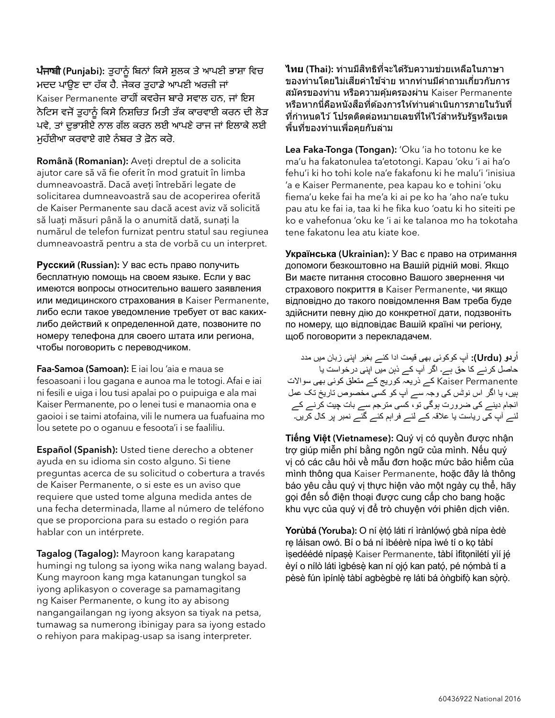ਪੰਜਾਬੀ (Punjabi): ਤੁਹਾਨੂੰ ਬਿਨਾਂ ਕਿਸੇ ਸ਼ੁਲਕ ਤੇ ਆਪਣੀ ਭਾਸ਼ਾ ਵਿਚ ਮਦਦ ਪਾਉਣ ਦਾ ਹੱਕ ਹੈ. ਜੇਕਰ ਤਹਾਡੇ ਆਪਣੀ ਅਰਜ਼ੀ ਜਾਂ Kaiser Permanente ਰਾਹੀਂ ਕਵਰੇਜ ਬਾਰੇ ਸਵਾਲ ਹਨ, ਜਾਂ ਇਸ ਨੋਟਿਸ ਵਜੋਂ ਤੁਹਾਨੰ ਕਿਸੇ ਨਿਸ਼ਚਿਤ ਮਿਤੀ ਤੱਕ ਕਾਰਵਾਈ ਕਰਨ ਦੀ ਲੋੜ ਪਵੇ, ਤਾਂ ਦੁਭਾਸ਼ੀਏ ਨਾਲ ਗੱਲ ਕਰਨ ਲਈ ਆਪਣੇ ਰਾਜ ਜਾਂ ਇਲਾਕੇ ਲਈ ਮਹੱਈਆ ਕਰਵਾਏ ਗਏ ਨੰਬਰ ਤੇ ਫ਼ੋਨ ਕਰੋ.

Română (Romanian): Aveți dreptul de a solicita ajutor care să vă fie oferit în mod gratuit în limba dumneavoastră. Dacă aveți întrebări legate de solicitarea dumneavoastră sau de acoperirea oferită de Kaiser Permanente sau dacă acest aviz vă solicită să luați măsuri până la o anumită dată, sunați la numărul de telefon furnizat pentru statul sau regiunea dumneavoastră pentru a sta de vorbă cu un interpret.

Pусский (Russian): У вас есть право получить бесплатную помощь на своем языке. Если у вас имеются вопросы относительно вашего заявления или медицинского страхования в Kaiser Permanente, либо если такое уведомление требует от вас какихлибо действий к определенной дате, позвоните по номеру телефона для своего штата или региона, чтобы поговорить с переводчиком.

Faa-Samoa (Samoan): E iai lou 'aia e maua se fesoasoani i lou gagana e aunoa ma le totogi. Afai e iai ni fesili e uiga i lou tusi apalai po o puipuiga e ala mai Kaiser Permanente, po o lenei tusi e manaomia ona e gaoioi i se taimi atofaina, vili le numera ua fuafuaina mo lou setete po o oganuu e fesoota'i i se faaliliu.

Español (Spanish): Usted tiene derecho a obtener ayuda en su idioma sin costo alguno. Si tiene preguntas acerca de su solicitud o cobertura a través de Kaiser Permanente, o si este es un aviso que requiere que usted tome alguna medida antes de una fecha determinada, llame al número de teléfono que se proporciona para su estado o región para hablar con un intérprete.

Tagalog (Tagalog): Mayroon kang karapatang humingi ng tulong sa iyong wika nang walang bayad. Kung mayroon kang mga katanungan tungkol sa iyong aplikasyon o coverage sa pamamagitang ng Kaiser Permanente, o kung ito ay abisong nangangailangan ng iyong aksyon sa tiyak na petsa, tumawag sa numerong ibinigay para sa iyong estado o rehiyon para makipag-usap sa isang interpreter.

ี**ไทย (Thai):** ท่านมีสิทธิที่จะได้รับความช่วยเหลือในภาษา ่ ของท่านโดยไม่เสียค่าใช้จ่าย หากท่านมีคำถามเกี่ยวกับการ สมัครของท่าน หรือความค้มครองผ่าน Kaiser Permanente ็หรือหากนี่คือหนังสือที่ต้องการให้ท่านดำเนินการภายในวันที่ ี่ที่กำหนดไว้ โปรดติดต่อหมายเลขที่ให้ไว้สำหรับรัฐหรือเขต ี่ พื้นที่ของท่านเพื่อคยกับล่าม

Lea Faka-Tonga (Tongan): 'Oku 'ia ho totonu ke ke ma'u ha fakatonulea ta'etotongi. Kapau 'oku 'i ai ha'o fehu'i ki ho tohi kole na'e fakafonu ki he malu'i 'inisiua 'a e Kaiser Permanente, pea kapau ko e tohini 'oku fiema'u keke fai ha me'a ki ai pe ko ha 'aho na'e tuku pau atu ke fai ia, taa ki he fika kuo 'oatu ki ho siteiti pe ko e vahefonua 'oku ke 'i ai ke talanoa mo ha tokotaha tene fakatonu lea atu kiate koe.

Українська (Ukrainian): У Вас є право на отримання допомоги безкоштовно на Вашій рідній мові. Якщо Ви маєте питання стосовно Вашого звернення чи страхового покриття в Kaiser Permanente, чи якщо відповідно до такого повідомлення Вам треба буде здійснити певну дію до конкретної дати, подзвоніть по номеру, що відповідає Вашій країні чи регіону, щоб поговорити з перекладачем.

اُردو (Urdu(: آپ کوکوئی بهی قيمت ادا کئے بغير اپنی زبان ميں مدد حاصل کرنے کا حق ہے۔ اگر آپ کے ذہن ميں اپنی درخواست يا Kaiser Permanente کے ذريعہ کوريج کے متعلق کوئے بھی سوالات ہيں، يا اگر اس نوٹس کی وجہ سے آپ کو کسی مخصوص تاريخ تک عمل انجام دينے کی ضرورت ہوگی تو، کسی مترجم سے بات چيت کرنے کے لئے آپ کی رياست يا عقہ کے لئے فراہم کئے گئے نمبر پر کال کريں۔

Tiếng Việt (Vietnamese): Quý vị có quyền được nhận trợ giúp miễn phí bằng ngôn ngữ của mình. Nếu quý vị có các câu hỏi về mẫu đơn hoặc mức bảo hiểm của mình thông qua Kaiser Permanente, hoặc đây là thông báo yêu cầu quý vị thực hiện vào một ngày cụ thể, hãy gọi đến số điện thoại được cung cấp cho bang hoặc khu vực của quý vị để trò chuyện với phiên dịch viên.

Yorùbá (Yoruba): O ní è̥tó láti rí ìrànlọ́wọ́ gbà nípa èdè rẹ láìsan owó. Bí o bá ní ìbéèrè nípa ìwé tí o kọ tàbí ìsedéédé nípasè Kaiser Permanente, tàbí ìfitonilétí yìí jé èyí o nílò láti ìgbésè kan ní ọjó kan pató, pé nómbà tí a pèsè fún ìpínlè tàbí agbègbè rẹ láti bá òngbifò kan sòrò.